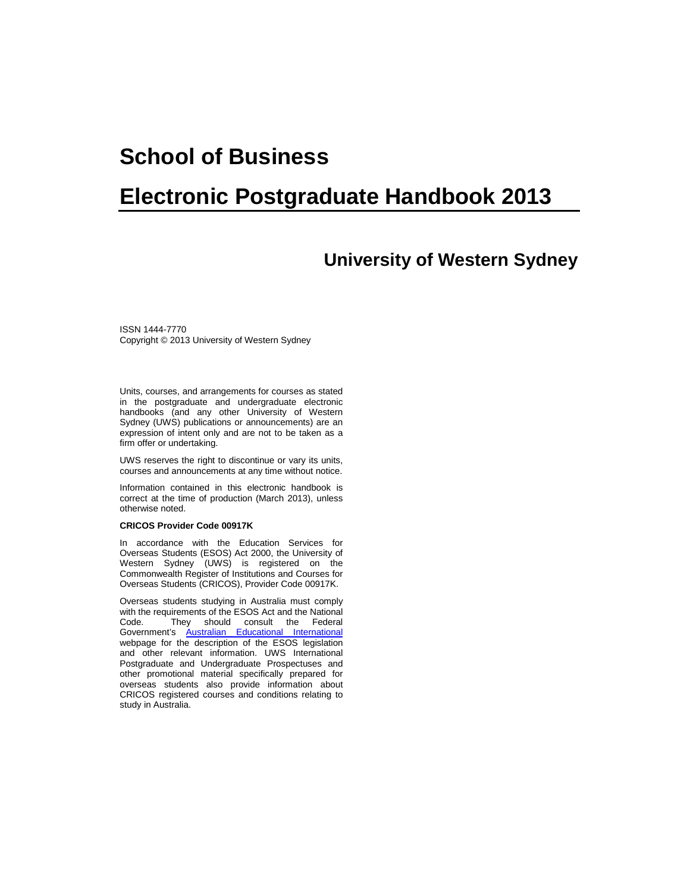# **School of Business**

# **Electronic Postgraduate Handbook 2013**

# **University of Western Sydney**

ISSN 1444-7770 Copyright © 2013 University of Western Sydney

Units, courses, and arrangements for courses as stated in the postgraduate and undergraduate electronic handbooks (and any other University of Western Sydney (UWS) publications or announcements) are an expression of intent only and are not to be taken as a firm offer or undertaking.

UWS reserves the right to discontinue or vary its units, courses and announcements at any time without notice.

Information contained in this electronic handbook is correct at the time of production (March 2013), unless otherwise noted.

#### **CRICOS Provider Code 00917K**

In accordance with the Education Services for Overseas Students (ESOS) Act 2000, the University of Western Sydney (UWS) is registered on the Commonwealth Register of Institutions and Courses for Overseas Students (CRICOS), Provider Code 00917K.

Overseas students studying in Australia must comply with the requirements of the ESOS Act and the National<br>Code. They should consult the Federal They should consult the Federal Government's [Australian Educational International](https://aei.gov.au/Pages/default.aspx) webpage for the description of the ESOS legislation and other relevant information. UWS International Postgraduate and Undergraduate Prospectuses and other promotional material specifically prepared for overseas students also provide information about CRICOS registered courses and conditions relating to study in Australia.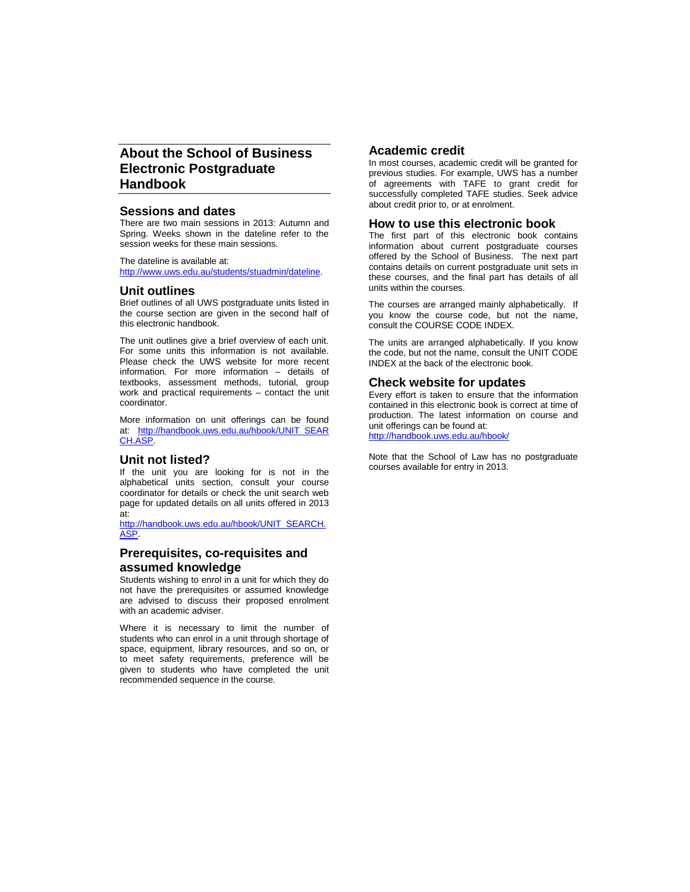# **About the School of Business Electronic Postgraduate Handbook**

#### **Sessions and dates**

There are two main sessions in 2013: Autumn and Spring. Weeks shown in the dateline refer to the session weeks for these main sessions.

The dateline is available at: [http://www.uws.edu.au/students/stuadmin/dateline.](http://www.uws.edu.au/students/stuadmin/dateline)

#### **Unit outlines**

Brief outlines of all UWS postgraduate units listed in the course section are given in the second half of this electronic handbook.

The unit outlines give a brief overview of each unit. For some units this information is not available. Please check the UWS website for more recent information. For more information – details of textbooks, assessment methods, tutorial, group work and practical requirements – contact the unit coordinator.

More information on unit offerings can be found at: [http://handbook.uws.edu.au/hbook/UNIT\\_SEAR](http://handbook.uws.edu.au/hbook/UNIT_SEARCH.ASP) [CH.ASP.](http://handbook.uws.edu.au/hbook/UNIT_SEARCH.ASP)

## **Unit not listed?**

If the unit you are looking for is not in the alphabetical units section, consult your course coordinator for details or check the unit search web page for updated details on all units offered in 2013 at:

[http://handbook.uws.edu.au/hbook/UNIT\\_SEARCH.](http://handbook.uws.edu.au/hbook/UNIT_SEARCH.ASP) [ASP.](http://handbook.uws.edu.au/hbook/UNIT_SEARCH.ASP)

#### **Prerequisites, co-requisites and assumed knowledge**

Students wishing to enrol in a unit for which they do not have the prerequisites or assumed knowledge are advised to discuss their proposed enrolment with an academic adviser.

Where it is necessary to limit the number of students who can enrol in a unit through shortage of space, equipment, library resources, and so on, or to meet safety requirements, preference will be given to students who have completed the unit recommended sequence in the course.

### **Academic credit**

In most courses, academic credit will be granted for previous studies. For example, UWS has a number of agreements with TAFE to grant credit for successfully completed TAFE studies. Seek advice about credit prior to, or at enrolment.

#### **How to use this electronic book**

The first part of this electronic book contains information about current postgraduate courses offered by the School of Business. The next part contains details on current postgraduate unit sets in these courses, and the final part has details of all units within the courses.

The courses are arranged mainly alphabetically. If you know the course code, but not the name, consult the COURSE CODE INDEX.

The units are arranged alphabetically. If you know the code, but not the name, consult the UNIT CODE INDEX at the back of the electronic book.

#### **Check website for updates**

Every effort is taken to ensure that the information contained in this electronic book is correct at time of production. The latest information on course and unit offerings can be found at: <http://handbook.uws.edu.au/hbook/>

Note that the School of Law has no postgraduate courses available for entry in 2013.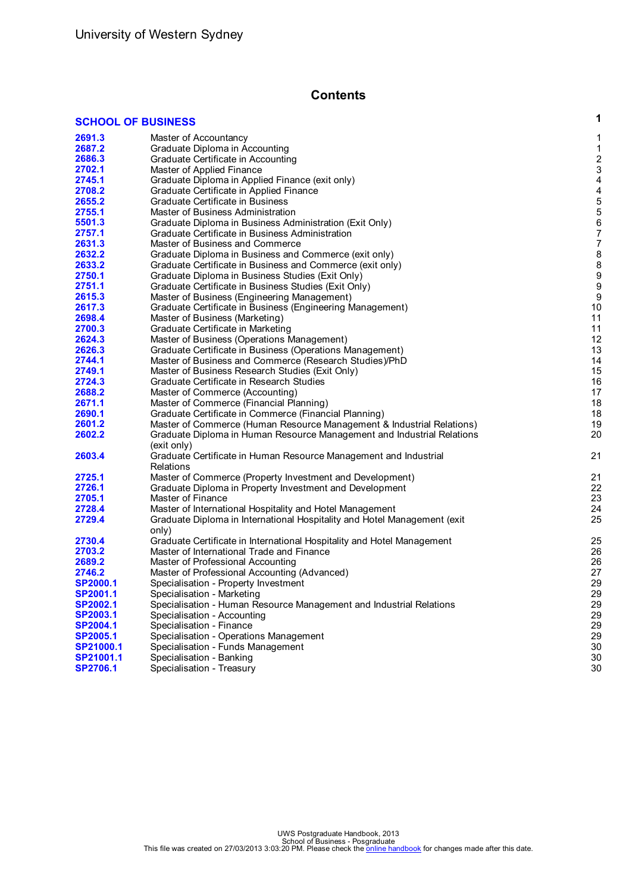# **Contents**

# **SCHOOL OF [BUSINESS](#page-3-0) 1**

| 2691.3          | Master of Accountancy                                                                 | 1              |
|-----------------|---------------------------------------------------------------------------------------|----------------|
| 2687.2          | Graduate Diploma in Accounting                                                        | 1              |
| 2686.3          | Graduate Certificate in Accounting                                                    | $\overline{c}$ |
| 2702.1          | Master of Applied Finance                                                             | 3              |
| 2745.1          | Graduate Diploma in Applied Finance (exit only)                                       | 4              |
| 2708.2          | Graduate Certificate in Applied Finance                                               | 4              |
| 2655.2          | Graduate Certificate in Business                                                      | 5              |
| 2755.1          | Master of Business Administration                                                     | 5              |
| 5501.3          | Graduate Diploma in Business Administration (Exit Only)                               | 6              |
| 2757.1          | Graduate Certificate in Business Administration                                       | 7              |
| 2631.3          | Master of Business and Commerce                                                       | 7              |
| 2632.2          | Graduate Diploma in Business and Commerce (exit only)                                 | 8              |
| 2633.2          | Graduate Certificate in Business and Commerce (exit only)                             | 8              |
| 2750.1          | Graduate Diploma in Business Studies (Exit Only)                                      | 9              |
| 2751.1          |                                                                                       | 9              |
| 2615.3          | Graduate Certificate in Business Studies (Exit Only)                                  | 9              |
|                 | Master of Business (Engineering Management)                                           |                |
| 2617.3          | Graduate Certificate in Business (Engineering Management)                             | 10             |
| 2698.4          | Master of Business (Marketing)                                                        | 11             |
| 2700.3          | Graduate Certificate in Marketing                                                     | 11             |
| 2624.3          | Master of Business (Operations Management)                                            | 12             |
| 2626.3          | Graduate Certificate in Business (Operations Management)                              | 13             |
| 2744.1          | Master of Business and Commerce (Research Studies)/PhD                                | 14             |
| 2749.1          | Master of Business Research Studies (Exit Only)                                       | 15             |
| 2724.3          | Graduate Certificate in Research Studies                                              | 16             |
| 2688.2          | Master of Commerce (Accounting)                                                       | 17             |
| 2671.1          | Master of Commerce (Financial Planning)                                               | 18             |
| 2690.1          | Graduate Certificate in Commerce (Financial Planning)                                 | 18             |
| 2601.2          | Master of Commerce (Human Resource Management & Industrial Relations)                 | 19             |
| 2602.2          | Graduate Diploma in Human Resource Management and Industrial Relations<br>(exit only) | 20             |
| 2603.4          | Graduate Certificate in Human Resource Management and Industrial<br>Relations         | 21             |
| 2725.1          | Master of Commerce (Property Investment and Development)                              | 21             |
| 2726.1          | Graduate Diploma in Property Investment and Development                               | 22             |
| 2705.1          | Master of Finance                                                                     | 23             |
| 2728.4          | Master of International Hospitality and Hotel Management                              | 24             |
| 2729.4          | Graduate Diploma in International Hospitality and Hotel Management (exit              | 25             |
|                 | only)                                                                                 |                |
| 2730.4          | Graduate Certificate in International Hospitality and Hotel Management                | 25             |
| 2703.2          | Master of International Trade and Finance                                             | 26             |
| 2689.2          | Master of Professional Accounting                                                     | 26             |
| 2746.2          | Master of Professional Accounting (Advanced)                                          | 27             |
| <b>SP2000.1</b> | Specialisation - Property Investment                                                  | 29             |
| SP2001.1        | Specialisation - Marketing                                                            | 29             |
| SP2002.1        | Specialisation - Human Resource Management and Industrial Relations                   | 29             |
| SP2003.1        | Specialisation - Accounting                                                           | 29             |
| <b>SP2004.1</b> | Specialisation - Finance                                                              | 29             |
| SP2005.1        | Specialisation - Operations Management                                                | 29             |
| SP21000.1       | Specialisation - Funds Management                                                     | 30             |
| SP21001.1       | Specialisation - Banking                                                              | 30             |
| SP2706.1        | Specialisation - Treasury                                                             | 30             |
|                 |                                                                                       |                |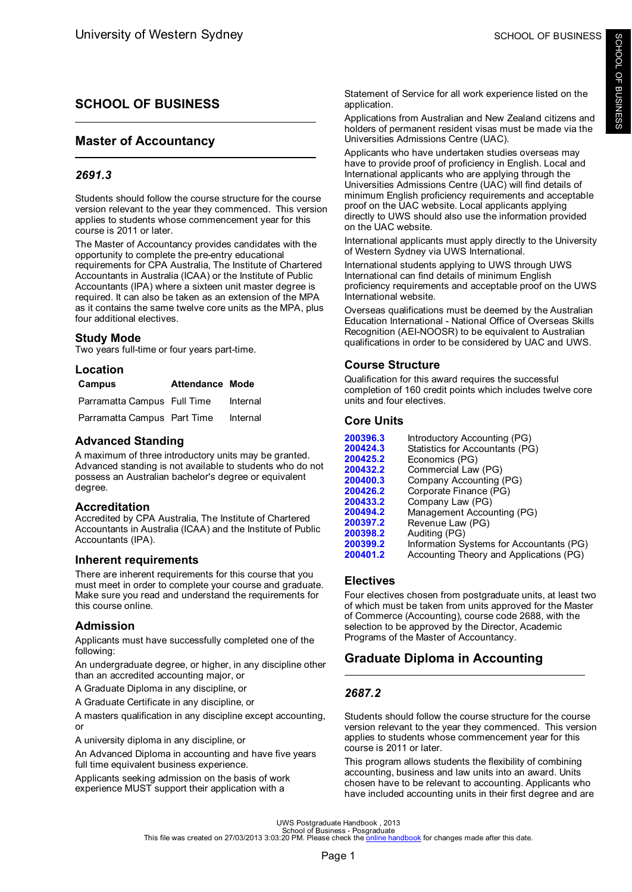# <span id="page-3-0"></span>**SCHOOL OF BUSINESS**

# **Master of Accountancy**

# *2691.3*

Students should follow the course structure for the course version relevant to the year they commenced. This version applies to students whose commencement year for this course is 2011 or later.

The Master of Accountancy provides candidates with the opportunity to complete the pre-entry educational requirements for CPA Australia, The Institute of Chartered Accountants in Australia (ICAA) or the Institute of Public Accountants (IPA) where a sixteen unit master degree is required. It can also be taken as an extension of the MPA as it contains the same twelve core units as the MPA, plus four additional electives.

### **Study Mode**

Two years full-time or four years part-time.

| Location                    |                        |          |
|-----------------------------|------------------------|----------|
| Campus                      | <b>Attendance Mode</b> |          |
| Parramatta Campus Full Time |                        | Internal |
| Parramatta Campus Part Time |                        | Internal |

# **Advanced Standing**

A maximum of three introductory units may be granted. Advanced standing is not available to students who do not possess an Australian bachelor's degree or equivalent degree.

## **Accreditation**

Accredited by CPA Australia, The Institute of Chartered Accountants in Australia (ICAA) and the Institute of Public Accountants (IPA).

## **Inherent requirements**

There are inherent requirements for this course that you must meet in order to complete your course and graduate. Make sure you read and understand the requirements for this course online.

## **Admission**

Applicants must have successfully completed one of the following:

An undergraduate degree, or higher, in any discipline other than an accredited accounting major, or

A Graduate Diploma in any discipline, or

A Graduate Certificate in any discipline, or

A masters qualification in any discipline except accounting, or

A university diploma in any discipline, or

An Advanced Diploma in accounting and have five years full time equivalent business experience.

Applicants seeking admission on the basis of work experience MUST support their application with a

Statement of Service for all work experience listed on the application.

Applications from Australian and New Zealand citizens and holders of permanent resident visas must be made via the Universities Admissions Centre (UAC).

Applicants who have undertaken studies overseas may have to provide proof of proficiency in English. Local and International applicants who are applying through the Universities Admissions Centre (UAC) will find details of minimum English proficiency requirements and acceptable proof on the UAC website. Local applicants applying directly to UWS should also use the information provided on the UAC website.

International applicants must apply directly to the University of Western Sydney via UWS International.

International students applying to UWS through UWS International can find details of minimum English proficiency requirements and acceptable proof on the UWS International website.

Overseas qualifications must be deemed by the Australian Education International - National Office of Overseas Skills Recognition (AEI-NOOSR) to be equivalent to Australian qualifications in order to be considered by UAC and UWS.

# **Course Structure**

Qualification for this award requires the successful completion of 160 credit points which includes twelve core units and four electives.

# **Core Units**

| 200396.3 | Introductory Accounting (PG)             |
|----------|------------------------------------------|
| 200424.3 | Statistics for Accountants (PG)          |
| 200425.2 | Economics (PG)                           |
| 200432.2 | Commercial Law (PG)                      |
| 200400.3 | Company Accounting (PG)                  |
| 200426.2 | Corporate Finance (PG)                   |
| 200433.2 | Company Law (PG)                         |
| 200494.2 | Management Accounting (PG)               |
| 200397.2 | Revenue Law (PG)                         |
| 200398.2 | Auditing (PG)                            |
| 200399.2 | Information Systems for Accountants (PG) |
| 200401.2 | Accounting Theory and Applications (PG)  |
|          |                                          |

## **Electives**

Four electives chosen from postgraduate units, at least two of which must be taken from units approved for the Master of Commerce (Accounting), course code 2688, with the selection to be approved by the Director, Academic Programs of the Master of Accountancy.

# **Graduate Diploma in Accounting**

## *2687.2*

Students should follow the course structure for the course version relevant to the year they commenced. This version applies to students whose commencement year for this course is 2011 or later.

This program allows students the flexibility of combining accounting, business and law units into an award. Units chosen have to be relevant to accounting. Applicants who have included accounting units in their first degree and are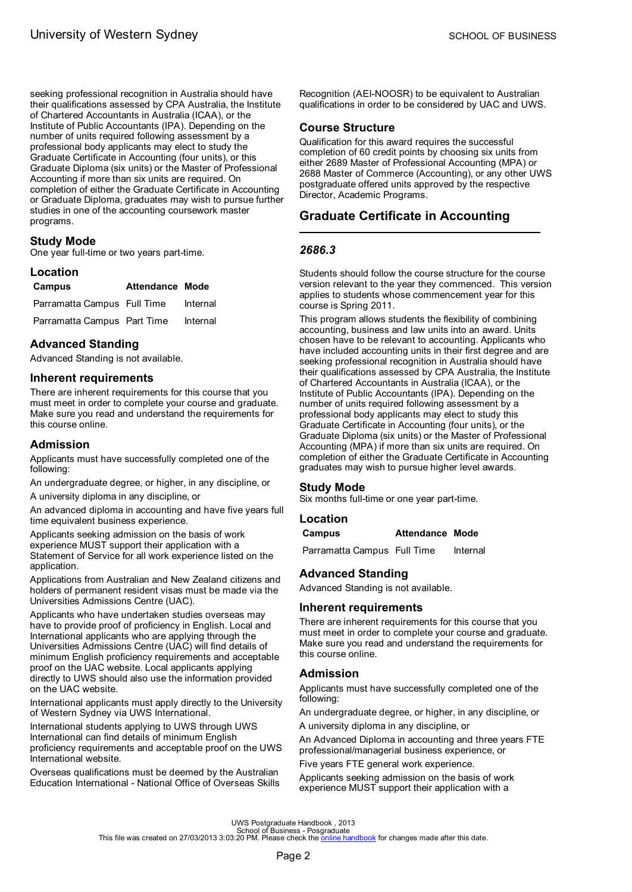<span id="page-4-0"></span>seeking professional recognition in Australia should have their qualifications assessed by CPA Australia, the Institute of Chartered Accountants in Australia (ICAA), or the Institute of Public Accountants (IPA). Depending on the number of units required following assessment by a professional body applicants may elect to study the Graduate Certificate in Accounting (four units), or this Graduate Diploma (six units) or the Master of Professional Accounting if more than six units are required. On completion of either the Graduate Certificate in Accounting or Graduate Diploma, graduates may wish to pursue further studies in one of the accounting coursework master programs.

### **Study Mode**

One year full-time or two years part-time.

### **Location**

| <b>Campus</b>               | <b>Attendance Mode</b> |          |
|-----------------------------|------------------------|----------|
| Parramatta Campus Full Time |                        | Internal |
| Parramatta Campus Part Time |                        | Internal |

# **Advanced Standing**

Advanced Standing is not available.

## **Inherent requirements**

There are inherent requirements for this course that you must meet in order to complete your course and graduate. Make sure you read and understand the requirements for this course online.

### **Admission**

Applicants must have successfully completed one of the following:

An undergraduate degree, or higher, in any discipline, or A university diploma in any discipline, or

An advanced diploma in accounting and have five years full time equivalent business experience.

Applicants seeking admission on the basis of work experience MUST support their application with a Statement of Service for all work experience listed on the application.

Applications from Australian and New Zealand citizens and holders of permanent resident visas must be made via the Universities Admissions Centre (UAC).

Applicants who have undertaken studies overseas may have to provide proof of proficiency in English. Local and International applicants who are applying through the Universities Admissions Centre (UAC) will find details of minimum English proficiency requirements and acceptable proof on the UAC website. Local applicants applying directly to UWS should also use the information provided on the UAC website.

International applicants must apply directly to the University of Western Sydney via UWS International.

International students applying to UWS through UWS International can find details of minimum English proficiency requirements and acceptable proof on the UWS International website.

Overseas qualifications must be deemed by the Australian Education International - National Office of Overseas Skills Recognition (AEI-NOOSR) to be equivalent to Australian qualifications in order to be considered by UAC and UWS.

## **Course Structure**

Qualification for this award requires the successful completion of 60 credit points by choosing six units from either 2689 Master of Professional Accounting (MPA) or 2688 Master of Commerce (Accounting), or any other UWS postgraduate offered units approved by the respective Director, Academic Programs.

# **Graduate Certificate in Accounting**

## *2686.3*

Students should follow the course structure for the course version relevant to the year they commenced. This version applies to students whose commencement year for this course is Spring 2011.

This program allows students the flexibility of combining accounting, business and law units into an award. Units chosen have to be relevant to accounting. Applicants who have included accounting units in their first degree and are seeking professional recognition in Australia should have their qualifications assessed by CPA Australia, the Institute of Chartered Accountants in Australia (ICAA), or the Institute of Public Accountants (IPA). Depending on the number of units required following assessment by a professional body applicants may elect to study this Graduate Certificate in Accounting (four units), or the Graduate Diploma (six units) or the Master of Professional Accounting (MPA) if more than six units are required. On completion of either the Graduate Certificate in Accounting graduates may wish to pursue higher level awards.

### **Study Mode**

Six months full-time or one year part-time.

### **Location**

### **Campus Attendance Mode**

Parramatta Campus Full Time Internal

## **Advanced Standing**

Advanced Standing is not available.

## **Inherent requirements**

There are inherent requirements for this course that you must meet in order to complete your course and graduate. Make sure you read and understand the requirements for this course online.

### **Admission**

Applicants must have successfully completed one of the following:

An undergraduate degree, or higher, in any discipline, or A university diploma in any discipline, or

An Advanced Diploma in accounting and three years FTE professional/managerial business experience, or

Five years FTE general work experience.

Applicants seeking admission on the basis of work experience MUST support their application with a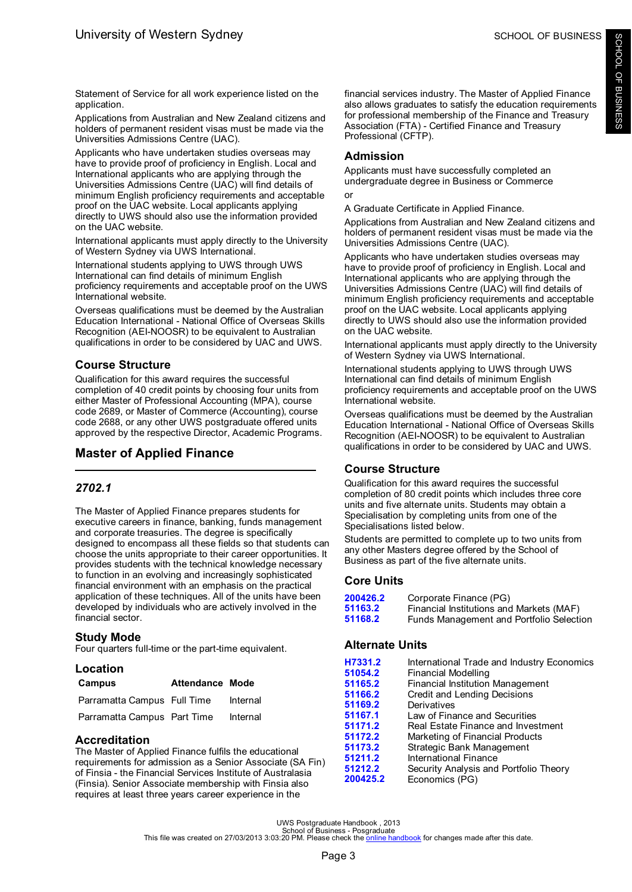<span id="page-5-0"></span>Statement of Service for all work experience listed on the application.

Applications from Australian and New Zealand citizens and holders of permanent resident visas must be made via the Universities Admissions Centre (UAC).

Applicants who have undertaken studies overseas may have to provide proof of proficiency in English. Local and International applicants who are applying through the Universities Admissions Centre (UAC) will find details of minimum English proficiency requirements and acceptable proof on the UAC website. Local applicants applying directly to UWS should also use the information provided on the UAC website.

International applicants must apply directly to the University of Western Sydney via UWS International.

International students applying to UWS through UWS International can find details of minimum English proficiency requirements and acceptable proof on the UWS International website.

Overseas qualifications must be deemed by the Australian Education International - National Office of Overseas Skills Recognition (AEI-NOOSR) to be equivalent to Australian qualifications in order to be considered by UAC and UWS.

# **Course Structure**

Qualification for this award requires the successful completion of 40 credit points by choosing four units from either Master of Professional Accounting (MPA), course code 2689, or Master of Commerce (Accounting), course code 2688, or any other UWS postgraduate offered units approved by the respective Director, Academic Programs.

# **Master of Applied Finance**

# *2702.1*

The Master of Applied Finance prepares students for executive careers in finance, banking, funds management and corporate treasuries. The degree is specifically designed to encompass all these fields so that students can choose the units appropriate to their career opportunities. It provides students with the technical knowledge necessary to function in an evolving and increasingly sophisticated financial environment with an emphasis on the practical application of these techniques. All of the units have been developed by individuals who are actively involved in the financial sector.

# **Study Mode**

Four quarters full-time or the part-time equivalent.

| Location                    |                        |          |
|-----------------------------|------------------------|----------|
| Campus                      | <b>Attendance Mode</b> |          |
| Parramatta Campus Full Time |                        | Internal |
| Parramatta Campus Part Time |                        | Internal |

# **Accreditation**

The Master of Applied Finance fulfils the educational requirements for admission as a Senior Associate (SA Fin) of Finsia - the Financial Services Institute of Australasia (Finsia). Senior Associate membership with Finsia also requires at least three years career experience in the

financial services industry. The Master of Applied Finance also allows graduates to satisfy the education requirements for professional membership of the Finance and Treasury Association (FTA) - Certified Finance and Treasury Professional (CFTP).

# **Admission**

Applicants must have successfully completed an undergraduate degree in Business or Commerce

or

A Graduate Certificate in Applied Finance.

Applications from Australian and New Zealand citizens and holders of permanent resident visas must be made via the Universities Admissions Centre (UAC).

Applicants who have undertaken studies overseas may have to provide proof of proficiency in English. Local and International applicants who are applying through the Universities Admissions Centre (UAC) will find details of minimum English proficiency requirements and acceptable proof on the UAC website. Local applicants applying directly to UWS should also use the information provided on the UAC website.

International applicants must apply directly to the University of Western Sydney via UWS International.

International students applying to UWS through UWS International can find details of minimum English proficiency requirements and acceptable proof on the UWS International website.

Overseas qualifications must be deemed by the Australian Education International - National Office of Overseas Skills Recognition (AEI-NOOSR) to be equivalent to Australian qualifications in order to be considered by UAC and UWS.

# **Course Structure**

Qualification for this award requires the successful completion of 80 credit points which includes three core units and five alternate units. Students may obtain a Specialisation by completing units from one of the Specialisations listed below.

Students are permitted to complete up to two units from any other Masters degree offered by the School of Business as part of the five alternate units.

# **Core Units**

| 200426.2 | Corporate Finance (PG)                   |
|----------|------------------------------------------|
| 51163.2  | Financial Institutions and Markets (MAF) |
| 51168.2  | Funds Management and Portfolio Selection |

# **Alternate Units**

| H7331.2  | International Trade and Industry Economics |
|----------|--------------------------------------------|
| 51054.2  | <b>Financial Modelling</b>                 |
| 51165.2  | <b>Financial Institution Management</b>    |
| 51166.2  | Credit and Lending Decisions               |
| 51169.2  | Derivatives                                |
| 51167.1  | Law of Finance and Securities              |
| 51171.2  | Real Estate Finance and Investment         |
| 51172.2  | Marketing of Financial Products            |
| 51173.2  | Strategic Bank Management                  |
| 51211.2  | International Finance                      |
| 51212.2  | Security Analysis and Portfolio Theory     |
| 200425.2 | Economics (PG)                             |
|          |                                            |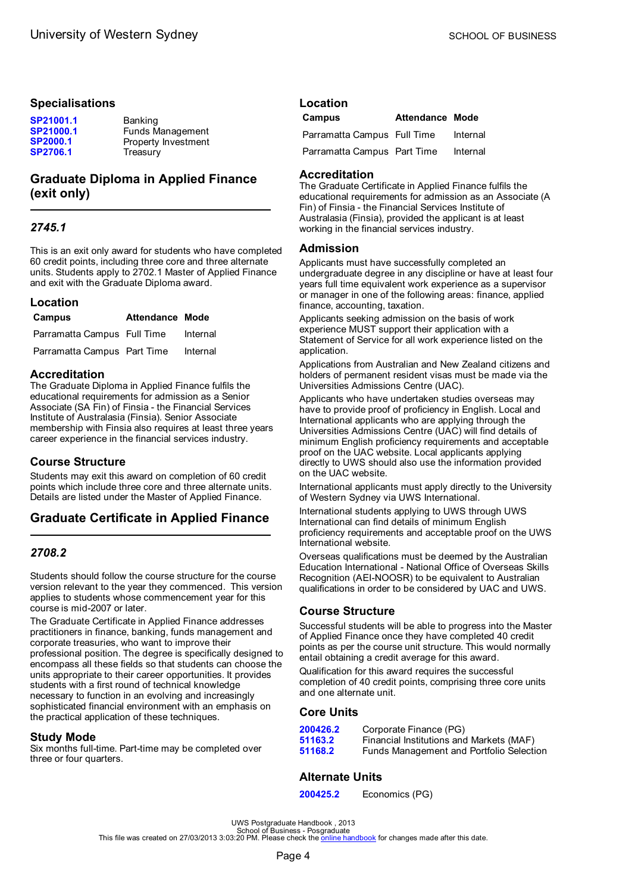### <span id="page-6-0"></span>**Specialisations**

| SP21001.1       | <b>Banking</b>      |
|-----------------|---------------------|
| SP21000.1       | Funds Management    |
| <b>SP2000.1</b> | Property Investment |
| <b>SP2706.1</b> | Treasury            |

# **Graduate Diploma in Applied Finance (exit only)**

## *2745.1*

This is an exit only award for students who have completed 60 credit points, including three core and three alternate units. Students apply to 2702.1 Master of Applied Finance and exit with the Graduate Diploma award.

#### **Location**

| <b>Campus</b>               | <b>Attendance Mode</b> |          |
|-----------------------------|------------------------|----------|
| Parramatta Campus Full Time |                        | Internal |
| Parramatta Campus Part Time |                        | Internal |

### **Accreditation**

The Graduate Diploma in Applied Finance fulfils the educational requirements for admission as a Senior Associate (SA Fin) of Finsia - the Financial Services Institute of Australasia (Finsia). Senior Associate membership with Finsia also requires at least three years career experience in the financial services industry.

## **Course Structure**

Students may exit this award on completion of 60 credit points which include three core and three alternate units. Details are listed under the Master of Applied Finance.

# **Graduate Certificate in Applied Finance**

## *2708.2*

Students should follow the course structure for the course version relevant to the year they commenced. This version applies to students whose commencement year for this course is mid-2007 or later.

The Graduate Certificate in Applied Finance addresses practitioners in finance, banking, funds management and corporate treasuries, who want to improve their professional position. The degree is specifically designed to encompass all these fields so that students can choose the units appropriate to their career opportunities. It provides students with a first round of technical knowledge necessary to function in an evolving and increasingly sophisticated financial environment with an emphasis on the practical application of these techniques.

## **Study Mode**

Six months full-time. Part-time may be completed over three or four quarters.

| Location |                        |  |
|----------|------------------------|--|
| Campus   | <b>Attendance Mode</b> |  |

| Parramatta Campus Full Time | Internal |
|-----------------------------|----------|
| Parramatta Campus Part Time | Internal |

### **Accreditation**

The Graduate Certificate in Applied Finance fulfils the educational requirements for admission as an Associate (A Fin) of Finsia - the Financial Services Institute of Australasia (Finsia), provided the applicant is at least working in the financial services industry.

### **Admission**

Applicants must have successfully completed an undergraduate degree in any discipline or have at least four years full time equivalent work experience as a supervisor or manager in one of the following areas: finance, applied finance, accounting, taxation.

Applicants seeking admission on the basis of work experience MUST support their application with a Statement of Service for all work experience listed on the application.

Applications from Australian and New Zealand citizens and holders of permanent resident visas must be made via the Universities Admissions Centre (UAC).

Applicants who have undertaken studies overseas may have to provide proof of proficiency in English. Local and International applicants who are applying through the Universities Admissions Centre (UAC) will find details of minimum English proficiency requirements and acceptable proof on the UAC website. Local applicants applying directly to UWS should also use the information provided on the UAC website.

International applicants must apply directly to the University of Western Sydney via UWS International.

International students applying to UWS through UWS International can find details of minimum English proficiency requirements and acceptable proof on the UWS International website.

Overseas qualifications must be deemed by the Australian Education International - National Office of Overseas Skills Recognition (AEI-NOOSR) to be equivalent to Australian qualifications in order to be considered by UAC and UWS.

## **Course Structure**

Successful students will be able to progress into the Master of Applied Finance once they have completed 40 credit points as per the course unit structure. This would normally entail obtaining a credit average for this award.

Qualification for this award requires the successful completion of 40 credit points, comprising three core units and one alternate unit.

### **Core Units**

| 200426.2 | Corporate Finance (PG)                   |
|----------|------------------------------------------|
| 51163.2  | Financial Institutions and Markets (MAF) |
| 51168.2  | Funds Management and Portfolio Selection |

## **Alternate Units**

**[200425.2](#page-42-0)** Economics (PG)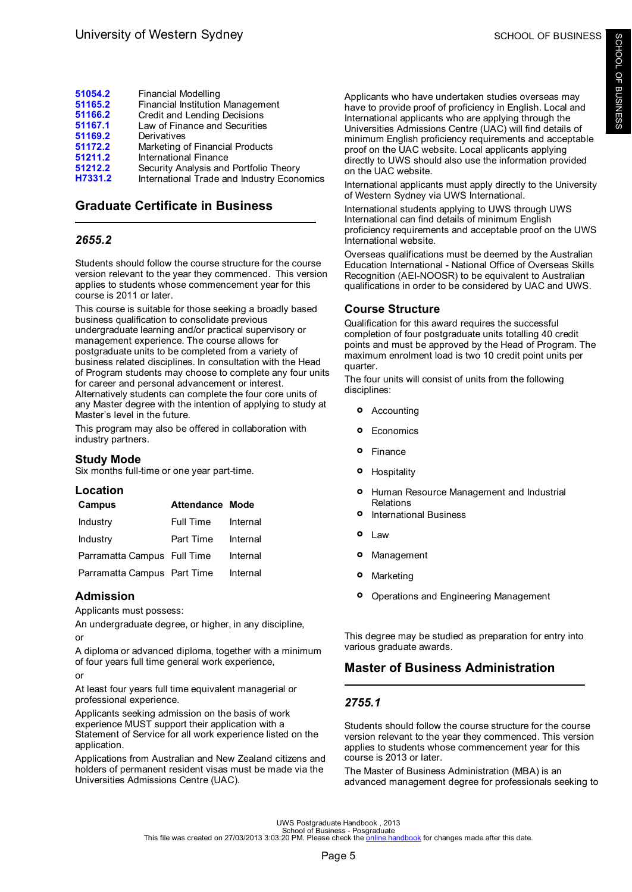<span id="page-7-0"></span>

| 51054.2 | <b>Financial Modelling</b>                 |
|---------|--------------------------------------------|
| 51165.2 | <b>Financial Institution Management</b>    |
| 51166.2 | Credit and Lending Decisions               |
| 51167.1 | Law of Finance and Securities              |
| 51169.2 | Derivatives                                |
| 51172.2 | Marketing of Financial Products            |
| 51211.2 | International Finance                      |
| 51212.2 | Security Analysis and Portfolio Theory     |
| H7331.2 | International Trade and Industry Economics |
|         |                                            |

# **Graduate Certificate in Business**

# *2655.2*

Students should follow the course structure for the course version relevant to the year they commenced. This version applies to students whose commencement year for this course is 2011 or later.

This course is suitable for those seeking a broadly based business qualification to consolidate previous undergraduate learning and/or practical supervisory or management experience. The course allows for postgraduate units to be completed from a variety of business related disciplines. In consultation with the Head of Program students may choose to complete any four units for career and personal advancement or interest. Alternatively students can complete the four core units of any Master degree with the intention of applying to study at Master's level in the future.

This program may also be offered in collaboration with industry partners.

## **Study Mode**

Six months full-time or one year part-time.

### **Location**

| <b>Campus</b>               | <b>Attendance Mode</b> |          |
|-----------------------------|------------------------|----------|
| Industry                    | <b>Full Time</b>       | Internal |
| Industry                    | Part Time              | Internal |
| Parramatta Campus Full Time |                        | Internal |
| Parramatta Campus Part Time |                        | Internal |

## **Admission**

Applicants must possess:

An undergraduate degree, or higher, in any discipline, or

A diploma or advanced diploma, together with a minimum of four years full time general work experience,

#### or

At least four years full time equivalent managerial or professional experience.

Applicants seeking admission on the basis of work experience MUST support their application with a Statement of Service for all work experience listed on the application.

Applications from Australian and New Zealand citizens and holders of permanent resident visas must be made via the Universities Admissions Centre (UAC).

Applicants who have undertaken studies overseas may have to provide proof of proficiency in English. Local and International applicants who are applying through the Universities Admissions Centre (UAC) will find details of minimum English proficiency requirements and acceptable proof on the UAC website. Local applicants applying directly to UWS should also use the information provided on the UAC website.

International applicants must apply directly to the University of Western Sydney via UWS International.

International students applying to UWS through UWS International can find details of minimum English proficiency requirements and acceptable proof on the UWS International website.

Overseas qualifications must be deemed by the Australian Education International - National Office of Overseas Skills Recognition (AEI-NOOSR) to be equivalent to Australian qualifications in order to be considered by UAC and UWS.

# **Course Structure**

Qualification for this award requires the successful completion of four postgraduate units totalling 40 credit points and must be approved by the Head of Program. The maximum enrolment load is two 10 credit point units per quarter.

The four units will consist of units from the following disciplines:

- **°** Accounting
- **°** Economics
- **°** Finance
- **° Hospitality**
- **°** Human Resource Management and Industrial Relations
- **°** International Business
- **°** Law
- **°** Management
- **°** Marketing
- **°** Operations and Engineering Management

This degree may be studied as preparation for entry into various graduate awards.

# **Master of Business Administration**

# *2755.1*

Students should follow the course structure for the course version relevant to the year they commenced. This version applies to students whose commencement year for this course is 2013 or later.

The Master of Business Administration (MBA) is an advanced management degree for professionals seeking to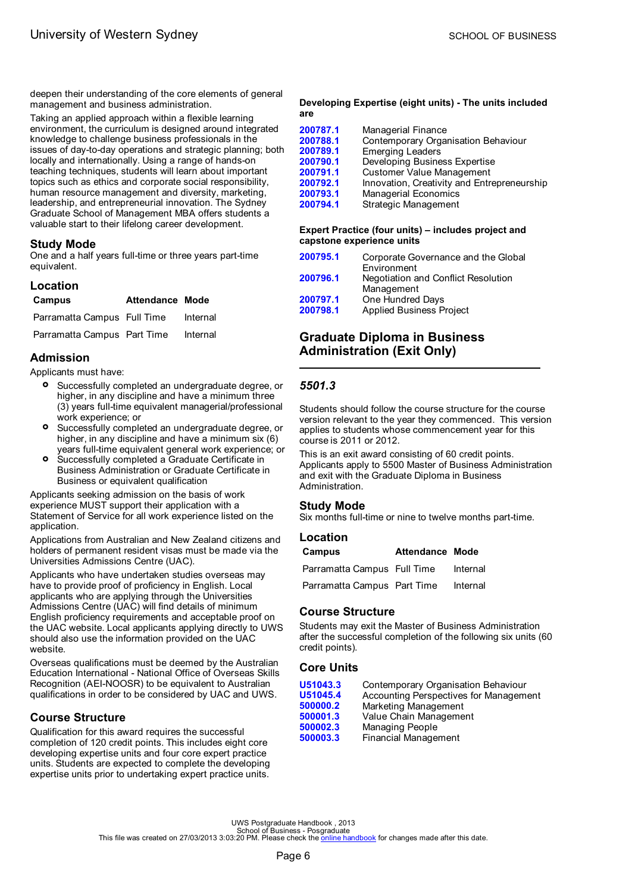<span id="page-8-0"></span>deepen their understanding of the core elements of general management and business administration.

Taking an applied approach within a flexible learning environment, the curriculum is designed around integrated knowledge to challenge business professionals in the issues of day-to-day operations and strategic planning; both locally and internationally. Using a range of hands-on teaching techniques, students will learn about important topics such as ethics and corporate social responsibility, human resource management and diversity, marketing, leadership, and entrepreneurial innovation. The Sydney Graduate School of Management MBA offers students a valuable start to their lifelong career development.

### **Study Mode**

One and a half years full-time or three years part-time equivalent.

| Location                             |                        |          |
|--------------------------------------|------------------------|----------|
| <b>Campus</b>                        | <b>Attendance Mode</b> |          |
| Parramatta Campus Full Time          |                        | Internal |
| Parramatta Campus Part Time Internal |                        |          |

## **Admission**

Applicants must have:

- **•** Successfully completed an undergraduate degree, or higher in any discipline and have a minimum three higher, in any discipline and have a minimum three (3) years full-time equivalent managerial/professional work experience; or
- **•** Successfully completed an undergraduate degree, or higher in any discipline and have a minimum six (6) higher, in any discipline and have a minimum six (6) years full-time equivalent general work experience; or
- **°** Successfully completed a Graduate Certificate in Business Administration or Graduate Certificate in Business or equivalent qualification

Applicants seeking admission on the basis of work experience MUST support their application with a Statement of Service for all work experience listed on the application.

Applications from Australian and New Zealand citizens and holders of permanent resident visas must be made via the Universities Admissions Centre (UAC).

Applicants who have undertaken studies overseas may have to provide proof of proficiency in English. Local applicants who are applying through the Universities Admissions Centre (UAC) will find details of minimum English proficiency requirements and acceptable proof on the UAC website. Local applicants applying directly to UWS should also use the information provided on the UAC website.

Overseas qualifications must be deemed by the Australian Education International - National Office of Overseas Skills Recognition (AEI-NOOSR) to be equivalent to Australian qualifications in order to be considered by UAC and UWS.

# **Course Structure**

Qualification for this award requires the successful completion of 120 credit points. This includes eight core developing expertise units and four core expert practice units. Students are expected to complete the developing expertise units prior to undertaking expert practice units.

#### **Developing Expertise (eight units) - The units included are**

| <b>Strategic Management</b><br>200794.1 | 200787.1<br>200788.1<br>200789.1<br>200790.1<br>200791.1<br>200792.1<br>200793.1 | Managerial Finance<br>Contemporary Organisation Behaviour<br><b>Emerging Leaders</b><br>Developing Business Expertise<br><b>Customer Value Management</b><br>Innovation, Creativity and Entrepreneurship<br><b>Managerial Economics</b> |
|-----------------------------------------|----------------------------------------------------------------------------------|-----------------------------------------------------------------------------------------------------------------------------------------------------------------------------------------------------------------------------------------|
|-----------------------------------------|----------------------------------------------------------------------------------|-----------------------------------------------------------------------------------------------------------------------------------------------------------------------------------------------------------------------------------------|

#### **Expert Practice (four units) – includes project and capstone experience units**

| 200795.1             | Corporate Governance and the Global<br>Environment  |
|----------------------|-----------------------------------------------------|
| 200796.1             | Negotiation and Conflict Resolution<br>Management   |
| 200797.1<br>200798.1 | One Hundred Days<br><b>Applied Business Project</b> |

# **Graduate Diploma in Business Administration (Exit Only)**

## *5501.3*

Students should follow the course structure for the course version relevant to the year they commenced. This version applies to students whose commencement year for this course is 2011 or 2012.

This is an exit award consisting of 60 credit points. Applicants apply to 5500 Master of Business Administration and exit with the Graduate Diploma in Business Administration.

## **Study Mode**

Six months full-time or nine to twelve months part-time.

| Location |                        |  |
|----------|------------------------|--|
| Campus   | <b>Attendance Mode</b> |  |

| Parramatta Campus Full Time | Internal |
|-----------------------------|----------|
| Parramatta Campus Part Time | Internal |

## **Course Structure**

Students may exit the Master of Business Administration after the successful completion of the following six units (60 credit points).

### **Core Units**

| U51043.3 | Contemporary Organisation Behaviour    |
|----------|----------------------------------------|
| U51045.4 | Accounting Perspectives for Management |
| 500000.2 | Marketing Management                   |
| 500001.3 | Value Chain Management                 |
| 500002.3 | Managing People                        |
| 500003.3 | <b>Financial Management</b>            |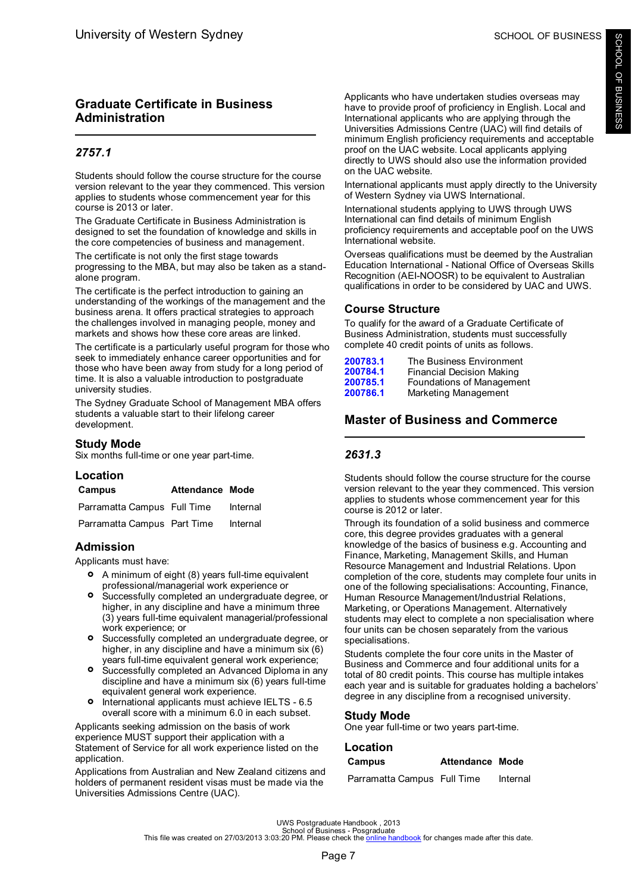# <span id="page-9-0"></span>**Graduate Certificate in Business Administration**

# *2757.1*

Students should follow the course structure for the course version relevant to the year they commenced. This version applies to students whose commencement year for this course is 2013 or later.

The Graduate Certificate in Business Administration is designed to set the foundation of knowledge and skills in the core competencies of business and management.

The certificate is not only the first stage towards progressing to the MBA, but may also be taken as a standalone program.

The certificate is the perfect introduction to gaining an understanding of the workings of the management and the business arena. It offers practical strategies to approach the challenges involved in managing people, money and markets and shows how these core areas are linked.

The certificate is a particularly useful program for those who seek to immediately enhance career opportunities and for those who have been away from study for a long period of time. It is also a valuable introduction to postgraduate university studies.

The Sydney Graduate School of Management MBA offers students a valuable start to their lifelong career development.

## **Study Mode**

Six months full-time or one year part-time.

## **Location**

| <b>Campus</b>               | Attendance Mode |          |
|-----------------------------|-----------------|----------|
| Parramatta Campus Full Time |                 | Internal |
| Parramatta Campus Part Time |                 | Internal |

# **Admission**

Applicants must have:

- **°** A minimum of eight (8) years full-time equivalent professional/managerial work experience or
- **°** Successfully completed an undergraduate degree, or higher, in any discipline and have a minimum three (3) years full-time equivalent managerial/professional work experience; or
- **•** Successfully completed an undergraduate degree, or higher in any discipline and have a minimum six (6) higher, in any discipline and have a minimum six (6) years full-time equivalent general work experience;
- **•** Successfully completed an Advanced Diploma in any discipline and have a minimum six (6) years full-time discipline and have a minimum six (6) years full-time equivalent general work experience.
- **°** International applicants must achieve IELTS - 6.5 overall score with a minimum 6.0 in each subset.

Applicants seeking admission on the basis of work experience MUST support their application with a Statement of Service for all work experience listed on the application.

Applications from Australian and New Zealand citizens and holders of permanent resident visas must be made via the Universities Admissions Centre (UAC).

Applicants who have undertaken studies overseas may have to provide proof of proficiency in English. Local and International applicants who are applying through the Universities Admissions Centre (UAC) will find details of minimum English proficiency requirements and acceptable proof on the UAC website. Local applicants applying directly to UWS should also use the information provided on the UAC website.

International applicants must apply directly to the University of Western Sydney via UWS International.

International students applying to UWS through UWS International can find details of minimum English proficiency requirements and acceptable poof on the UWS International website.

Overseas qualifications must be deemed by the Australian Education International - National Office of Overseas Skills Recognition (AEI-NOOSR) to be equivalent to Australian qualifications in order to be considered by UAC and UWS.

# **Course Structure**

To qualify for the award of a Graduate Certificate of Business Administration, students must successfully complete 40 credit points of units as follows.

| 200783.1 | The Business Environment  |
|----------|---------------------------|
| 200784.1 | Financial Decision Making |
| 200785.1 | Foundations of Management |
| 200786.1 | Marketing Management      |

# **Master of Business and Commerce**

# *2631.3*

Students should follow the course structure for the course version relevant to the year they commenced. This version applies to students whose commencement year for this course is 2012 or later.

Through its foundation of a solid business and commerce core, this degree provides graduates with a general knowledge of the basics of business e.g. Accounting and Finance, Marketing, Management Skills, and Human Resource Management and Industrial Relations. Upon completion of the core, students may complete four units in one of the following specialisations: Accounting, Finance, Human Resource Management/Industrial Relations, Marketing, or Operations Management. Alternatively students may elect to complete a non specialisation where four units can be chosen separately from the various specialisations.

Students complete the four core units in the Master of Business and Commerce and four additional units for a total of 80 credit points. This course has multiple intakes each year and is suitable for graduates holding a bachelors' degree in any discipline from a recognised university.

## **Study Mode**

One year full-time or two years part-time.

## **Location**

| Campus                      | <b>Attendance Mode</b> |          |
|-----------------------------|------------------------|----------|
| Parramatta Campus Full Time |                        | Internal |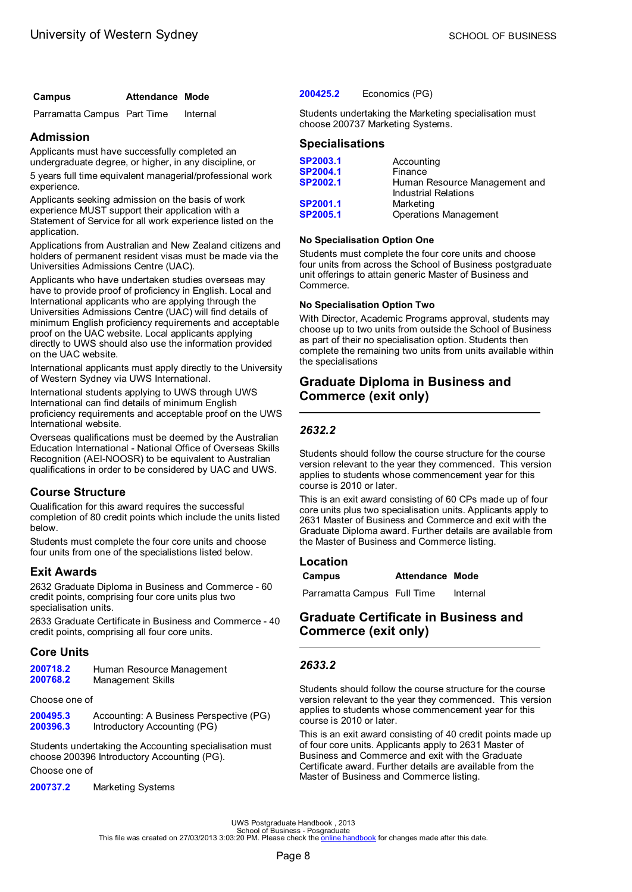## <span id="page-10-0"></span>**Campus Attendance Mode**

Parramatta Campus Part Time Internal

## **Admission**

Applicants must have successfully completed an undergraduate degree, or higher, in any discipline, or

5 years full time equivalent managerial/professional work experience.

Applicants seeking admission on the basis of work experience MUST support their application with a Statement of Service for all work experience listed on the application.

Applications from Australian and New Zealand citizens and holders of permanent resident visas must be made via the Universities Admissions Centre (UAC).

Applicants who have undertaken studies overseas may have to provide proof of proficiency in English. Local and International applicants who are applying through the Universities Admissions Centre (UAC) will find details of minimum English proficiency requirements and acceptable proof on the UAC website. Local applicants applying directly to UWS should also use the information provided on the UAC website.

International applicants must apply directly to the University of Western Sydney via UWS International.

International students applying to UWS through UWS International can find details of minimum English proficiency requirements and acceptable proof on the UWS International website.

Overseas qualifications must be deemed by the Australian Education International - National Office of Overseas Skills Recognition (AEI-NOOSR) to be equivalent to Australian qualifications in order to be considered by UAC and UWS.

## **Course Structure**

Qualification for this award requires the successful completion of 80 credit points which include the units listed below.

Students must complete the four core units and choose four units from one of the specialistions listed below.

## **Exit Awards**

2632 Graduate Diploma in Business and Commerce - 60 credit points, comprising four core units plus two specialisation units.

2633 Graduate Certificate in Business and Commerce - 40 credit points, comprising all four core units.

## **Core Units**

| 200718.2 | Human Resource Management |
|----------|---------------------------|
| 200768.2 | Management Skills         |

Choose one of

| 200495.3 | Accounting: A Business Perspective (PG) |  |
|----------|-----------------------------------------|--|
| 200396.3 | Introductory Accounting (PG)            |  |

Students undertaking the Accounting specialisation must choose 200396 Introductory Accounting (PG).

Choose one of

**[200737.2](#page-52-0)** Marketing Systems

#### **[200425.2](#page-42-0)** Economics (PG)

Students undertaking the Marketing specialisation must choose 200737 Marketing Systems.

# **Specialisations**

| SP2003.1 | Accounting                                                   |
|----------|--------------------------------------------------------------|
| SP2004.1 | Finance                                                      |
| SP2002.1 | Human Resource Management and<br><b>Industrial Relations</b> |
| SP2001.1 | Marketing                                                    |
| SP2005.1 | <b>Operations Management</b>                                 |

#### **No Specialisation Option One**

Students must complete the four core units and choose four units from across the School of Business postgraduate unit offerings to attain generic Master of Business and Commerce.

#### **No Specialisation Option Two**

With Director, Academic Programs approval, students may choose up to two units from outside the School of Business as part of their no specialisation option. Students then complete the remaining two units from units available within the specialisations

# **Graduate Diploma in Business and Commerce (exit only)**

# *2632.2*

Students should follow the course structure for the course version relevant to the year they commenced. This version applies to students whose commencement year for this course is 2010 or later.

This is an exit award consisting of 60 CPs made up of four core units plus two specialisation units. Applicants apply to 2631 Master of Business and Commerce and exit with the Graduate Diploma award. Further details are available from the Master of Business and Commerce listing.

### **Location**

**Campus Attendance Mode**

Parramatta Campus Full Time Internal

# **Graduate Certificate in Business and Commerce (exit only)**

### *2633.2*

Students should follow the course structure for the course version relevant to the year they commenced. This version applies to students whose commencement year for this course is 2010 or later.

This is an exit award consisting of 40 credit points made up of four core units. Applicants apply to 2631 Master of Business and Commerce and exit with the Graduate Certificate award. Further details are available from the Master of Business and Commerce listing.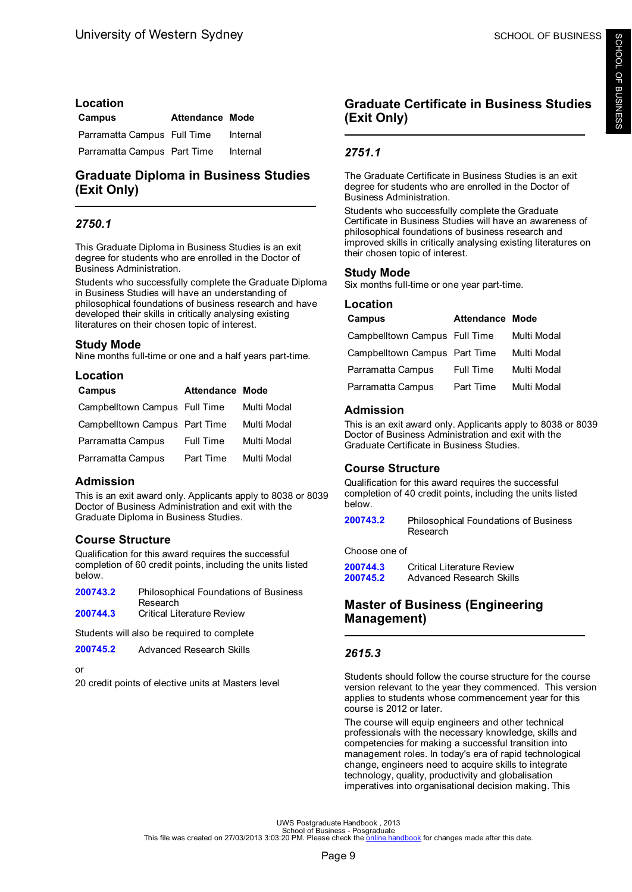# <span id="page-11-0"></span>**Location Campus Attendance Mode** Parramatta Campus Full Time Internal Parramatta Campus Part Time Internal

# **Graduate Diploma in Business Studies (Exit Only)**

# *2750.1*

This Graduate Diploma in Business Studies is an exit degree for students who are enrolled in the Doctor of Business Administration.

Students who successfully complete the Graduate Diploma in Business Studies will have an understanding of philosophical foundations of business research and have developed their skills in critically analysing existing literatures on their chosen topic of interest.

# **Study Mode**

Nine months full-time or one and a half years part-time.

# **Location**

| Campus                        | <b>Attendance Mode</b> |             |
|-------------------------------|------------------------|-------------|
| Campbelltown Campus Full Time |                        | Multi Modal |
| Campbelltown Campus Part Time |                        | Multi Modal |
| Parramatta Campus             | Full Time              | Multi Modal |
| Parramatta Campus             | Part Time              | Multi Modal |

## **Admission**

This is an exit award only. Applicants apply to 8038 or 8039 Doctor of Business Administration and exit with the Graduate Diploma in Business Studies.

# **Course Structure**

Qualification for this award requires the successful completion of 60 credit points, including the units listed below.

**[200743.2](#page-54-0)** Philosophical Foundations of Business Research **[200744.3](#page-40-0)** Critical Literature Review

Students will also be required to complete

**[200745.2](#page-34-0)** Advanced Research Skills

or

20 credit points of elective units at Masters level

# **Graduate Certificate in Business Studies (Exit Only)**

# *2751.1*

The Graduate Certificate in Business Studies is an exit degree for students who are enrolled in the Doctor of Business Administration.

Students who successfully complete the Graduate Certificate in Business Studies will have an awareness of philosophical foundations of business research and improved skills in critically analysing existing literatures on their chosen topic of interest.

# **Study Mode**

Six months full-time or one year part-time.

### **Location**

| Campus                        | <b>Attendance Mode</b> |             |
|-------------------------------|------------------------|-------------|
| Campbelltown Campus Full Time |                        | Multi Modal |
| Campbelltown Campus Part Time |                        | Multi Modal |
| Parramatta Campus             | <b>Full Time</b>       | Multi Modal |
| Parramatta Campus             | Part Time              | Multi Modal |

## **Admission**

This is an exit award only. Applicants apply to 8038 or 8039 Doctor of Business Administration and exit with the Graduate Certificate in Business Studies.

## **Course Structure**

Qualification for this award requires the successful completion of 40 credit points, including the units listed below.

**[200743.2](#page-54-0)** Philosophical Foundations of Business Research

Choose one of

| 200744.3 | Critical Literature Review |
|----------|----------------------------|
| 200745.2 | Advanced Research Skills   |

# **Master of Business (Engineering Management)**

# *2615.3*

Students should follow the course structure for the course version relevant to the year they commenced. This version applies to students whose commencement year for this course is 2012 or later.

The course will equip engineers and other technical professionals with the necessary knowledge, skills and competencies for making a successful transition into management roles. In today's era of rapid technological change, engineers need to acquire skills to integrate technology, quality, productivity and globalisation imperatives into organisational decision making. This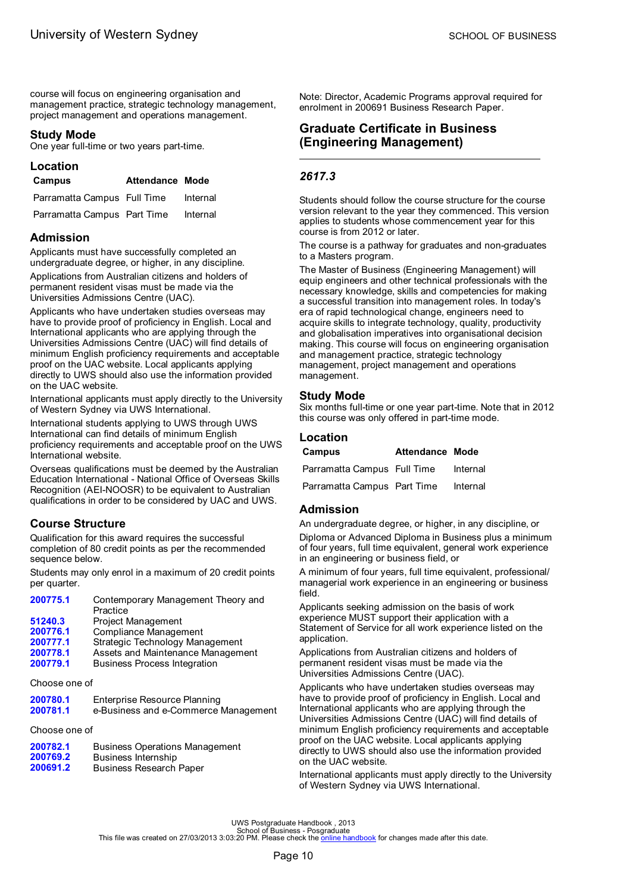<span id="page-12-0"></span>course will focus on engineering organisation and management practice, strategic technology management, project management and operations management.

### **Study Mode**

One year full-time or two years part-time.

# **Location**

### **Campus Attendance Mode**

| Parramatta Campus Full Time | Internal |
|-----------------------------|----------|
| Parramatta Campus Part Time | Internal |

### **Admission**

Applicants must have successfully completed an undergraduate degree, or higher, in any discipline.

Applications from Australian citizens and holders of permanent resident visas must be made via the Universities Admissions Centre (UAC).

Applicants who have undertaken studies overseas may have to provide proof of proficiency in English. Local and International applicants who are applying through the Universities Admissions Centre (UAC) will find details of minimum English proficiency requirements and acceptable proof on the UAC website. Local applicants applying directly to UWS should also use the information provided on the UAC website.

International applicants must apply directly to the University of Western Sydney via UWS International.

International students applying to UWS through UWS International can find details of minimum English proficiency requirements and acceptable proof on the UWS International website.

Overseas qualifications must be deemed by the Australian Education International - National Office of Overseas Skills Recognition (AEI-NOOSR) to be equivalent to Australian qualifications in order to be considered by UAC and UWS.

## **Course Structure**

Qualification for this award requires the successful completion of 80 credit points as per the recommended sequence below.

Students may only enrol in a maximum of 20 credit points per quarter.

| 200775.1 | Contemporary Management Theory and  |
|----------|-------------------------------------|
|          | Practice                            |
| 51240.3  | Project Management                  |
| 200776.1 | Compliance Management               |
| 0007774  | $O$ tratagia Taghnalagu Managangant |

- **[200777.1](#page-59-0)** Strategic Technology Management<br>**200778.1** Assets and Maintenance Managem
- **[200778.1](#page-35-0)** Assets and Maintenance Management **[200779.1](#page-37-0)** Business Process Integration

## Choose one of

| 200780.1 | <b>Enterprise Resource Planning</b>  |
|----------|--------------------------------------|
| 200781.1 | e-Business and e-Commerce Management |

## Choose one of

| 200782.1 | <b>Business Operations Management</b> |
|----------|---------------------------------------|
| 200769.2 | Business Internship                   |
| 200691.2 | <b>Business Research Paper</b>        |

Note: Director, Academic Programs approval required for enrolment in 200691 Business Research Paper.

# **Graduate Certificate in Business (Engineering Management)**

# *2617.3*

Students should follow the course structure for the course version relevant to the year they commenced. This version applies to students whose commencement year for this course is from 2012 or later.

The course is a pathway for graduates and non-graduates to a Masters program.

The Master of Business (Engineering Management) will equip engineers and other technical professionals with the necessary knowledge, skills and competencies for making a successful transition into management roles. In today's era of rapid technological change, engineers need to acquire skills to integrate technology, quality, productivity and globalisation imperatives into organisational decision making. This course will focus on engineering organisation and management practice, strategic technology management, project management and operations management.

### **Study Mode**

Six months full-time or one year part-time. Note that in 2012 this course was only offered in part-time mode.

## **Location**

| Campus                      | <b>Attendance Mode</b> |          |
|-----------------------------|------------------------|----------|
| Parramatta Campus Full Time |                        | Internal |
| Parramatta Campus Part Time |                        | Internal |

## **Admission**

An undergraduate degree, or higher, in any discipline, or Diploma or Advanced Diploma in Business plus a minimum of four years, full time equivalent, general work experience in an engineering or business field, or

A minimum of four years, full time equivalent, professional/ managerial work experience in an engineering or business field.

Applicants seeking admission on the basis of work experience MUST support their application with a Statement of Service for all work experience listed on the application.

Applications from Australian citizens and holders of permanent resident visas must be made via the Universities Admissions Centre (UAC).

Applicants who have undertaken studies overseas may have to provide proof of proficiency in English. Local and International applicants who are applying through the Universities Admissions Centre (UAC) will find details of minimum English proficiency requirements and acceptable proof on the UAC website. Local applicants applying directly to UWS should also use the information provided on the UAC website.

International applicants must apply directly to the University of Western Sydney via UWS International.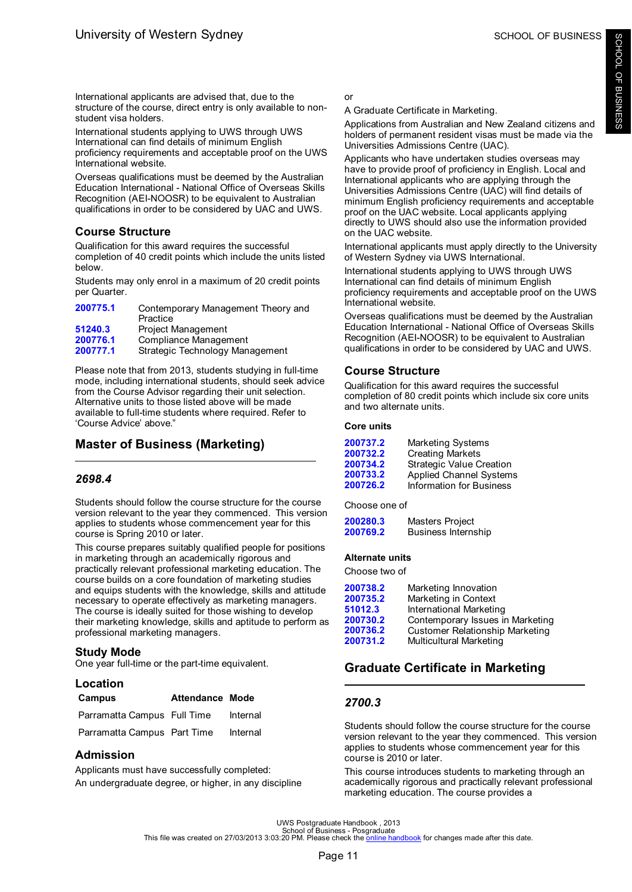<span id="page-13-0"></span>International applicants are advised that, due to the structure of the course, direct entry is only available to nonstudent visa holders.

International students applying to UWS through UWS International can find details of minimum English proficiency requirements and acceptable proof on the UWS International website.

Overseas qualifications must be deemed by the Australian Education International - National Office of Overseas Skills Recognition (AEI-NOOSR) to be equivalent to Australian qualifications in order to be considered by UAC and UWS.

# **Course Structure**

Qualification for this award requires the successful completion of 40 credit points which include the units listed below.

Students may only enrol in a maximum of 20 credit points per Quarter.

| 200775.1 | Contemporary Management Theory and<br>Practice |
|----------|------------------------------------------------|
| 51240.3  | <b>Project Management</b>                      |
| 200776.1 | Compliance Management                          |
| 200777.1 | Strategic Technology Management                |

Please note that from 2013, students studying in full-time mode, including international students, should seek advice from the Course Advisor regarding their unit selection. Alternative units to those listed above will be made available to full-time students where required. Refer to 'Course Advice' above."

# **Master of Business (Marketing)**

# *2698.4*

Students should follow the course structure for the course version relevant to the year they commenced. This version applies to students whose commencement year for this course is Spring 2010 or later.

This course prepares suitably qualified people for positions in marketing through an academically rigorous and practically relevant professional marketing education. The course builds on a core foundation of marketing studies and equips students with the knowledge, skills and attitude necessary to operate effectively as marketing managers. The course is ideally suited for those wishing to develop their marketing knowledge, skills and aptitude to perform as professional marketing managers.

# **Study Mode**

One year full-time or the part-time equivalent.

# **Location**

| Campus                      | <b>Attendance Mode</b> |          |
|-----------------------------|------------------------|----------|
| Parramatta Campus Full Time |                        | Internal |
| Parramatta Campus Part Time |                        | Internal |

# **Admission**

Applicants must have successfully completed: An undergraduate degree, or higher, in any discipline or

## A Graduate Certificate in Marketing.

Applications from Australian and New Zealand citizens and holders of permanent resident visas must be made via the Universities Admissions Centre (UAC).

Applicants who have undertaken studies overseas may have to provide proof of proficiency in English. Local and International applicants who are applying through the Universities Admissions Centre (UAC) will find details of minimum English proficiency requirements and acceptable proof on the UAC website. Local applicants applying directly to UWS should also use the information provided on the UAC website.

International applicants must apply directly to the University of Western Sydney via UWS International.

International students applying to UWS through UWS International can find details of minimum English proficiency requirements and acceptable proof on the UWS International website.

Overseas qualifications must be deemed by the Australian Education International - National Office of Overseas Skills Recognition (AEI-NOOSR) to be equivalent to Australian qualifications in order to be considered by UAC and UWS.

# **Course Structure**

Qualification for this award requires the successful completion of 80 credit points which include six core units and two alternate units.

### **Core units**

| 200737.2 | <b>Marketing Systems</b>        |
|----------|---------------------------------|
| 200732.2 | <b>Creating Markets</b>         |
| 200734.2 | <b>Strategic Value Creation</b> |
| 200733.2 | <b>Applied Channel Systems</b>  |
| 200726.2 | Information for Business        |

Choose one of

| 200280.3 | Masters Project     |
|----------|---------------------|
| 200769.2 | Business Internship |

# **Alternate units**

Choose two of

| 200738.2 | Marketing Innovation             |
|----------|----------------------------------|
| 200735.2 | Marketing in Context             |
| 51012.3  | International Marketing          |
| 200730.2 | Contemporary Issues in Marketing |
| 200736.2 | Customer Relationship Marketing  |
| 200731.2 | Multicultural Marketing          |

# **Graduate Certificate in Marketing**

# *2700.3*

Students should follow the course structure for the course version relevant to the year they commenced. This version applies to students whose commencement year for this course is 2010 or later.

This course introduces students to marketing through an academically rigorous and practically relevant professional marketing education. The course provides a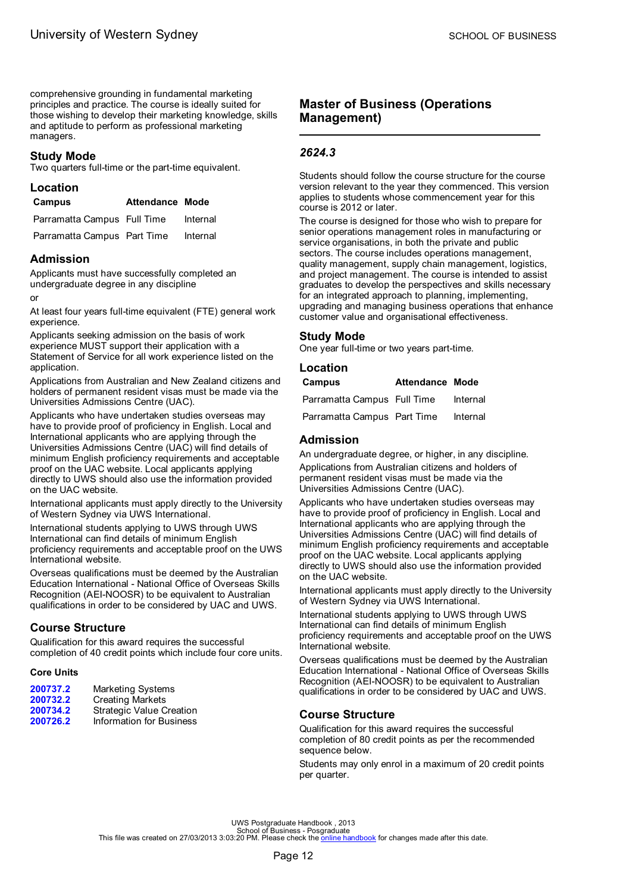<span id="page-14-0"></span>comprehensive grounding in fundamental marketing principles and practice. The course is ideally suited for those wishing to develop their marketing knowledge, skills and aptitude to perform as professional marketing managers.

## **Study Mode**

Two quarters full-time or the part-time equivalent.

### **Location**

| Campus                      | <b>Attendance Mode</b> |          |
|-----------------------------|------------------------|----------|
| Parramatta Campus Full Time |                        | Internal |
| Parramatta Campus Part Time |                        | Internal |

## **Admission**

Applicants must have successfully completed an undergraduate degree in any discipline

or

At least four years full-time equivalent (FTE) general work experience.

Applicants seeking admission on the basis of work experience MUST support their application with a Statement of Service for all work experience listed on the application.

Applications from Australian and New Zealand citizens and holders of permanent resident visas must be made via the Universities Admissions Centre (UAC).

Applicants who have undertaken studies overseas may have to provide proof of proficiency in English. Local and International applicants who are applying through the Universities Admissions Centre (UAC) will find details of minimum English proficiency requirements and acceptable proof on the UAC website. Local applicants applying directly to UWS should also use the information provided on the UAC website.

International applicants must apply directly to the University of Western Sydney via UWS International.

International students applying to UWS through UWS International can find details of minimum English proficiency requirements and acceptable proof on the UWS International website.

Overseas qualifications must be deemed by the Australian Education International - National Office of Overseas Skills Recognition (AEI-NOOSR) to be equivalent to Australian qualifications in order to be considered by UAC and UWS.

## **Course Structure**

Qualification for this award requires the successful completion of 40 credit points which include four core units.

### **Core Units**

| 200737.2 | Marketing Systems        |
|----------|--------------------------|
| 200732.2 | <b>Creating Markets</b>  |
| 200734.2 | Strategic Value Creation |
| 200726.2 | Information for Business |
|          |                          |

# **Master of Business (Operations Management)**

### *2624.3*

Students should follow the course structure for the course version relevant to the year they commenced. This version applies to students whose commencement year for this course is 2012 or later.

The course is designed for those who wish to prepare for senior operations management roles in manufacturing or service organisations, in both the private and public sectors. The course includes operations management, quality management, supply chain management, logistics, and project management. The course is intended to assist graduates to develop the perspectives and skills necessary for an integrated approach to planning, implementing, upgrading and managing business operations that enhance customer value and organisational effectiveness.

### **Study Mode**

One year full-time or two years part-time.

| Location                    |                        |          |
|-----------------------------|------------------------|----------|
| Campus                      | <b>Attendance Mode</b> |          |
| Parramatta Campus Full Time |                        | Internal |
| Parramatta Campus Part Time |                        | Internal |

# **Admission**

An undergraduate degree, or higher, in any discipline. Applications from Australian citizens and holders of permanent resident visas must be made via the Universities Admissions Centre (UAC).

Applicants who have undertaken studies overseas may have to provide proof of proficiency in English. Local and International applicants who are applying through the Universities Admissions Centre (UAC) will find details of minimum English proficiency requirements and acceptable proof on the UAC website. Local applicants applying directly to UWS should also use the information provided on the UAC website.

International applicants must apply directly to the University of Western Sydney via UWS International.

International students applying to UWS through UWS International can find details of minimum English proficiency requirements and acceptable proof on the UWS International website.

Overseas qualifications must be deemed by the Australian Education International - National Office of Overseas Skills Recognition (AEI-NOOSR) to be equivalent to Australian qualifications in order to be considered by UAC and UWS.

## **Course Structure**

Qualification for this award requires the successful completion of 80 credit points as per the recommended sequence below.

Students may only enrol in a maximum of 20 credit points per quarter.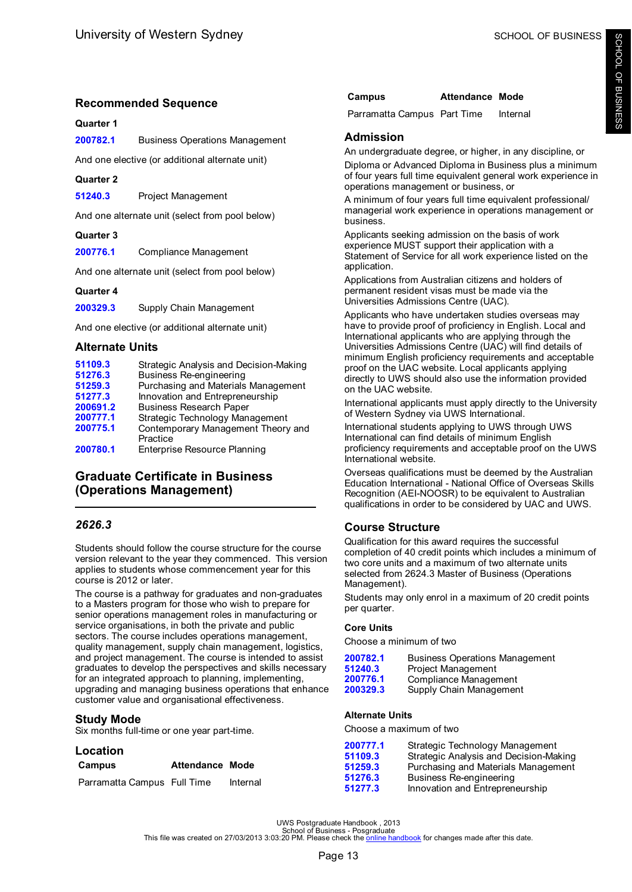# <span id="page-15-0"></span>**Recommended Sequence**

# **Quarter 1**

**[200782.1](#page-36-0)** Business Operations Management

And one elective (or additional alternate unit)

# **Quarter 2**

**[51240.3](#page-55-0)** Project Management

And one alternate unit (select from pool below)

# **Quarter 3**

**[200776.1](#page-38-0)** Compliance Management

And one alternate unit (select from pool below)

# **Quarter 4**

**[200329.3](#page-60-0)** Supply Chain Management

And one elective (or additional alternate unit)

# **Alternate Units**

| 51109.3  | Strategic Analysis and Decision-Making |
|----------|----------------------------------------|
| 51276.3  | <b>Business Re-engineering</b>         |
| 51259.3  | Purchasing and Materials Management    |
| 51277.3  | Innovation and Entrepreneurship        |
| 200691.2 | <b>Business Research Paper</b>         |
| 200777.1 | Strategic Technology Management        |
| 200775.1 | Contemporary Management Theory and     |
|          | Practice                               |
| 200780.1 | <b>Enterprise Resource Planning</b>    |

# **Graduate Certificate in Business (Operations Management)**

# *2626.3*

Students should follow the course structure for the course version relevant to the year they commenced. This version applies to students whose commencement year for this course is 2012 or later.

The course is a pathway for graduates and non-graduates to a Masters program for those who wish to prepare for senior operations management roles in manufacturing or service organisations, in both the private and public sectors. The course includes operations management, quality management, supply chain management, logistics, and project management. The course is intended to assist graduates to develop the perspectives and skills necessary for an integrated approach to planning, implementing, upgrading and managing business operations that enhance customer value and organisational effectiveness.

# **Study Mode**

Six months full-time or one year part-time.

# **Location**

| Campus                      | <b>Attendance Mode</b> |          |
|-----------------------------|------------------------|----------|
| Parramatta Campus Full Time |                        | Internal |

| Campus | <b>Attendance Mode</b> |  |
|--------|------------------------|--|
|        |                        |  |

Parramatta Campus Part Time Internal

# **Admission**

An undergraduate degree, or higher, in any discipline, or Diploma or Advanced Diploma in Business plus a minimum of four years full time equivalent general work experience in operations management or business, or

A minimum of four years full time equivalent professional/ managerial work experience in operations management or business.

Applicants seeking admission on the basis of work experience MUST support their application with a Statement of Service for all work experience listed on the application.

Applications from Australian citizens and holders of permanent resident visas must be made via the Universities Admissions Centre (UAC).

Applicants who have undertaken studies overseas may have to provide proof of proficiency in English. Local and International applicants who are applying through the Universities Admissions Centre (UAC) will find details of minimum English proficiency requirements and acceptable proof on the UAC website. Local applicants applying directly to UWS should also use the information provided on the UAC website.

International applicants must apply directly to the University of Western Sydney via UWS International.

International students applying to UWS through UWS International can find details of minimum English proficiency requirements and acceptable proof on the UWS International website.

Overseas qualifications must be deemed by the Australian Education International - National Office of Overseas Skills Recognition (AEI-NOOSR) to be equivalent to Australian qualifications in order to be considered by UAC and UWS.

# **Course Structure**

Qualification for this award requires the successful completion of 40 credit points which includes a minimum of two core units and a maximum of two alternate units selected from 2624.3 Master of Business (Operations Management).

Students may only enrol in a maximum of 20 credit points per quarter.

# **Core Units**

Choose a minimum of two

| 200782.1 | <b>Business Operations Management</b> |
|----------|---------------------------------------|
| 51240.3  | Project Management                    |
| 200776.1 | Compliance Management                 |
| 200329.3 | Supply Chain Management               |

# **Alternate Units**

Choose a maximum of two

| 200777.1 | Strategic Technology Management        |
|----------|----------------------------------------|
| 51109.3  | Strategic Analysis and Decision-Making |
| 51259.3  | Purchasing and Materials Management    |
| 51276.3  | <b>Business Re-engineering</b>         |
| 51277.3  | Innovation and Entrepreneurship        |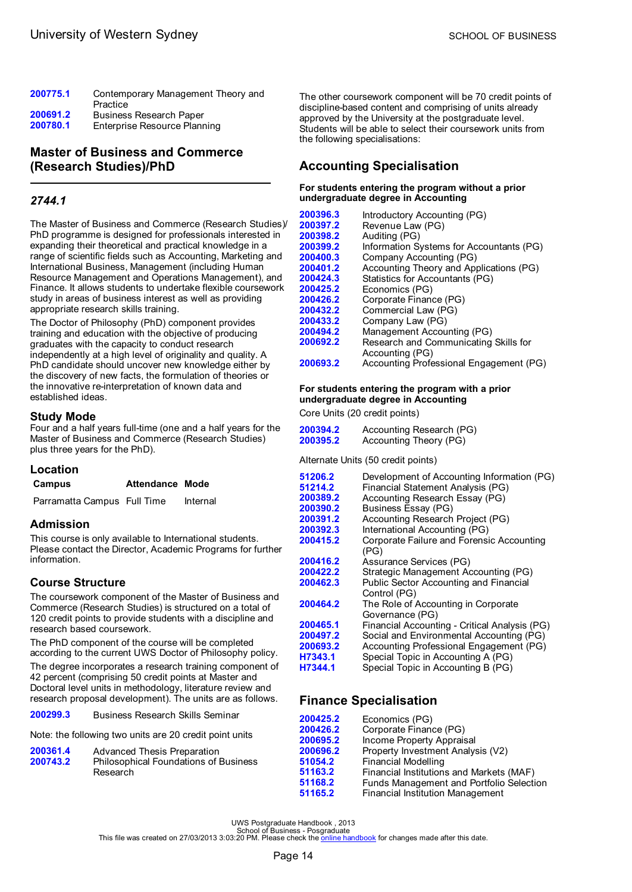<span id="page-16-0"></span>

| 200775.1 | Contemporary Management Theory and<br>Practice |
|----------|------------------------------------------------|
| 200691.2 | <b>Business Research Paper</b>                 |
| 200780.1 | Enterprise Resource Planning                   |

# **Master of Business and Commerce (Research Studies)/PhD**

# *2744.1*

The Master of Business and Commerce (Research Studies)/ PhD programme is designed for professionals interested in expanding their theoretical and practical knowledge in a range of scientific fields such as Accounting, Marketing and International Business, Management (including Human Resource Management and Operations Management), and Finance. It allows students to undertake flexible coursework study in areas of business interest as well as providing appropriate research skills training.

The Doctor of Philosophy (PhD) component provides training and education with the objective of producing graduates with the capacity to conduct research independently at a high level of originality and quality. A PhD candidate should uncover new knowledge either by the discovery of new facts, the formulation of theories or the innovative re-interpretation of known data and established ideas.

## **Study Mode**

Four and a half years full-time (one and a half years for the Master of Business and Commerce (Research Studies) plus three years for the PhD).

## **Location**

| Campus | Attendance Mode |  |
|--------|-----------------|--|
|        |                 |  |

Parramatta Campus Full Time Internal

## **Admission**

This course is only available to International students. Please contact the Director, Academic Programs for further information.

# **Course Structure**

The coursework component of the Master of Business and Commerce (Research Studies) is structured on a total of 120 credit points to provide students with a discipline and research based coursework.

The PhD component of the course will be completed according to the current UWS Doctor of Philosophy policy.

The degree incorporates a research training component of 42 percent (comprising 50 credit points at Master and Doctoral level units in methodology, literature review and research proposal development). The units are as follows.

**[200299.3](#page-37-0)** Business Research Skills Seminar

Note: the following two units are 20 credit point units

| 200361.4 | Advanced Thesis Preparation                  |
|----------|----------------------------------------------|
| 200743.2 | <b>Philosophical Foundations of Business</b> |
|          | Research                                     |

The other coursework component will be 70 credit points of discipline-based content and comprising of units already approved by the University at the postgraduate level. Students will be able to select their coursework units from the following specialisations:

# **Accounting Specialisation**

#### **For students entering the program without a prior undergraduate degree in Accounting**

[200396.3](#page-49-0) Introductory Accounting (PG)<br>200397.2 Revenue Law (PG) **[200397.2](#page-57-0)** Revenue Law (PG) **[200398.2](#page-36-0)** Auditing (PG)<br>**200399.2** Information Sy **[200399.2](#page-47-0)** Information Systems for Accountants (PG) [200400.3](#page-37-0) Company Accounting (PG)<br>200401.2 Accounting Theory and App Accounting Theory and Applications (PG) **[200424.3](#page-58-0)** Statistics for Accountants (PG) [200425.2](#page-42-0) Economics (PG)<br>200426.2 Corporate Finand **[200426.2](#page-39-0)** Corporate Finance (PG) **[200432.2](#page-37-0)** Commercial Law (PG) **[200433.2](#page-38-0)** Company Law (PG) **[200494.2](#page-50-0)** Management Accounting (PG)<br>**200692.2** Research and Communicating **[200692.2](#page-56-0)** Research and Communicating Skills for Accounting (PG) **[200693.2](#page-33-0)** Accounting Professional Engagement (PG)

### **For students entering the program with a prior undergraduate degree in Accounting**

Core Units (20 credit points)

| 200394.2 | Accounting Research (PG) |
|----------|--------------------------|
| 200395.2 | Accounting Theory (PG)   |

Alternate Units (50 credit points)

| 51206.2<br>51214.2 | Development of Accounting Information (PG)<br>Financial Statement Analysis (PG) |
|--------------------|---------------------------------------------------------------------------------|
| 200389.2           | Accounting Research Essay (PG)                                                  |
| 200390.2           | Business Essay (PG)                                                             |
| 200391.2           | Accounting Research Project (PG)                                                |
| 200392.3           | International Accounting (PG)                                                   |
|                    |                                                                                 |
| 200415.2           | Corporate Failure and Forensic Accounting<br>(PG)                               |
| 200416.2           | Assurance Services (PG)                                                         |
| 200422.2           | Strategic Management Accounting (PG)                                            |
| 200462.3           | <b>Public Sector Accounting and Financial</b>                                   |
|                    | Control (PG)                                                                    |
| 200464.2           | The Role of Accounting in Corporate                                             |
|                    | Governance (PG)                                                                 |
| 200465.1           | Financial Accounting - Critical Analysis (PG)                                   |
| 200497.2           | Social and Environmental Accounting (PG)                                        |
| 200693.2           | Accounting Professional Engagement (PG)                                         |
| H7343.1            | Special Topic in Accounting A (PG)                                              |
| H7344.1            | Special Topic in Accounting B (PG)                                              |
|                    |                                                                                 |

# **Finance Specialisation**

| 200425.2 | Economics (PG)                           |
|----------|------------------------------------------|
| 200426.2 | Corporate Finance (PG)                   |
| 200695.2 | Income Property Appraisal                |
| 200696.2 | Property Investment Analysis (V2)        |
| 51054.2  | <b>Financial Modelling</b>               |
| 51163.2  | Financial Institutions and Markets (MAF) |
| 51168.2  | Funds Management and Portfolio Selection |
| 51165.2  | Financial Institution Management         |
|          |                                          |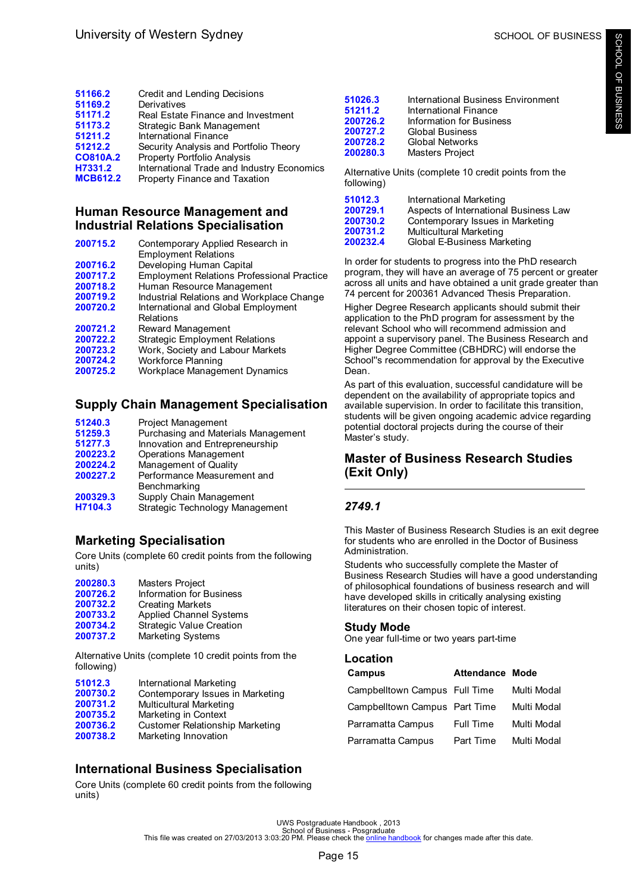<span id="page-17-0"></span>

| 51166.2         | Credit and Lending Decisions               |  |
|-----------------|--------------------------------------------|--|
| 51169.2         | Derivatives                                |  |
| 51171.2         | Real Estate Finance and Investment         |  |
| 51173.2         | Strategic Bank Management                  |  |
| 51211.2         | International Finance                      |  |
| 51212.2         | Security Analysis and Portfolio Theory     |  |
| <b>CO810A.2</b> | Property Portfolio Analysis                |  |
| H7331.2         | International Trade and Industry Economics |  |
| <b>MCB612.2</b> | Property Finance and Taxation              |  |
|                 |                                            |  |

# **Human Resource Management and Industrial Relations Specialisation**

| 200715.2 | Contemporary Applied Research in<br><b>Employment Relations</b> |
|----------|-----------------------------------------------------------------|
| 200716.2 | Developing Human Capital                                        |
| 200717.2 | <b>Employment Relations Professional Practice</b>               |
| 200718.2 | Human Resource Management                                       |
| 200719.2 | Industrial Relations and Workplace Change                       |
| 200720.2 | International and Global Employment<br>Relations                |
| 200721.2 | Reward Management                                               |
| 200722.2 | <b>Strategic Employment Relations</b>                           |
| 200723.2 | Work, Society and Labour Markets                                |
| 200724.2 | <b>Workforce Planning</b>                                       |
| 200725.2 | Workplace Management Dynamics                                   |

# **Supply Chain Management Specialisation**

| 51240.3  | <b>Project Management</b>           |
|----------|-------------------------------------|
| 51259.3  | Purchasing and Materials Management |
| 51277.3  | Innovation and Entrepreneurship     |
| 200223.2 | <b>Operations Management</b>        |
| 200224.2 | Management of Quality               |
| 200227.2 | Performance Measurement and         |
|          | Benchmarking                        |
| 200329.3 | Supply Chain Management             |
| H7104.3  | Strategic Technology Management     |
|          |                                     |

# **Marketing Specialisation**

Core Units (complete 60 credit points from the following units)

| 200280.3 | Masters Project                 |
|----------|---------------------------------|
| 200726.2 | <b>Information for Business</b> |
| 200732.2 | <b>Creating Markets</b>         |
| 200733.2 | <b>Applied Channel Systems</b>  |
| 200734.2 | <b>Strategic Value Creation</b> |
| 200737.2 | <b>Marketing Systems</b>        |

Alternative Units (complete 10 credit points from the following)

| 51012.3  | International Marketing                |
|----------|----------------------------------------|
| 200730.2 | Contemporary Issues in Marketing       |
| 200731.2 | Multicultural Marketing                |
| 200735.2 | Marketing in Context                   |
| 200736.2 | <b>Customer Relationship Marketing</b> |
| 200738.2 | Marketing Innovation                   |

# **International Business Specialisation**

Core Units (complete 60 credit points from the following units)

| 51026.3  |                                    |
|----------|------------------------------------|
|          | International Business Environment |
| 51211.2  | International Finance              |
| 200726.2 | Information for Business           |
| 200727.2 | <b>Global Business</b>             |
| 200728.2 | <b>Global Networks</b>             |
| 200280.3 | Masters Project                    |
|          |                                    |

Alternative Units (complete 10 credit points from the following)

| 51012.3  | International Marketing               |
|----------|---------------------------------------|
| 200729.1 | Aspects of International Business Law |
| 200730.2 | Contemporary Issues in Marketing      |
| 200731.2 | <b>Multicultural Marketing</b>        |
| 200232.4 | Global E-Business Marketing           |
|          |                                       |

In order for students to progress into the PhD research program, they will have an average of 75 percent or greater across all units and have obtained a unit grade greater than 74 percent for 200361 Advanced Thesis Preparation.

Higher Degree Research applicants should submit their application to the PhD program for assessment by the relevant School who will recommend admission and appoint a supervisory panel. The Business Research and Higher Degree Committee (CBHDRC) will endorse the School"s recommendation for approval by the Executive Dean.

As part of this evaluation, successful candidature will be dependent on the availability of appropriate topics and available supervision. In order to facilitate this transition, students will be given ongoing academic advice regarding potential doctoral projects during the course of their Master's study.

# **Master of Business Research Studies (Exit Only)**

# *2749.1*

This Master of Business Research Studies is an exit degree for students who are enrolled in the Doctor of Business Administration.

Students who successfully complete the Master of Business Research Studies will have a good understanding of philosophical foundations of business research and will have developed skills in critically analysing existing literatures on their chosen topic of interest.

# **Study Mode**

One year full-time or two years part-time

# **Location**

| Campus                        | <b>Attendance Mode</b> |             |
|-------------------------------|------------------------|-------------|
| Campbelltown Campus Full Time |                        | Multi Modal |
| Campbelltown Campus Part Time |                        | Multi Modal |
| Parramatta Campus             | <b>Full Time</b>       | Multi Modal |
| Parramatta Campus             | Part Time              | Multi Modal |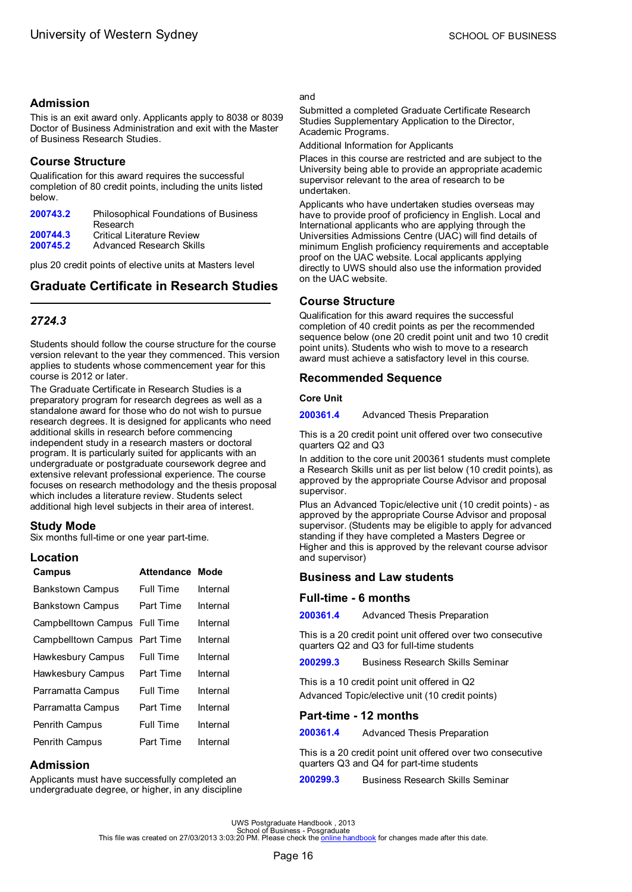# <span id="page-18-0"></span>**Admission**

This is an exit award only. Applicants apply to 8038 or 8039 Doctor of Business Administration and exit with the Master of Business Research Studies.

# **Course Structure**

Qualification for this award requires the successful completion of 80 credit points, including the units listed below.

| 200743.2 | Philosophical Foundations of Business |
|----------|---------------------------------------|
|          | Research                              |
| 200744.3 | Critical Literature Review            |
| 200745.2 | Advanced Research Skills              |
|          |                                       |

plus 20 credit points of elective units at Masters level

# **Graduate Certificate in Research Studies**

# *2724.3*

Students should follow the course structure for the course version relevant to the year they commenced. This version applies to students whose commencement year for this course is 2012 or later.

The Graduate Certificate in Research Studies is a preparatory program for research degrees as well as a standalone award for those who do not wish to pursue research degrees. It is designed for applicants who need additional skills in research before commencing independent study in a research masters or doctoral program. It is particularly suited for applicants with an undergraduate or postgraduate coursework degree and extensive relevant professional experience. The course focuses on research methodology and the thesis proposal which includes a literature review. Students select additional high level subjects in their area of interest.

## **Study Mode**

Six months full-time or one year part-time.

# **Location**

| Attendance Mode                         |          |
|-----------------------------------------|----------|
| <b>Full Time</b>                        | Internal |
| Part Time                               | Internal |
| Campbelltown Campus<br><b>Full Time</b> | Internal |
| Part Time                               | Internal |
| Full Time                               | Internal |
| Part Time                               | Internal |
| Full Time                               | Internal |
| Part Time                               | Internal |
| Full Time                               | Internal |
| Part Time                               | Internal |
|                                         |          |

## **Admission**

Applicants must have successfully completed an undergraduate degree, or higher, in any discipline

### and

Submitted a completed Graduate Certificate Research Studies Supplementary Application to the Director, Academic Programs.

Additional Information for Applicants

Places in this course are restricted and are subject to the University being able to provide an appropriate academic supervisor relevant to the area of research to be undertaken.

Applicants who have undertaken studies overseas may have to provide proof of proficiency in English. Local and International applicants who are applying through the Universities Admissions Centre (UAC) will find details of minimum English proficiency requirements and acceptable proof on the UAC website. Local applicants applying directly to UWS should also use the information provided on the UAC website.

# **Course Structure**

Qualification for this award requires the successful completion of 40 credit points as per the recommended sequence below (one 20 credit point unit and two 10 credit point units). Students who wish to move to a research award must achieve a satisfactory level in this course.

# **Recommended Sequence**

### **Core Unit**

**[200361.4](#page-34-0)** Advanced Thesis Preparation

This is a 20 credit point unit offered over two consecutive quarters Q2 and Q3

In addition to the core unit 200361 students must complete a Research Skills unit as per list below (10 credit points), as approved by the appropriate Course Advisor and proposal supervisor.

Plus an Advanced Topic/elective unit (10 credit points) - as approved by the appropriate Course Advisor and proposal supervisor. (Students may be eligible to apply for advanced standing if they have completed a Masters Degree or Higher and this is approved by the relevant course advisor and supervisor)

## **Business and Law students**

### **Full-time - 6 months**

**[200361.4](#page-34-0)** Advanced Thesis Preparation

This is a 20 credit point unit offered over two consecutive quarters Q2 and Q3 for full-time students

**[200299.3](#page-37-0)** Business Research Skills Seminar

This is a 10 credit point unit offered in Q2 Advanced Topic/elective unit (10 credit points)

## **Part-time - 12 months**

**[200361.4](#page-34-0)** Advanced Thesis Preparation

This is a 20 credit point unit offered over two consecutive quarters Q3 and Q4 for part-time students

**[200299.3](#page-37-0)** Business Research Skills Seminar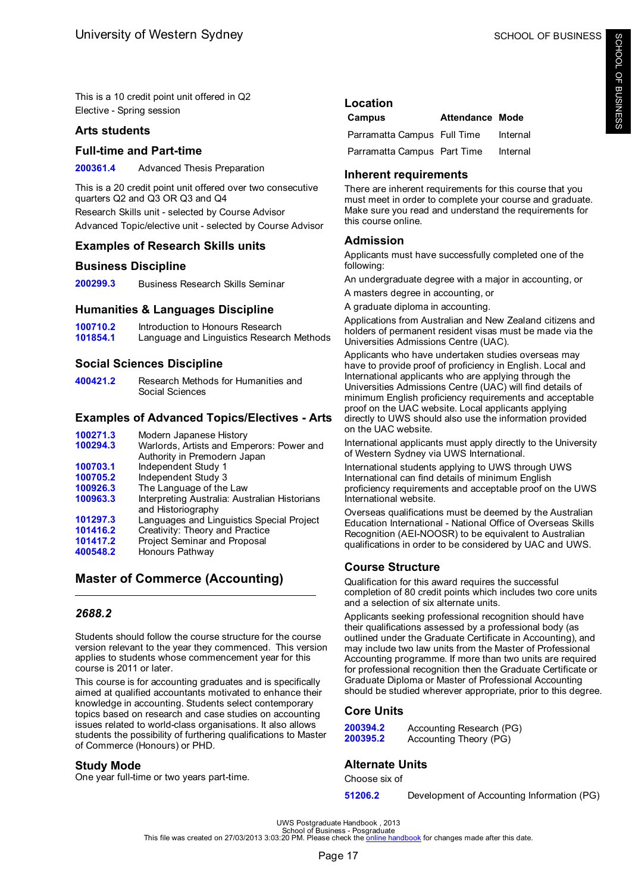<span id="page-19-0"></span>This is a 10 credit point unit offered in Q2 Elective - Spring session

### **Arts students**

### **Full-time and Part-time**

**[200361.4](#page-34-0)** Advanced Thesis Preparation

This is a 20 credit point unit offered over two consecutive quarters Q2 and Q3 OR Q3 and Q4 Research Skills unit - selected by Course Advisor Advanced Topic/elective unit - selected by Course Advisor

# **Examples of Research Skills units**

### **Business Discipline**

**[200299.3](#page-37-0)** Business Research Skills Seminar

### **Humanities & Languages Discipline**

**[100710.2](#page-49-0)** Introduction to Honours Research<br>**101854.1** Language and Linguistics Research Language and Linguistics Research Methods

# **Social Sciences Discipline**

**[400421.2](#page-57-0)** Research Methods for Humanities and Social Sciences

## **Examples of Advanced Topics/Electives - Arts**

| Modern Japanese History                                             |
|---------------------------------------------------------------------|
| Warlords, Artists and Emperors: Power and                           |
| Authority in Premodern Japan                                        |
| Independent Study 1                                                 |
| Independent Study 3                                                 |
| The Language of the Law                                             |
| Interpreting Australia: Australian Historians<br>and Historiography |
| Languages and Linguistics Special Project                           |
| Creativity: Theory and Practice                                     |
| Project Seminar and Proposal                                        |
| Honours Pathway                                                     |
|                                                                     |

# **Master of Commerce (Accounting)**

## *2688.2*

Students should follow the course structure for the course version relevant to the year they commenced. This version applies to students whose commencement year for this course is 2011 or later.

This course is for accounting graduates and is specifically aimed at qualified accountants motivated to enhance their knowledge in accounting. Students select contemporary topics based on research and case studies on accounting issues related to world-class organisations. It also allows students the possibility of furthering qualifications to Master of Commerce (Honours) or PHD.

### **Study Mode**

One year full-time or two years part-time.

### **Location**

| Campus                      | <b>Attendance Mode</b> |          |
|-----------------------------|------------------------|----------|
| Parramatta Campus Full Time |                        | Internal |
| Parramatta Campus Part Time |                        | Internal |

## **Inherent requirements**

There are inherent requirements for this course that you must meet in order to complete your course and graduate. Make sure you read and understand the requirements for this course online.

## **Admission**

Applicants must have successfully completed one of the following:

An undergraduate degree with a major in accounting, or

A masters degree in accounting, or

A graduate diploma in accounting.

Applications from Australian and New Zealand citizens and holders of permanent resident visas must be made via the Universities Admissions Centre (UAC).

Applicants who have undertaken studies overseas may have to provide proof of proficiency in English. Local and International applicants who are applying through the Universities Admissions Centre (UAC) will find details of minimum English proficiency requirements and acceptable proof on the UAC website. Local applicants applying directly to UWS should also use the information provided on the UAC website.

International applicants must apply directly to the University of Western Sydney via UWS International.

International students applying to UWS through UWS International can find details of minimum English proficiency requirements and acceptable proof on the UWS International website.

Overseas qualifications must be deemed by the Australian Education International - National Office of Overseas Skills Recognition (AEI-NOOSR) to be equivalent to Australian qualifications in order to be considered by UAC and UWS.

## **Course Structure**

Qualification for this award requires the successful completion of 80 credit points which includes two core units and a selection of six alternate units.

Applicants seeking professional recognition should have their qualifications assessed by a professional body (as outlined under the Graduate Certificate in Accounting), and may include two law units from the Master of Professional Accounting programme. If more than two units are required for professional recognition then the Graduate Certificate or Graduate Diploma or Master of Professional Accounting should be studied wherever appropriate, prior to this degree.

## **Core Units**

| 200394.2 | Accounting Research (PG) |
|----------|--------------------------|
| 200395.2 | Accounting Theory (PG)   |

## **Alternate Units**

Choose six of

**[51206.2](#page-42-0)** Development of Accounting Information (PG)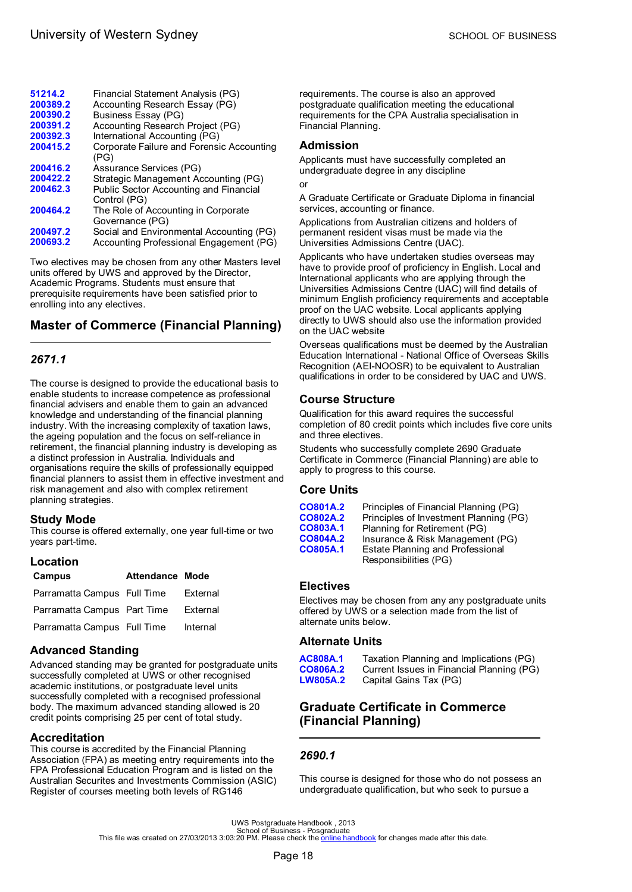<span id="page-20-0"></span>

| 51214.2  | Financial Statement Analysis (PG)         |
|----------|-------------------------------------------|
| 200389.2 | Accounting Research Essay (PG)            |
| 200390.2 | <b>Business Essay (PG)</b>                |
| 200391.2 | Accounting Research Project (PG)          |
| 200392.3 | International Accounting (PG)             |
| 200415.2 | Corporate Failure and Forensic Accounting |
|          | (PG)                                      |
| 200416.2 | Assurance Services (PG)                   |
| 200422.2 | Strategic Management Accounting (PG)      |
| 200462.3 | Public Sector Accounting and Financial    |
|          | Control (PG)                              |
| 200464.2 | The Role of Accounting in Corporate       |
|          | Governance (PG)                           |
| 200497.2 | Social and Environmental Accounting (PG)  |
| 200693.2 | Accounting Professional Engagement (PG)   |

Two electives may be chosen from any other Masters level units offered by UWS and approved by the Director, Academic Programs. Students must ensure that prerequisite requirements have been satisfied prior to enrolling into any electives.

# **Master of Commerce (Financial Planning)**

# *2671.1*

The course is designed to provide the educational basis to enable students to increase competence as professional financial advisers and enable them to gain an advanced knowledge and understanding of the financial planning industry. With the increasing complexity of taxation laws, the ageing population and the focus on self-reliance in retirement, the financial planning industry is developing as a distinct profession in Australia. Individuals and organisations require the skills of professionally equipped financial planners to assist them in effective investment and risk management and also with complex retirement planning strategies.

### **Study Mode**

This course is offered externally, one year full-time or two years part-time.

### **Location**

| Campus                      | <b>Attendance Mode</b> |          |
|-----------------------------|------------------------|----------|
| Parramatta Campus Full Time |                        | External |
| Parramatta Campus Part Time |                        | External |
| Parramatta Campus Full Time |                        | Internal |

## **Advanced Standing**

Advanced standing may be granted for postgraduate units successfully completed at UWS or other recognised academic institutions, or postgraduate level units successfully completed with a recognised professional body. The maximum advanced standing allowed is 20 credit points comprising 25 per cent of total study.

## **Accreditation**

This course is accredited by the Financial Planning Association (FPA) as meeting entry requirements into the FPA Professional Education Program and is listed on the Australian Securites and Investments Commission (ASIC) Register of courses meeting both levels of RG146

requirements. The course is also an approved postgraduate qualification meeting the educational requirements for the CPA Australia specialisation in Financial Planning.

### **Admission**

Applicants must have successfully completed an undergraduate degree in any discipline

or

A Graduate Certificate or Graduate Diploma in financial services, accounting or finance.

Applications from Australian citizens and holders of permanent resident visas must be made via the Universities Admissions Centre (UAC).

Applicants who have undertaken studies overseas may have to provide proof of proficiency in English. Local and International applicants who are applying through the Universities Admissions Centre (UAC) will find details of minimum English proficiency requirements and acceptable proof on the UAC website. Local applicants applying directly to UWS should also use the information provided on the UAC website

Overseas qualifications must be deemed by the Australian Education International - National Office of Overseas Skills Recognition (AEI-NOOSR) to be equivalent to Australian qualifications in order to be considered by UAC and UWS.

# **Course Structure**

Qualification for this award requires the successful completion of 80 credit points which includes five core units and three electives.

Students who successfully complete 2690 Graduate Certificate in Commerce (Financial Planning) are able to apply to progress to this course.

### **Core Units**

| CO801A.2 | Principles of Financial Planning (PG)   |
|----------|-----------------------------------------|
| CO802A.2 | Principles of Investment Planning (PG)  |
| CO803A.1 | Planning for Retirement (PG)            |
| CO804A.2 | Insurance & Risk Management (PG)        |
| CO805A.1 | <b>Estate Planning and Professional</b> |
|          | Responsibilities (PG)                   |

## **Electives**

Electives may be chosen from any any postgraduate units offered by UWS or a selection made from the list of alternate units below.

## **Alternate Units**

**[AC808A.1](#page-60-0)** Taxation Planning and Implications (PG) **[CO806A.2](#page-41-0)** Current Issues in Financial Planning (PG) Capital Gains Tax (PG)

# **Graduate Certificate in Commerce (Financial Planning)**

# *2690.1*

This course is designed for those who do not possess an undergraduate qualification, but who seek to pursue a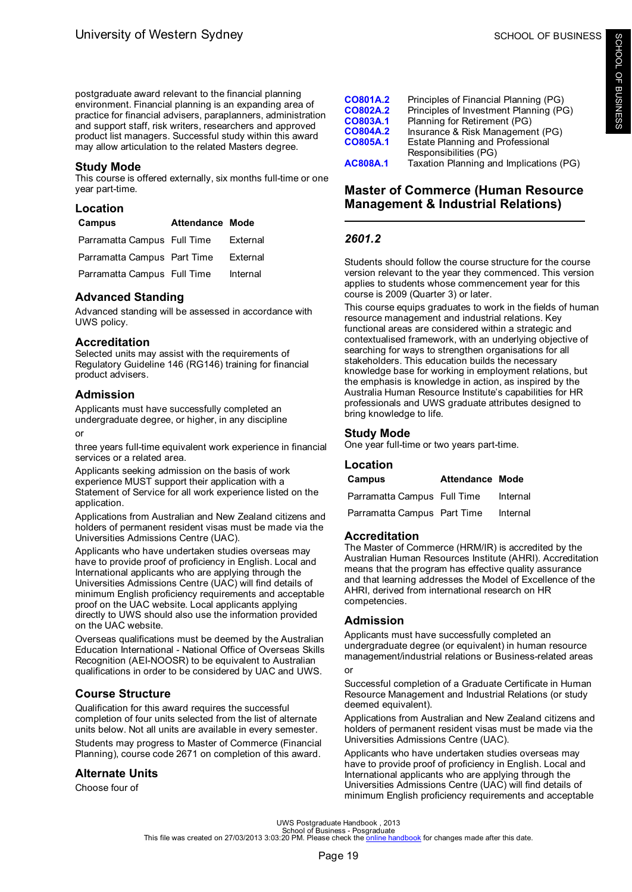<span id="page-21-0"></span>postgraduate award relevant to the financial planning environment. Financial planning is an expanding area of practice for financial advisers, paraplanners, administration and support staff, risk writers, researchers and approved product list managers. Successful study within this award may allow articulation to the related Masters degree.

### **Study Mode**

This course is offered externally, six months full-time or one year part-time.

### **Location**

| <b>Campus</b>               | Attendance Mode |          |
|-----------------------------|-----------------|----------|
| Parramatta Campus Full Time |                 | External |
| Parramatta Campus Part Time |                 | External |
| Parramatta Campus Full Time |                 | Internal |

### **Advanced Standing**

Advanced standing will be assessed in accordance with UWS policy.

### **Accreditation**

Selected units may assist with the requirements of Regulatory Guideline 146 (RG146) training for financial product advisers.

### **Admission**

Applicants must have successfully completed an undergraduate degree, or higher, in any discipline

#### or

three years full-time equivalent work experience in financial services or a related area.

Applicants seeking admission on the basis of work experience MUST support their application with a Statement of Service for all work experience listed on the application.

Applications from Australian and New Zealand citizens and holders of permanent resident visas must be made via the Universities Admissions Centre (UAC).

Applicants who have undertaken studies overseas may have to provide proof of proficiency in English. Local and International applicants who are applying through the Universities Admissions Centre (UAC) will find details of minimum English proficiency requirements and acceptable proof on the UAC website. Local applicants applying directly to UWS should also use the information provided on the UAC website.

Overseas qualifications must be deemed by the Australian Education International - National Office of Overseas Skills Recognition (AEI-NOOSR) to be equivalent to Australian qualifications in order to be considered by UAC and UWS.

## **Course Structure**

Qualification for this award requires the successful completion of four units selected from the list of alternate units below. Not all units are available in every semester.

Students may progress to Master of Commerce (Financial Planning), course code 2671 on completion of this award.

## **Alternate Units**

Choose four of

| CO801A.2 | Principles of Financial Planning (PG)   |
|----------|-----------------------------------------|
| CO802A.2 | Principles of Investment Planning (PG)  |
| CO803A.1 | Planning for Retirement (PG)            |
| CO804A.2 | Insurance & Risk Management (PG)        |
| CO805A.1 | <b>Estate Planning and Professional</b> |
|          | Responsibilities (PG)                   |
| AC808A.1 | Taxation Planning and Implications (PG) |

# **Master of Commerce (Human Resource Management & Industrial Relations)**

## *2601.2*

Students should follow the course structure for the course version relevant to the year they commenced. This version applies to students whose commencement year for this course is 2009 (Quarter 3) or later.

This course equips graduates to work in the fields of human resource management and industrial relations. Key functional areas are considered within a strategic and contextualised framework, with an underlying objective of searching for ways to strengthen organisations for all stakeholders. This education builds the necessary knowledge base for working in employment relations, but the emphasis is knowledge in action, as inspired by the Australia Human Resource Institute's capabilities for HR professionals and UWS graduate attributes designed to bring knowledge to life.

### **Study Mode**

One year full-time or two years part-time.

## **Location**

| Campus                      | <b>Attendance Mode</b> |          |
|-----------------------------|------------------------|----------|
| Parramatta Campus Full Time |                        | Internal |
| Parramatta Campus Part Time |                        | Internal |

### **Accreditation**

The Master of Commerce (HRM/IR) is accredited by the Australian Human Resources Institute (AHRI). Accreditation means that the program has effective quality assurance and that learning addresses the Model of Excellence of the AHRI, derived from international research on HR competencies.

## **Admission**

Applicants must have successfully completed an undergraduate degree (or equivalent) in human resource management/industrial relations or Business-related areas or

Successful completion of a Graduate Certificate in Human Resource Management and Industrial Relations (or study deemed equivalent).

Applications from Australian and New Zealand citizens and holders of permanent resident visas must be made via the Universities Admissions Centre (UAC).

Applicants who have undertaken studies overseas may have to provide proof of proficiency in English. Local and International applicants who are applying through the Universities Admissions Centre (UAC) will find details of minimum English proficiency requirements and acceptable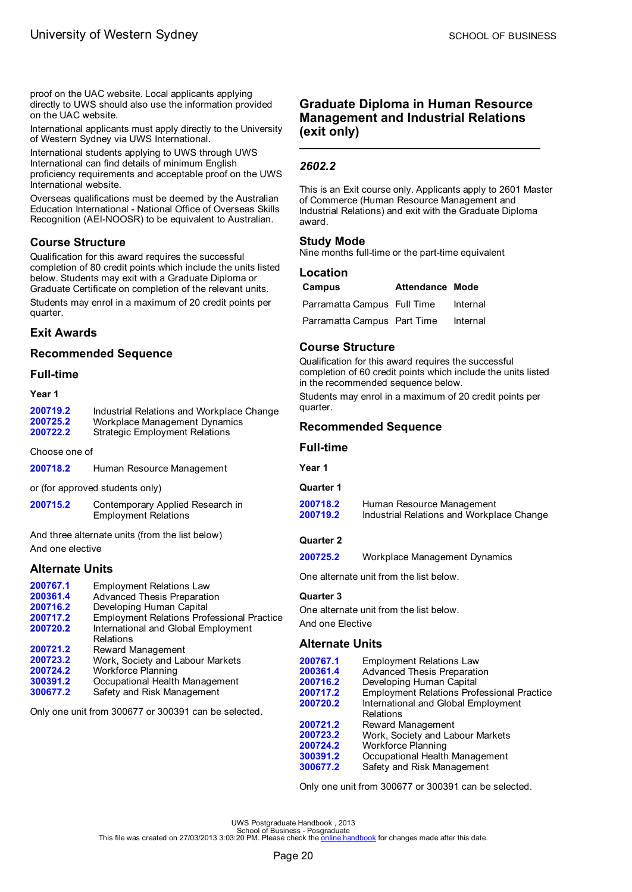<span id="page-22-0"></span>proof on the UAC website. Local applicants applying directly to UWS should also use the information provided on the UAC website.

International applicants must apply directly to the University of Western Sydney via UWS International.

International students applying to UWS through UWS International can find details of minimum English proficiency requirements and acceptable proof on the UWS International website.

Overseas qualifications must be deemed by the Australian Education International - National Office of Overseas Skills Recognition (AEI-NOOSR) to be equivalent to Australian.

## **Course Structure**

Qualification for this award requires the successful completion of 80 credit points which include the units listed below. Students may exit with a Graduate Diploma or Graduate Certificate on completion of the relevant units. Students may enrol in a maximum of 20 credit points per quarter.

## **Exit Awards**

## **Recommended Sequence**

### **Full-time**

#### **Year 1**

| 200719.2 | Industrial Relations and Workplace Change |
|----------|-------------------------------------------|
| 200725.2 | Workplace Management Dynamics             |
| 200722.2 | <b>Strategic Employment Relations</b>     |

Choose one of

| 200718.2 | Human Resource Management |
|----------|---------------------------|
|----------|---------------------------|

or (for approved students only)

**[200715.2](#page-38-0)** Contemporary Applied Research in Employment Relations

And three alternate units (from the list below) And one elective

## **Alternate Units**

| 200767.1 | <b>Employment Relations Law</b>                   |
|----------|---------------------------------------------------|
| 200361.4 | <b>Advanced Thesis Preparation</b>                |
| 200716.2 | Developing Human Capital                          |
| 200717.2 | <b>Employment Relations Professional Practice</b> |
| 200720.2 | International and Global Employment               |
|          | Relations                                         |
| 200721.2 | Reward Management                                 |
| 200723.2 | Work, Society and Labour Markets                  |
| 200724.2 | Workforce Planning                                |
| 300391.2 | Occupational Health Management                    |
| 300677.2 | Safety and Risk Management                        |
|          |                                                   |

Only one unit from 300677 or 300391 can be selected.

# **Graduate Diploma in Human Resource Management and Industrial Relations (exit only)**

# *2602.2*

This is an Exit course only. Applicants apply to 2601 Master of Commerce (Human Resource Management and Industrial Relations) and exit with the Graduate Diploma award.

### **Study Mode**

Nine months full-time or the part-time equivalent

### **Location**

| Campus                      | <b>Attendance Mode</b> |          |
|-----------------------------|------------------------|----------|
| Parramatta Campus Full Time |                        | Internal |
| Parramatta Campus Part Time |                        | Internal |

# **Course Structure**

Qualification for this award requires the successful completion of 60 credit points which include the units listed in the recommended sequence below. Students may enrol in a maximum of 20 credit points per

quarter.

## **Recommended Sequence**

### **Full-time**

**Year 1**

## **Quarter 1**

**[200718.2](#page-46-0)** Human Resource Management<br>**200719.2** Industrial Relations and Workpl **[200719.2](#page-47-0)** Industrial Relations and Workplace Change

### **Quarter 2**

**[200725.2](#page-62-0)** Workplace Management Dynamics

One alternate unit from the list below.

### **Quarter 3**

One alternate unit from the list below. And one Elective

### **Alternate Units**

| 200767.1 | <b>Employment Relations Law</b>                   |
|----------|---------------------------------------------------|
| 200361.4 | <b>Advanced Thesis Preparation</b>                |
| 200716.2 | Developing Human Capital                          |
| 200717.2 | <b>Employment Relations Professional Practice</b> |
| 200720.2 | International and Global Employment               |
|          | Relations                                         |
| 200721.2 | Reward Management                                 |
| 200723.2 | Work, Society and Labour Markets                  |
| 200724.2 | <b>Workforce Planning</b>                         |
| 300391.2 | Occupational Health Management                    |
| 300677.2 | Safety and Risk Management                        |
|          |                                                   |

Only one unit from 300677 or 300391 can be selected.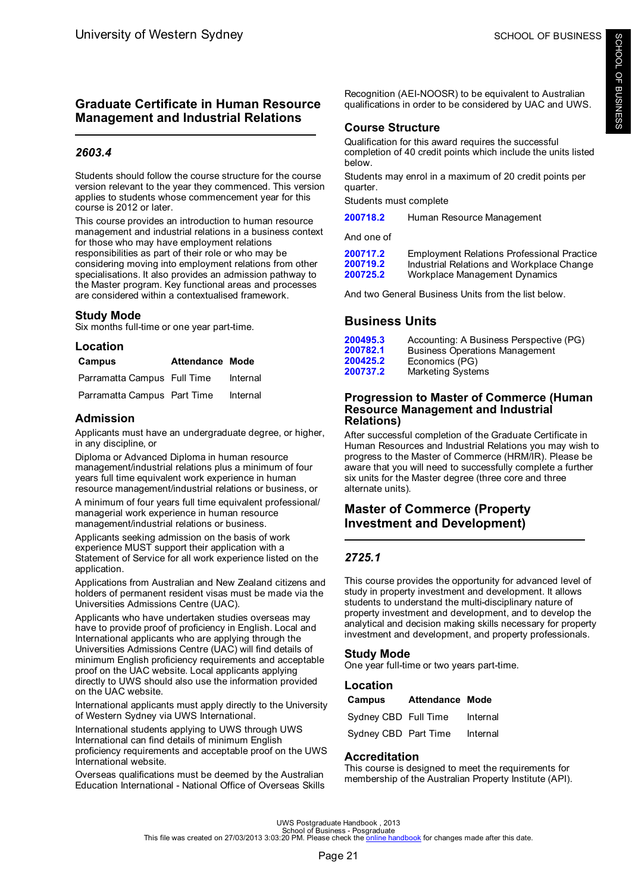# <span id="page-23-0"></span>**Graduate Certificate in Human Resource Management and Industrial Relations**

# *2603.4*

Students should follow the course structure for the course version relevant to the year they commenced. This version applies to students whose commencement year for this course is 2012 or later.

This course provides an introduction to human resource management and industrial relations in a business context for those who may have employment relations responsibilities as part of their role or who may be considering moving into employment relations from other specialisations. It also provides an admission pathway to the Master program. Key functional areas and processes are considered within a contextualised framework.

## **Study Mode**

Six months full-time or one year part-time.

### **Location**

| Campus                      | <b>Attendance Mode</b> |          |
|-----------------------------|------------------------|----------|
| Parramatta Campus Full Time |                        | Internal |
| Parramatta Campus Part Time |                        | Internal |

# **Admission**

Applicants must have an undergraduate degree, or higher, in any discipline, or

Diploma or Advanced Diploma in human resource management/industrial relations plus a minimum of four years full time equivalent work experience in human resource management/industrial relations or business, or

A minimum of four years full time equivalent professional/ managerial work experience in human resource management/industrial relations or business.

Applicants seeking admission on the basis of work experience MUST support their application with a Statement of Service for all work experience listed on the application.

Applications from Australian and New Zealand citizens and holders of permanent resident visas must be made via the Universities Admissions Centre (UAC).

Applicants who have undertaken studies overseas may have to provide proof of proficiency in English. Local and International applicants who are applying through the Universities Admissions Centre (UAC) will find details of minimum English proficiency requirements and acceptable proof on the UAC website. Local applicants applying directly to UWS should also use the information provided on the UAC website.

International applicants must apply directly to the University of Western Sydney via UWS International.

International students applying to UWS through UWS International can find details of minimum English proficiency requirements and acceptable proof on the UWS International website.

Overseas qualifications must be deemed by the Australian Education International - National Office of Overseas Skills

Recognition (AEI-NOOSR) to be equivalent to Australian qualifications in order to be considered by UAC and UWS.

# **Course Structure**

Qualification for this award requires the successful completion of 40 credit points which include the units listed below.

Students may enrol in a maximum of 20 credit points per quarter.

Students must complete

**[200718.2](#page-46-0)** Human Resource Management

And one of

| 200717.2 | <b>Employment Relations Professional Practice</b> |
|----------|---------------------------------------------------|
| 200719.2 | Industrial Relations and Workplace Change         |
| 200725.2 | Workplace Management Dynamics                     |

And two General Business Units from the list below.

# **Business Units**

| 200495.3 | Accounting: A Business Perspective (PG) |
|----------|-----------------------------------------|
| 200782.1 | <b>Business Operations Management</b>   |
| 200425.2 | Economics (PG)                          |
| 200737.2 | Marketing Systems                       |
|          |                                         |

### **Progression to Master of Commerce (Human Resource Management and Industrial Relations)**

After successful completion of the Graduate Certificate in Human Resources and Industrial Relations you may wish to progress to the Master of Commerce (HRM/IR). Please be aware that you will need to successfully complete a further six units for the Master degree (three core and three alternate units).

# **Master of Commerce (Property Investment and Development)**

# *2725.1*

This course provides the opportunity for advanced level of study in property investment and development. It allows students to understand the multi-disciplinary nature of property investment and development, and to develop the analytical and decision making skills necessary for property investment and development, and property professionals.

## **Study Mode**

One year full-time or two years part-time.

## **Location**

| Campus               | <b>Attendance Mode</b> |          |
|----------------------|------------------------|----------|
| Sydney CBD Full Time |                        | Internal |
| Sydney CBD Part Time |                        | Internal |

## **Accreditation**

This course is designed to meet the requirements for membership of the Australian Property Institute (API).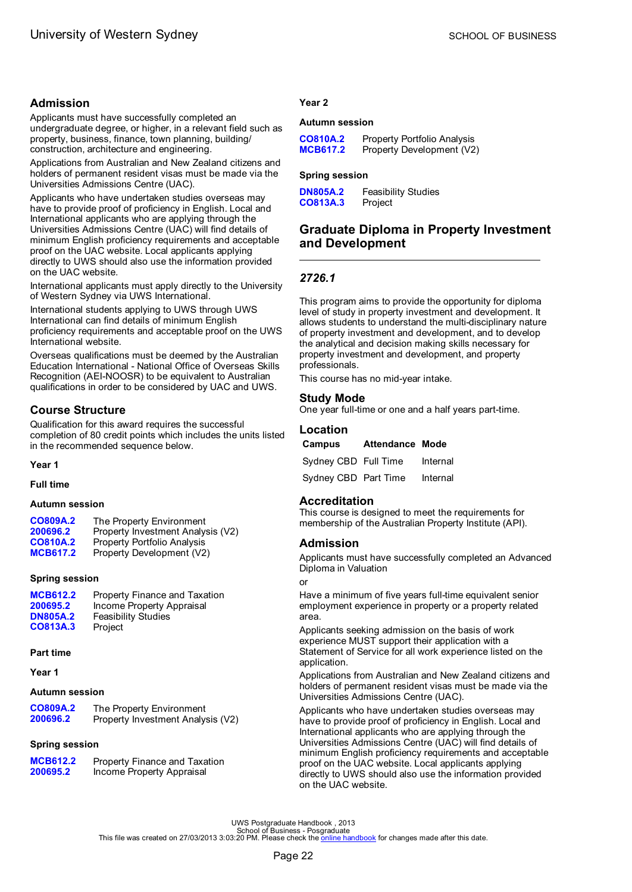## <span id="page-24-0"></span>**Admission**

Applicants must have successfully completed an undergraduate degree, or higher, in a relevant field such as property, business, finance, town planning, building/ construction, architecture and engineering.

Applications from Australian and New Zealand citizens and holders of permanent resident visas must be made via the Universities Admissions Centre (UAC).

Applicants who have undertaken studies overseas may have to provide proof of proficiency in English. Local and International applicants who are applying through the Universities Admissions Centre (UAC) will find details of minimum English proficiency requirements and acceptable proof on the UAC website. Local applicants applying directly to UWS should also use the information provided on the UAC website.

International applicants must apply directly to the University of Western Sydney via UWS International.

International students applying to UWS through UWS International can find details of minimum English proficiency requirements and acceptable proof on the UWS International website.

Overseas qualifications must be deemed by the Australian Education International - National Office of Overseas Skills Recognition (AEI-NOOSR) to be equivalent to Australian qualifications in order to be considered by UAC and UWS.

# **Course Structure**

Qualification for this award requires the successful completion of 80 credit points which includes the units listed in the recommended sequence below.

#### **Year 1**

**Full time**

### **Autumn session**

| CO809A.2        | The Property Environment          |
|-----------------|-----------------------------------|
| 200696.2        | Property Investment Analysis (V2) |
| <b>CO810A.2</b> | Property Portfolio Analysis       |
| <b>MCB617.2</b> | Property Development (V2)         |

#### **Spring session**

| <b>MCB612.2</b> | Property Finance and Taxation |
|-----------------|-------------------------------|
| 200695.2        | Income Property Appraisal     |
| <b>DN805A.2</b> | <b>Feasibility Studies</b>    |
| CO813A.3        | Project                       |

#### **Part time**

**Year 1**

#### **Autumn session**

| CO809A.2 | The Property Environment          |
|----------|-----------------------------------|
| 200696.2 | Property Investment Analysis (V2) |

#### **Spring session**

| <b>MCB612.2</b> | Property Finance and Taxation |
|-----------------|-------------------------------|
| 200695.2        | Income Property Appraisal     |

### **Year 2**

### **Autumn session**

| CO810A.2        | <b>Property Portfolio Analysis</b> |
|-----------------|------------------------------------|
| <b>MCB617.2</b> | Property Development (V2)          |

#### **Spring session**

**[DN805A.2](#page-43-0)** Feasibility Studies<br>**CO813A.3** Project [CO813A.3](#page-55-0)

# **Graduate Diploma in Property Investment and Development**

### *2726.1*

This program aims to provide the opportunity for diploma level of study in property investment and development. It allows students to understand the multi-disciplinary nature of property investment and development, and to develop the analytical and decision making skills necessary for property investment and development, and property professionals.

This course has no mid-year intake.

### **Study Mode**

One year full-time or one and a half years part-time.

| Location             |                        |          |
|----------------------|------------------------|----------|
| Campus               | <b>Attendance Mode</b> |          |
| Sydney CBD Full Time |                        | Internal |
| Sydney CBD Part Time |                        | Internal |

### **Accreditation**

This course is designed to meet the requirements for membership of the Australian Property Institute (API).

### **Admission**

Applicants must have successfully completed an Advanced Diploma in Valuation

### or

Have a minimum of five years full-time equivalent senior employment experience in property or a property related area.

Applicants seeking admission on the basis of work experience MUST support their application with a Statement of Service for all work experience listed on the application.

Applications from Australian and New Zealand citizens and holders of permanent resident visas must be made via the Universities Admissions Centre (UAC).

Applicants who have undertaken studies overseas may have to provide proof of proficiency in English. Local and International applicants who are applying through the Universities Admissions Centre (UAC) will find details of minimum English proficiency requirements and acceptable proof on the UAC website. Local applicants applying directly to UWS should also use the information provided on the UAC website.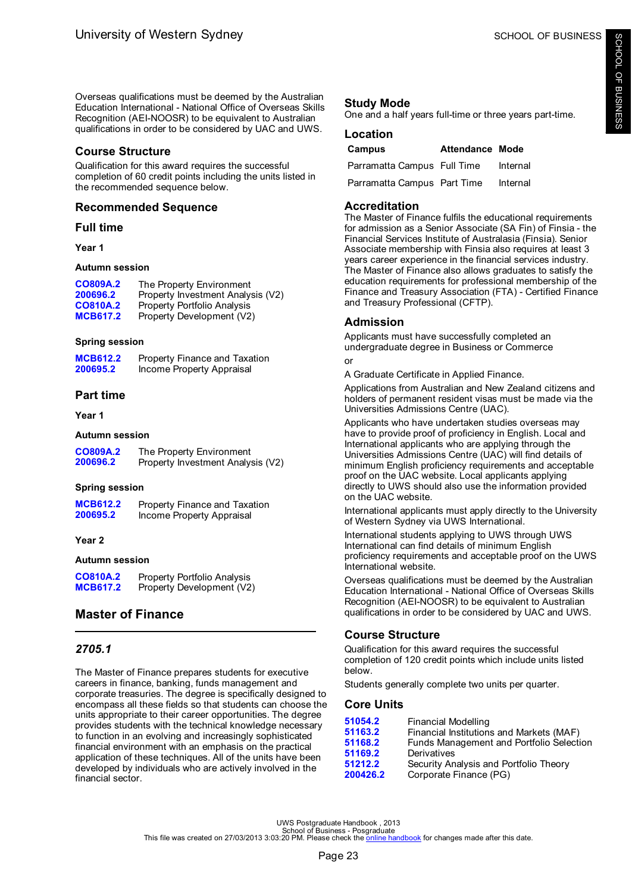<span id="page-25-0"></span>Overseas qualifications must be deemed by the Australian Education International - National Office of Overseas Skills Recognition (AEI-NOOSR) to be equivalent to Australian qualifications in order to be considered by UAC and UWS.

# **Course Structure**

Qualification for this award requires the successful completion of 60 credit points including the units listed in the recommended sequence below.

# **Recommended Sequence**

# **Full time**

# **Year 1**

# **Autumn session**

| CO809A.2        | The Property Environment           |
|-----------------|------------------------------------|
| 200696.2        | Property Investment Analysis (V2)  |
| <b>CO810A.2</b> | <b>Property Portfolio Analysis</b> |
| <b>MCB617.2</b> | Property Development (V2)          |

# **Spring session**

| <b>MCB612.2</b> | Property Finance and Taxation |
|-----------------|-------------------------------|
| 200695.2        | Income Property Appraisal     |

# **Part time**

**Year 1**

### **Autumn session**

| CO809A.2 | The Property Environment          |
|----------|-----------------------------------|
| 200696.2 | Property Investment Analysis (V2) |

## **Spring session**

| <b>MCB612.2</b> | Property Finance and Taxation |
|-----------------|-------------------------------|
| 200695.2        | Income Property Appraisal     |

## **Year 2**

### **Autumn session**

| CO810A.2        | <b>Property Portfolio Analysis</b> |
|-----------------|------------------------------------|
| <b>MCB617.2</b> | Property Development (V2)          |

# **Master of Finance**

# *2705.1*

The Master of Finance prepares students for executive careers in finance, banking, funds management and corporate treasuries. The degree is specifically designed to encompass all these fields so that students can choose the units appropriate to their career opportunities. The degree provides students with the technical knowledge necessary to function in an evolving and increasingly sophisticated financial environment with an emphasis on the practical application of these techniques. All of the units have been developed by individuals who are actively involved in the financial sector.

# **Study Mode**

One and a half years full-time or three years part-time.

## **Location**

| Campus                      | <b>Attendance Mode</b> |          |
|-----------------------------|------------------------|----------|
| Parramatta Campus Full Time |                        | Internal |
| Parramatta Campus Part Time |                        | Internal |

# **Accreditation**

The Master of Finance fulfils the educational requirements for admission as a Senior Associate (SA Fin) of Finsia - the Financial Services Institute of Australasia (Finsia). Senior Associate membership with Finsia also requires at least 3 years career experience in the financial services industry. The Master of Finance also allows graduates to satisfy the education requirements for professional membership of the Finance and Treasury Association (FTA) - Certified Finance and Treasury Professional (CFTP).

# **Admission**

Applicants must have successfully completed an undergraduate degree in Business or Commerce or

A Graduate Certificate in Applied Finance.

Applications from Australian and New Zealand citizens and holders of permanent resident visas must be made via the Universities Admissions Centre (UAC).

Applicants who have undertaken studies overseas may have to provide proof of proficiency in English. Local and International applicants who are applying through the Universities Admissions Centre (UAC) will find details of minimum English proficiency requirements and acceptable proof on the UAC website. Local applicants applying directly to UWS should also use the information provided on the UAC website.

International applicants must apply directly to the University of Western Sydney via UWS International.

International students applying to UWS through UWS International can find details of minimum English proficiency requirements and acceptable proof on the UWS International website.

Overseas qualifications must be deemed by the Australian Education International - National Office of Overseas Skills Recognition (AEI-NOOSR) to be equivalent to Australian qualifications in order to be considered by UAC and UWS.

# **Course Structure**

Qualification for this award requires the successful completion of 120 credit points which include units listed below.

Students generally complete two units per quarter.

# **Core Units**

| 51054.2  | Financial Modelling                      |
|----------|------------------------------------------|
| 51163.2  | Financial Institutions and Markets (MAF) |
| 51168.2  | Funds Management and Portfolio Selection |
| 51169.2  | Derivatives                              |
| 51212.2  | Security Analysis and Portfolio Theory   |
| 200426.2 | Corporate Finance (PG)                   |
|          |                                          |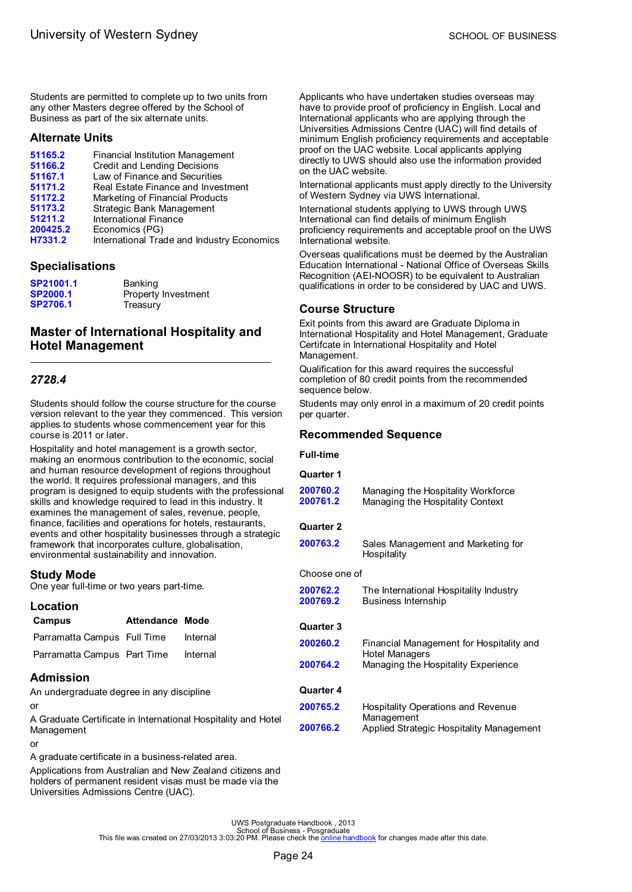<span id="page-26-0"></span>Students are permitted to complete up to two units from any other Masters degree offered by the School of Business as part of the six alternate units.

### **Alternate Units**

| 51165.2  | Financial Institution Management           |
|----------|--------------------------------------------|
| 51166.2  | Credit and Lending Decisions               |
| 51167.1  | Law of Finance and Securities              |
| 51171.2  | Real Estate Finance and Investment         |
| 51172.2  | Marketing of Financial Products            |
| 51173.2  | Strategic Bank Management                  |
| 51211.2  | International Finance                      |
| 200425.2 | Economics (PG)                             |
| H7331.2  | International Trade and Industry Economics |

### **Specialisations**

| SP21001.1       | Banking             |
|-----------------|---------------------|
| <b>SP2000.1</b> | Property Investment |
| <b>SP2706.1</b> | Treasury            |

# **Master of International Hospitality and Hotel Management**

# *2728.4*

Students should follow the course structure for the course version relevant to the year they commenced. This version applies to students whose commencement year for this course is 2011 or later.

Hospitality and hotel management is a growth sector, making an enormous contribution to the economic, social and human resource development of regions throughout the world. It requires professional managers, and this program is designed to equip students with the professional skills and knowledge required to lead in this industry. It examines the management of sales, revenue, people, finance, facilities and operations for hotels, restaurants, events and other hospitality businesses through a strategic framework that incorporates culture, globalisation, environmental sustainability and innovation.

### **Study Mode**

One year full-time or two years part-time.

### **Location**

| Campus                      | <b>Attendance Mode</b> |          |
|-----------------------------|------------------------|----------|
| Parramatta Campus Full Time |                        | Internal |
| Parramatta Campus Part Time |                        | Internal |
| <b>Admiccion</b>            |                        |          |

## **Admission**

An undergraduate degree in any discipline

or

A Graduate Certificate in International Hospitality and Hotel Management

#### or

A graduate certificate in a business-related area.

Applications from Australian and New Zealand citizens and holders of permanent resident visas must be made via the Universities Admissions Centre (UAC).

Applicants who have undertaken studies overseas may have to provide proof of proficiency in English. Local and International applicants who are applying through the Universities Admissions Centre (UAC) will find details of minimum English proficiency requirements and acceptable proof on the UAC website. Local applicants applying directly to UWS should also use the information provided on the UAC website.

International applicants must apply directly to the University of Western Sydney via UWS International.

International students applying to UWS through UWS International can find details of minimum English proficiency requirements and acceptable proof on the UWS International website.

Overseas qualifications must be deemed by the Australian Education International - National Office of Overseas Skills Recognition (AEI-NOOSR) to be equivalent to Australian qualifications in order to be considered by UAC and UWS.

## **Course Structure**

Exit points from this award are Graduate Diploma in International Hospitality and Hotel Management, Graduate Certifcate in International Hospitality and Hotel Management.

Qualification for this award requires the successful completion of 80 credit points from the recommended sequence below.

Students may only enrol in a maximum of 20 credit points per quarter.

### **Recommended Sequence**

#### **Full-time**

| <b>Quarter 1</b>     |                                                                        |
|----------------------|------------------------------------------------------------------------|
| 200760.2<br>200761.2 | Managing the Hospitality Workforce<br>Managing the Hospitality Context |
| <b>Quarter 2</b>     |                                                                        |
| 200763.2             | Sales Management and Marketing for<br>Hospitality                      |
| Choose one of        |                                                                        |
| 200762.2<br>200769.2 | The International Hospitality Industry<br><b>Business Internship</b>   |
| <b>Quarter 3</b>     |                                                                        |
| 200260.2             | Financial Management for Hospitality and<br><b>Hotel Managers</b>      |
| 200764.2             | Managing the Hospitality Experience                                    |
| <b>Quarter 4</b>     |                                                                        |
| 200765.2             | Hospitality Operations and Revenue<br>Management                       |
| 200766.2             | Applied Strategic Hospitality Management                               |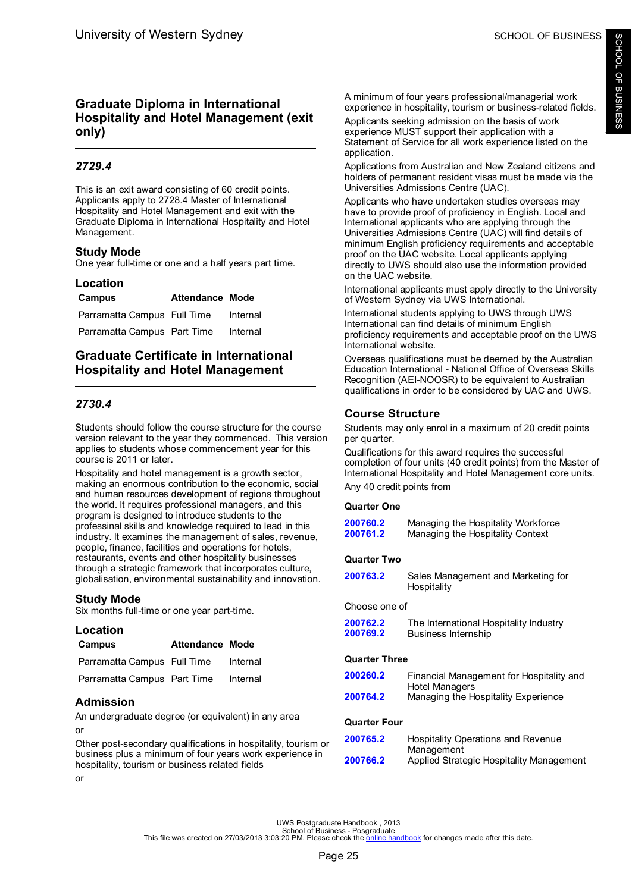# <span id="page-27-0"></span>**Graduate Diploma in International Hospitality and Hotel Management (exit only)**

# *2729.4*

This is an exit award consisting of 60 credit points. Applicants apply to 2728.4 Master of International Hospitality and Hotel Management and exit with the Graduate Diploma in International Hospitality and Hotel Management.

# **Study Mode**

One year full-time or one and a half years part time.

## **Location**

| Campus                      | Attendance Mode |          |
|-----------------------------|-----------------|----------|
| Parramatta Campus Full Time |                 | Internal |
| Parramatta Campus Part Time |                 | Internal |

# **Graduate Certificate in International Hospitality and Hotel Management**

# *2730.4*

Students should follow the course structure for the course version relevant to the year they commenced. This version applies to students whose commencement year for this course is 2011 or later.

Hospitality and hotel management is a growth sector, making an enormous contribution to the economic, social and human resources development of regions throughout the world. It requires professional managers, and this program is designed to introduce students to the professinal skills and knowledge required to lead in this industry. It examines the management of sales, revenue, people, finance, facilities and operations for hotels, restaurants, events and other hospitality businesses through a strategic framework that incorporates culture, globalisation, environmental sustainability and innovation.

# **Study Mode**

Six months full-time or one year part-time.

| Location                    |                 |          |
|-----------------------------|-----------------|----------|
| Campus                      | Attendance Mode |          |
| Parramatta Campus Full Time |                 | Internal |
| Parramatta Campus Part Time |                 | Internal |
| Admission                   |                 |          |

An undergraduate degree (or equivalent) in any area or

Other post-secondary qualifications in hospitality, tourism or business plus a minimum of four years work experience in hospitality, tourism or business related fields

or

A minimum of four years professional/managerial work experience in hospitality, tourism or business-related fields.

Applicants seeking admission on the basis of work experience MUST support their application with a Statement of Service for all work experience listed on the application.

Applications from Australian and New Zealand citizens and holders of permanent resident visas must be made via the Universities Admissions Centre (UAC).

Applicants who have undertaken studies overseas may have to provide proof of proficiency in English. Local and International applicants who are applying through the Universities Admissions Centre (UAC) will find details of minimum English proficiency requirements and acceptable proof on the UAC website. Local applicants applying directly to UWS should also use the information provided on the UAC website.

International applicants must apply directly to the University of Western Sydney via UWS International.

International students applying to UWS through UWS International can find details of minimum English proficiency requirements and acceptable proof on the UWS International website.

Overseas qualifications must be deemed by the Australian Education International - National Office of Overseas Skills Recognition (AEI-NOOSR) to be equivalent to Australian qualifications in order to be considered by UAC and UWS.

## **Course Structure**

Students may only enrol in a maximum of 20 credit points per quarter.

Qualifications for this award requires the successful completion of four units (40 credit points) from the Master of International Hospitality and Hotel Management core units. Any 40 credit points from

### **Quarter One**

| 200760.2 | Managing the Hospitality Workforce |
|----------|------------------------------------|
| 200761.2 | Managing the Hospitality Context   |
|          |                                    |

### **Quarter Two**

| 200763.2 | Sales Management and Marketing for |
|----------|------------------------------------|
|          | Hospitality                        |

### Choose one of

| 200762.2 | The International Hospitality Industry |
|----------|----------------------------------------|
| 200769.2 | Business Internship                    |

### **Quarter Three**

| 200260.2<br>200764.2 | Financial Management for Hospitality and<br>Hotel Managers<br>Managing the Hospitality Experience |
|----------------------|---------------------------------------------------------------------------------------------------|
| Quarter Four         |                                                                                                   |
| 200765.2             | Hospitality Operations and Revenue<br>Management                                                  |
| 200766.2             | Applied Strategic Hospitality Management                                                          |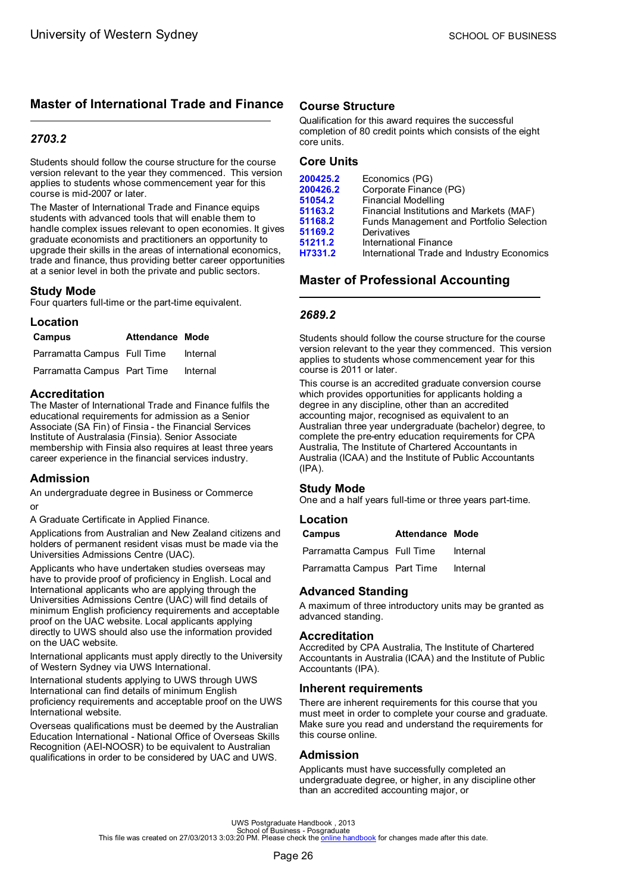# <span id="page-28-0"></span>**Master of International Trade and Finance**

# *2703.2*

Students should follow the course structure for the course version relevant to the year they commenced. This version applies to students whose commencement year for this course is mid-2007 or later.

The Master of International Trade and Finance equips students with advanced tools that will enable them to handle complex issues relevant to open economies. It gives graduate economists and practitioners an opportunity to upgrade their skills in the areas of international economics, trade and finance, thus providing better career opportunities at a senior level in both the private and public sectors.

# **Study Mode**

Four quarters full-time or the part-time equivalent.

### **Location**

| Campus                      | <b>Attendance Mode</b> |          |
|-----------------------------|------------------------|----------|
| Parramatta Campus Full Time |                        | Internal |
| Parramatta Campus Part Time |                        | Internal |

### **Accreditation**

The Master of International Trade and Finance fulfils the educational requirements for admission as a Senior Associate (SA Fin) of Finsia - the Financial Services Institute of Australasia (Finsia). Senior Associate membership with Finsia also requires at least three years career experience in the financial services industry.

## **Admission**

An undergraduate degree in Business or Commerce or

A Graduate Certificate in Applied Finance.

Applications from Australian and New Zealand citizens and holders of permanent resident visas must be made via the Universities Admissions Centre (UAC).

Applicants who have undertaken studies overseas may have to provide proof of proficiency in English. Local and International applicants who are applying through the Universities Admissions Centre (UAC) will find details of minimum English proficiency requirements and acceptable proof on the UAC website. Local applicants applying directly to UWS should also use the information provided on the UAC website.

International applicants must apply directly to the University of Western Sydney via UWS International.

International students applying to UWS through UWS International can find details of minimum English proficiency requirements and acceptable proof on the UWS International website.

Overseas qualifications must be deemed by the Australian Education International - National Office of Overseas Skills Recognition (AEI-NOOSR) to be equivalent to Australian qualifications in order to be considered by UAC and UWS.

## **Course Structure**

Qualification for this award requires the successful completion of 80 credit points which consists of the eight core units.

# **Core Units**

| 200425.2 | Economics (PG)                             |
|----------|--------------------------------------------|
| 200426.2 | Corporate Finance (PG)                     |
| 51054.2  | <b>Financial Modelling</b>                 |
| 51163.2  | Financial Institutions and Markets (MAF)   |
| 51168.2  | Funds Management and Portfolio Selection   |
| 51169.2  | Derivatives                                |
| 51211.2  | International Finance                      |
| H7331.2  | International Trade and Industry Economics |

# **Master of Professional Accounting**

## *2689.2*

Students should follow the course structure for the course version relevant to the year they commenced. This version applies to students whose commencement year for this course is 2011 or later.

This course is an accredited graduate conversion course which provides opportunities for applicants holding a degree in any discipline, other than an accredited accounting major, recognised as equivalent to an Australian three year undergraduate (bachelor) degree, to complete the pre-entry education requirements for CPA Australia, The Institute of Chartered Accountants in Australia (ICAA) and the Institute of Public Accountants (IPA).

### **Study Mode**

One and a half years full-time or three years part-time.

### **Location**

**Campus Attendance Mode**

Parramatta Campus Full Time Internal

Parramatta Campus Part Time Internal

## **Advanced Standing**

A maximum of three introductory units may be granted as advanced standing.

### **Accreditation**

Accredited by CPA Australia, The Institute of Chartered Accountants in Australia (ICAA) and the Institute of Public Accountants (IPA).

## **Inherent requirements**

There are inherent requirements for this course that you must meet in order to complete your course and graduate. Make sure you read and understand the requirements for this course online.

## **Admission**

Applicants must have successfully completed an undergraduate degree, or higher, in any discipline other than an accredited accounting major, or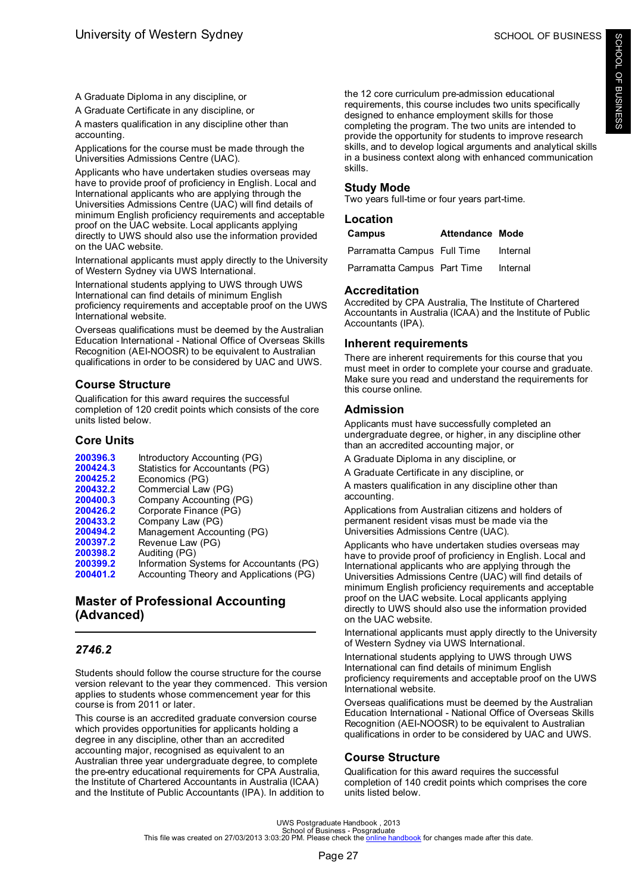<span id="page-29-0"></span>A Graduate Diploma in any discipline, or

A Graduate Certificate in any discipline, or

A masters qualification in any discipline other than accounting.

Applications for the course must be made through the Universities Admissions Centre (UAC).

Applicants who have undertaken studies overseas may have to provide proof of proficiency in English. Local and International applicants who are applying through the Universities Admissions Centre (UAC) will find details of minimum English proficiency requirements and acceptable proof on the UAC website. Local applicants applying directly to UWS should also use the information provided on the UAC website.

International applicants must apply directly to the University of Western Sydney via UWS International.

International students applying to UWS through UWS International can find details of minimum English proficiency requirements and acceptable proof on the UWS International website.

Overseas qualifications must be deemed by the Australian Education International - National Office of Overseas Skills Recognition (AEI-NOOSR) to be equivalent to Australian qualifications in order to be considered by UAC and UWS.

# **Course Structure**

Qualification for this award requires the successful completion of 120 credit points which consists of the core units listed below.

# **Core Units**

- [200396.3](#page-49-0) Introductory Accounting (PG)<br>200424.3 Statistics for Accountants (PC [200424.3](#page-58-0) Statistics for Accountants (PG)<br>200425.2 Fronomics (PG) **[200425.2](#page-42-0)** Economics (PG) **[200432.2](#page-37-0)** Commercial Law (PG) **[200400.3](#page-37-0)** Company Accounting (PG) **[200426.2](#page-39-0)** Corporate Finance (PG)<br>**200433.2** Company Law (PG)
- **[200433.2](#page-38-0)** Company Law (PG) [200494.2](#page-50-0) Management Accounting (PG)<br>200397.2 Revenue Law (PG)
- **[200397.2](#page-57-0)** Revenue Law (PG)
- **[200398.2](#page-36-0)** Auditing (PG)
- **[200399.2](#page-47-0)** Information Systems for Accountants (PG)
- **[200401.2](#page-34-0)** Accounting Theory and Applications (PG)

# **Master of Professional Accounting (Advanced)**

# *2746.2*

Students should follow the course structure for the course version relevant to the year they commenced. This version applies to students whose commencement year for this course is from 2011 or later.

This course is an accredited graduate conversion course which provides opportunities for applicants holding a degree in any discipline, other than an accredited accounting major, recognised as equivalent to an Australian three year undergraduate degree, to complete the pre-entry educational requirements for CPA Australia, the Institute of Chartered Accountants in Australia (ICAA) and the Institute of Public Accountants (IPA). In addition to the 12 core curriculum pre-admission educational requirements, this course includes two units specifically designed to enhance employment skills for those completing the program. The two units are intended to provide the opportunity for students to improve research skills, and to develop logical arguments and analytical skills in a business context along with enhanced communication skills.

# **Study Mode**

Two years full-time or four years part-time.

| Location                    |                 |          |
|-----------------------------|-----------------|----------|
| Campus                      | Attendance Mode |          |
| Parramatta Campus Full Time |                 | Internal |
| Parramatta Campus Part Time |                 | Internal |

# **Accreditation**

Accredited by CPA Australia, The Institute of Chartered Accountants in Australia (ICAA) and the Institute of Public Accountants (IPA).

# **Inherent requirements**

There are inherent requirements for this course that you must meet in order to complete your course and graduate. Make sure you read and understand the requirements for this course online.

# **Admission**

Applicants must have successfully completed an undergraduate degree, or higher, in any discipline other than an accredited accounting major, or

A Graduate Diploma in any discipline, or

A Graduate Certificate in any discipline, or

A masters qualification in any discipline other than accounting.

Applications from Australian citizens and holders of permanent resident visas must be made via the Universities Admissions Centre (UAC).

Applicants who have undertaken studies overseas may have to provide proof of proficiency in English. Local and International applicants who are applying through the Universities Admissions Centre (UAC) will find details of minimum English proficiency requirements and acceptable proof on the UAC website. Local applicants applying directly to UWS should also use the information provided on the UAC website.

International applicants must apply directly to the University of Western Sydney via UWS International.

International students applying to UWS through UWS International can find details of minimum English proficiency requirements and acceptable proof on the UWS International website.

Overseas qualifications must be deemed by the Australian Education International - National Office of Overseas Skills Recognition (AEI-NOOSR) to be equivalent to Australian qualifications in order to be considered by UAC and UWS.

# **Course Structure**

Qualification for this award requires the successful completion of 140 credit points which comprises the core units listed below.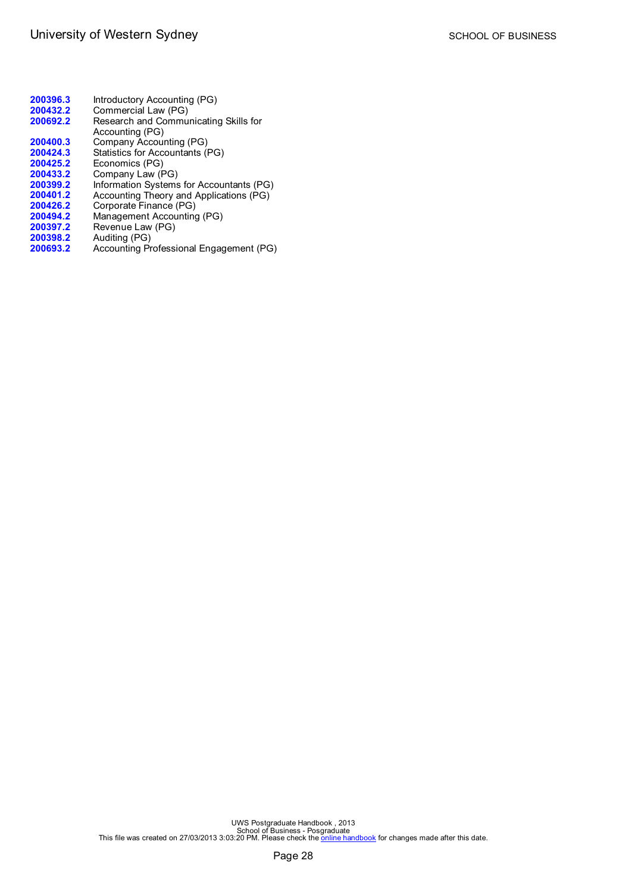| 200396.3 | Introductory Accounting (PG)             |
|----------|------------------------------------------|
| 200432.2 | Commercial Law (PG)                      |
| 200692.2 | Research and Communicating Skills for    |
|          | Accounting (PG)                          |
| 200400.3 | Company Accounting (PG)                  |
| 200424.3 | Statistics for Accountants (PG)          |
| 200425.2 | Economics (PG)                           |
| 200433.2 | Company Law (PG)                         |
| 200399.2 | Information Systems for Accountants (PG) |
| 200401.2 | Accounting Theory and Applications (PG)  |
| 200426.2 | Corporate Finance (PG)                   |
| 200494.2 | Management Accounting (PG)               |
| 200397.2 | Revenue Law (PG)                         |
| 200398.2 | Auditing (PG)                            |
| 200693.2 | Accounting Professional Engagement (PG)  |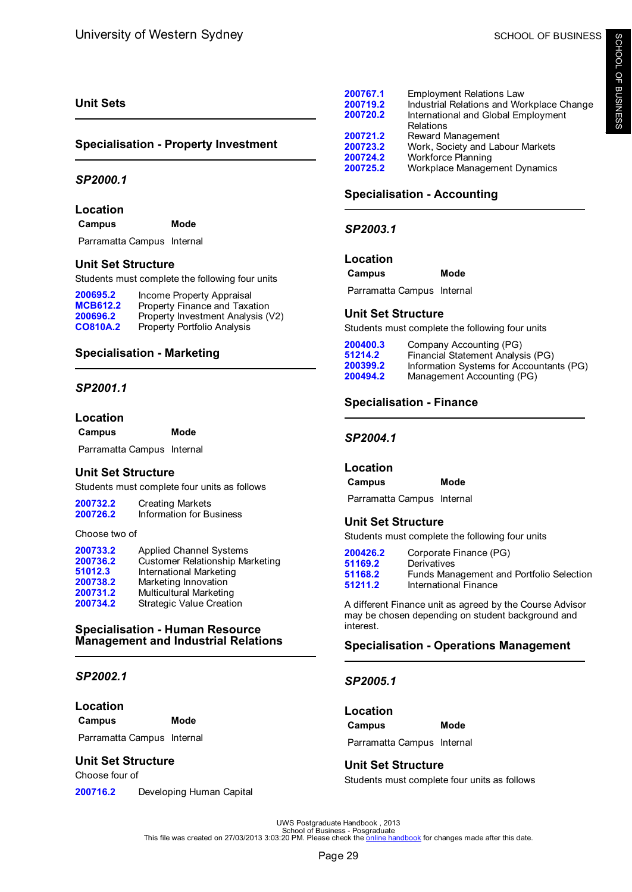# <span id="page-31-0"></span>**Unit Sets**

## **Specialisation - Property Investment**

### *SP2000.1*

### **Location**

**Campus Mode**

Parramatta Campus Internal

### **Unit Set Structure**

Students must complete the following four units

| 200695.2        | Income Property Appraisal          |
|-----------------|------------------------------------|
| <b>MCB612.2</b> | Property Finance and Taxation      |
| 200696.2        | Property Investment Analysis (V2)  |
| <b>CO810A.2</b> | <b>Property Portfolio Analysis</b> |

## **Specialisation - Marketing**

### *SP2001.1*

### **Location**

**Campus Mode**

Parramatta Campus Internal

## **Unit Set Structure**

Students must complete four units as follows

| 200732.2 | <b>Creating Markets</b>  |  |
|----------|--------------------------|--|
| 200726.2 | Information for Business |  |

#### Choose two of

| 200733.2 | <b>Applied Channel Systems</b>         |
|----------|----------------------------------------|
| 200736.2 | <b>Customer Relationship Marketing</b> |
| 51012.3  | International Marketing                |
| 200738.2 | Marketing Innovation                   |
| 200731.2 | <b>Multicultural Marketing</b>         |
| 200734.2 | <b>Strategic Value Creation</b>        |

### **Specialisation - Human Resource Management and Industrial Relations**

# *SP2002.1*

**Location**

**Campus Mode**

Parramatta Campus Internal

### **Unit Set Structure**

Choose four of

**[200716.2](#page-41-0)** Developing Human Capital

| 200767.1<br>200719.2<br>200720.2             | <b>Employment Relations Law</b><br>Industrial Relations and Workplace Change<br>International and Global Employment<br>Relations |
|----------------------------------------------|----------------------------------------------------------------------------------------------------------------------------------|
| 200721.2<br>200723.2<br>200724.2<br>200725.2 | Reward Management<br>Work, Society and Labour Markets<br><b>Workforce Planning</b><br>Workplace Management Dynamics              |
|                                              |                                                                                                                                  |

# **Specialisation - Accounting**

*SP2003.1*

**Location**

**Campus Mode**

Parramatta Campus Internal

### **Unit Set Structure**

Students must complete the following four units

| 200400.3 | Company Accounting (PG)                  |
|----------|------------------------------------------|
| 51214.2  | Financial Statement Analysis (PG)        |
| 200399.2 | Information Systems for Accountants (PG) |
| 200494.2 | Management Accounting (PG)               |

# **Specialisation - Finance**

### *SP2004.1*

### **Location**

**Campus Mode**

Parramatta Campus Internal

## **Unit Set Structure**

Students must complete the following four units

| 200426.2 | Corporate Finance (PG)                   |
|----------|------------------------------------------|
| 51169.2  | Derivatives                              |
| 51168.2  | Funds Management and Portfolio Selection |
| 51211.2  | International Finance                    |
|          |                                          |

A different Finance unit as agreed by the Course Advisor may be chosen depending on student background and interest.

## **Specialisation - Operations Management**

## *SP2005.1*

| Location |      |
|----------|------|
| Campus   | Mode |
|          | .    |

Parramatta Campus Internal

# **Unit Set Structure**

Students must complete four units as follows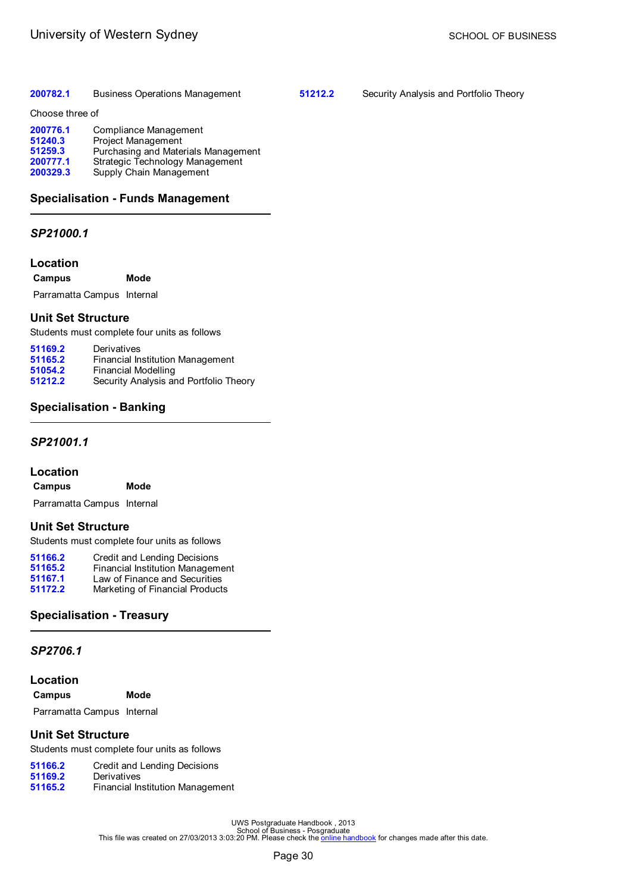### <span id="page-32-0"></span>**[200782.1](#page-36-0)** Business Operations Management

**[51212.2](#page-58-0)** Security Analysis and Portfolio Theory

Choose three of

| 200776.1 | Compliance Management               |
|----------|-------------------------------------|
| 51240.3  | <b>Project Management</b>           |
| 51259.3  | Purchasing and Materials Management |
| 200777.1 | Strategic Technology Management     |
| 200329.3 | Supply Chain Management             |

# **Specialisation - Funds Management**

# *SP21000.1*

### **Location**

**Campus Mode**

Parramatta Campus Internal

# **Unit Set Structure**

Students must complete four units as follows

| 51169.2 | Derivatives                            |
|---------|----------------------------------------|
| 51165.2 | Financial Institution Management       |
| 51054.2 | Financial Modelling                    |
| 51212.2 | Security Analysis and Portfolio Theory |

# **Specialisation - Banking**

## *SP21001.1*

## **Location**

| Campus | Mode |
|--------|------|
|        |      |

Parramatta Campus Internal

## **Unit Set Structure**

Students must complete four units as follows

| 51166.2 | Credit and Lending Decisions     |
|---------|----------------------------------|
| 51165.2 | Financial Institution Management |
| 51167.1 | Law of Finance and Securities    |
| 51172.2 | Marketing of Financial Products  |

# **Specialisation - Treasury**

### *SP2706.1*

**Location**

| Campus | Mode |
|--------|------|
|--------|------|

Parramatta Campus Internal

## **Unit Set Structure**

Students must complete four units as follows

| 51166.2 | Credit and Lending Decisions     |
|---------|----------------------------------|
| 51169.2 | Derivatives                      |
| 51165.2 | Financial Institution Management |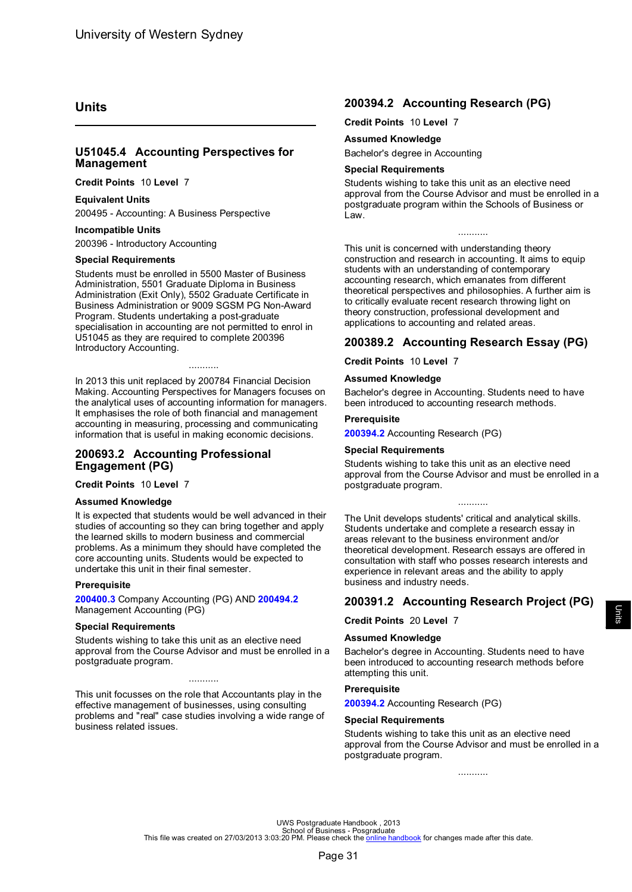# <span id="page-33-0"></span>**Units**

### **U51045.4 Accounting Perspectives for Management**

**Credit Points** 10 **Level** 7

### **Equivalent Units**

200495 - Accounting: A Business Perspective

### **Incompatible Units**

200396 - Introductory Accounting

#### **Special Requirements**

Students must be enrolled in 5500 Master of Business Administration, 5501 Graduate Diploma in Business Administration (Exit Only), 5502 Graduate Certificate in Business Administration or 9009 SGSM PG Non-Award Program. Students undertaking a post-graduate specialisation in accounting are not permitted to enrol in U51045 as they are required to complete 200396 Introductory Accounting.

In 2013 this unit replaced by 200784 Financial Decision Making. Accounting Perspectives for Managers focuses on the analytical uses of accounting information for managers. It emphasises the role of both financial and management accounting in measuring, processing and communicating information that is useful in making economic decisions.

...........

### **200693.2 Accounting Professional Engagement (PG)**

**Credit Points** 10 **Level** 7

#### **Assumed Knowledge**

It is expected that students would be well advanced in their studies of accounting so they can bring together and apply the learned skills to modern business and commercial problems. As a minimum they should have completed the core accounting units. Students would be expected to undertake this unit in their final semester.

#### **Prerequisite**

**[200400.3](#page-37-0)** Company Accounting (PG) AND **[200494.2](#page-50-0)** Management Accounting (PG)

#### **Special Requirements**

Students wishing to take this unit as an elective need approval from the Course Advisor and must be enrolled in a postgraduate program.

...........

This unit focusses on the role that Accountants play in the effective management of businesses, using consulting problems and "real" case studies involving a wide range of business related issues.

## **200394.2 Accounting Research (PG)**

**Credit Points** 10 **Level** 7

#### **Assumed Knowledge**

Bachelor's degree in Accounting

#### **Special Requirements**

Students wishing to take this unit as an elective need approval from the Course Advisor and must be enrolled in a postgraduate program within the Schools of Business or Law.

...........

This unit is concerned with understanding theory construction and research in accounting. It aims to equip students with an understanding of contemporary accounting research, which emanates from different theoretical perspectives and philosophies. A further aim is to critically evaluate recent research throwing light on theory construction, professional development and applications to accounting and related areas.

## **200389.2 Accounting Research Essay (PG)**

**Credit Points** 10 **Level** 7

#### **Assumed Knowledge**

Bachelor's degree in Accounting. Students need to have been introduced to accounting research methods.

#### **Prerequisite**

**200394.2** Accounting Research (PG)

#### **Special Requirements**

Students wishing to take this unit as an elective need approval from the Course Advisor and must be enrolled in a postgraduate program.

...........

The Unit develops students' critical and analytical skills. Students undertake and complete a research essay in areas relevant to the business environment and/or theoretical development. Research essays are offered in consultation with staff who posses research interests and experience in relevant areas and the ability to apply business and industry needs.

# **200391.2 Accounting Research Project (PG)**

**Credit Points** 20 **Level** 7

#### **Assumed Knowledge**

Bachelor's degree in Accounting. Students need to have been introduced to accounting research methods before attempting this unit.

### **Prerequisite**

**200394.2** Accounting Research (PG)

#### **Special Requirements**

Students wishing to take this unit as an elective need approval from the Course Advisor and must be enrolled in a postgraduate program.

...........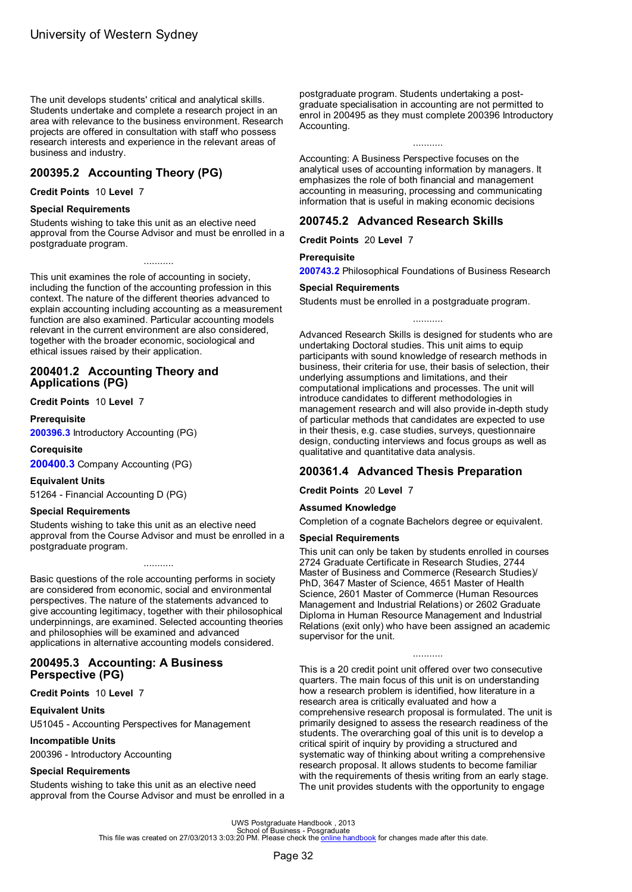<span id="page-34-0"></span>The unit develops students' critical and analytical skills. Students undertake and complete a research project in an area with relevance to the business environment. Research projects are offered in consultation with staff who possess research interests and experience in the relevant areas of business and industry.

# **200395.2 Accounting Theory (PG)**

**Credit Points** 10 **Level** 7

### **Special Requirements**

Students wishing to take this unit as an elective need approval from the Course Advisor and must be enrolled in a postgraduate program.

...........

This unit examines the role of accounting in society, including the function of the accounting profession in this context. The nature of the different theories advanced to explain accounting including accounting as a measurement function are also examined. Particular accounting models relevant in the current environment are also considered, together with the broader economic, sociological and ethical issues raised by their application.

### **200401.2 Accounting Theory and Applications (PG)**

**Credit Points** 10 **Level** 7

#### **Prerequisite**

**[200396.3](#page-49-0)** Introductory Accounting (PG)

### **Corequisite**

**[200400.3](#page-37-0)** Company Accounting (PG)

#### **Equivalent Units**

51264 - Financial Accounting D (PG)

#### **Special Requirements**

Students wishing to take this unit as an elective need approval from the Course Advisor and must be enrolled in a postgraduate program.

...........

Basic questions of the role accounting performs in society are considered from economic, social and environmental perspectives. The nature of the statements advanced to give accounting legitimacy, together with their philosophical underpinnings, are examined. Selected accounting theories and philosophies will be examined and advanced applications in alternative accounting models considered.

### **200495.3 Accounting: A Business Perspective (PG)**

**Credit Points** 10 **Level** 7

#### **Equivalent Units**

U51045 - Accounting Perspectives for Management

#### **Incompatible Units**

200396 - Introductory Accounting

#### **Special Requirements**

Students wishing to take this unit as an elective need approval from the Course Advisor and must be enrolled in a postgraduate program. Students undertaking a postgraduate specialisation in accounting are not permitted to enrol in 200495 as they must complete 200396 Introductory Accounting.

...........

Accounting: A Business Perspective focuses on the analytical uses of accounting information by managers. It emphasizes the role of both financial and management accounting in measuring, processing and communicating information that is useful in making economic decisions

## **200745.2 Advanced Research Skills**

**Credit Points** 20 **Level** 7

#### **Prerequisite**

**[200743.2](#page-54-0)** Philosophical Foundations of Business Research

...........

#### **Special Requirements**

Students must be enrolled in a postgraduate program.

Advanced Research Skills is designed for students who are undertaking Doctoral studies. This unit aims to equip participants with sound knowledge of research methods in business, their criteria for use, their basis of selection, their underlying assumptions and limitations, and their computational implications and processes. The unit will introduce candidates to different methodologies in management research and will also provide in-depth study of particular methods that candidates are expected to use in their thesis, e.g. case studies, surveys, questionnaire design, conducting interviews and focus groups as well as qualitative and quantitative data analysis.

# **200361.4 Advanced Thesis Preparation**

**Credit Points** 20 **Level** 7

#### **Assumed Knowledge**

Completion of a cognate Bachelors degree or equivalent.

#### **Special Requirements**

This unit can only be taken by students enrolled in courses 2724 Graduate Certificate in Research Studies, 2744 Master of Business and Commerce (Research Studies)/ PhD, 3647 Master of Science, 4651 Master of Health Science, 2601 Master of Commerce (Human Resources Management and Industrial Relations) or 2602 Graduate Diploma in Human Resource Management and Industrial Relations (exit only) who have been assigned an academic supervisor for the unit.

...........

This is a 20 credit point unit offered over two consecutive quarters. The main focus of this unit is on understanding how a research problem is identified, how literature in a research area is critically evaluated and how a comprehensive research proposal is formulated. The unit is primarily designed to assess the research readiness of the students. The overarching goal of this unit is to develop a critical spirit of inquiry by providing a structured and systematic way of thinking about writing a comprehensive research proposal. It allows students to become familiar with the requirements of thesis writing from an early stage. The unit provides students with the opportunity to engage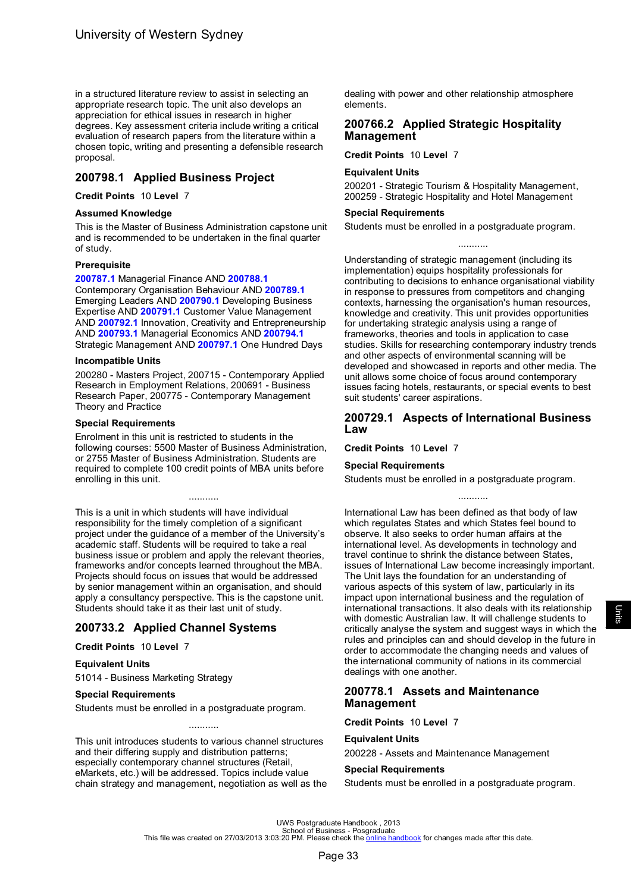<span id="page-35-0"></span>in a structured literature review to assist in selecting an appropriate research topic. The unit also develops an appreciation for ethical issues in research in higher degrees. Key assessment criteria include writing a critical evaluation of research papers from the literature within a chosen topic, writing and presenting a defensible research proposal.

# **200798.1 Applied Business Project**

#### **Credit Points** 10 **Level** 7

#### **Assumed Knowledge**

This is the Master of Business Administration capstone unit and is recommended to be undertaken in the final quarter of study.

#### **Prerequisite**

**[200787.1](#page-50-0)** Managerial Finance AND **[200788.1](#page-39-0)** Contemporary Organisation Behaviour AND **[200789.1](#page-42-0)** Emerging Leaders AND **[200790.1](#page-41-0)** Developing Business Expertise AND **[200791.1](#page-41-0)** Customer Value Management AND **[200792.1](#page-47-0)** Innovation, Creativity and Entrepreneurship AND **[200793.1](#page-50-0)** Managerial Economics AND **[200794.1](#page-59-0)** Strategic Management AND **[200797.1](#page-54-0)** One Hundred Days

#### **Incompatible Units**

200280 - Masters Project, 200715 - Contemporary Applied Research in Employment Relations, 200691 - Business Research Paper, 200775 - Contemporary Management Theory and Practice

#### **Special Requirements**

Enrolment in this unit is restricted to students in the following courses: 5500 Master of Business Administration, or 2755 Master of Business Administration. Students are required to complete 100 credit points of MBA units before enrolling in this unit.

...........

This is a unit in which students will have individual responsibility for the timely completion of a significant project under the guidance of a member of the University's academic staff. Students will be required to take a real business issue or problem and apply the relevant theories, frameworks and/or concepts learned throughout the MBA. Projects should focus on issues that would be addressed by senior management within an organisation, and should apply a consultancy perspective. This is the capstone unit. Students should take it as their last unit of study.

## **200733.2 Applied Channel Systems**

#### **Credit Points** 10 **Level** 7

### **Equivalent Units**

51014 - Business Marketing Strategy

#### **Special Requirements**

Students must be enrolled in a postgraduate program.

This unit introduces students to various channel structures and their differing supply and distribution patterns; especially contemporary channel structures (Retail, eMarkets, etc.) will be addressed. Topics include value chain strategy and management, negotiation as well as the

...........

dealing with power and other relationship atmosphere elements.

### **200766.2 Applied Strategic Hospitality Management**

### **Credit Points** 10 **Level** 7

#### **Equivalent Units**

200201 - Strategic Tourism & Hospitality Management, 200259 - Strategic Hospitality and Hotel Management

#### **Special Requirements**

Students must be enrolled in a postgraduate program.

...........

Understanding of strategic management (including its implementation) equips hospitality professionals for contributing to decisions to enhance organisational viability in response to pressures from competitors and changing contexts, harnessing the organisation's human resources, knowledge and creativity. This unit provides opportunities for undertaking strategic analysis using a range of frameworks, theories and tools in application to case studies. Skills for researching contemporary industry trends and other aspects of environmental scanning will be developed and showcased in reports and other media. The unit allows some choice of focus around contemporary issues facing hotels, restaurants, or special events to best suit students' career aspirations.

### **200729.1 Aspects of International Business Law**

**Credit Points** 10 **Level** 7

### **Special Requirements**

Students must be enrolled in a postgraduate program.

...........

International Law has been defined as that body of law which regulates States and which States feel bound to observe. It also seeks to order human affairs at the international level. As developments in technology and travel continue to shrink the distance between States, issues of International Law become increasingly important. The Unit lays the foundation for an understanding of various aspects of this system of law, particularly in its impact upon international business and the regulation of international transactions. It also deals with its relationship with domestic Australian law. It will challenge students to critically analyse the system and suggest ways in which the rules and principles can and should develop in the future in order to accommodate the changing needs and values of the international community of nations in its commercial dealings with one another.

### **200778.1 Assets and Maintenance Management**

**Credit Points** 10 **Level** 7

#### **Equivalent Units**

200228 - Assets and Maintenance Management

### **Special Requirements**

Students must be enrolled in a postgraduate program.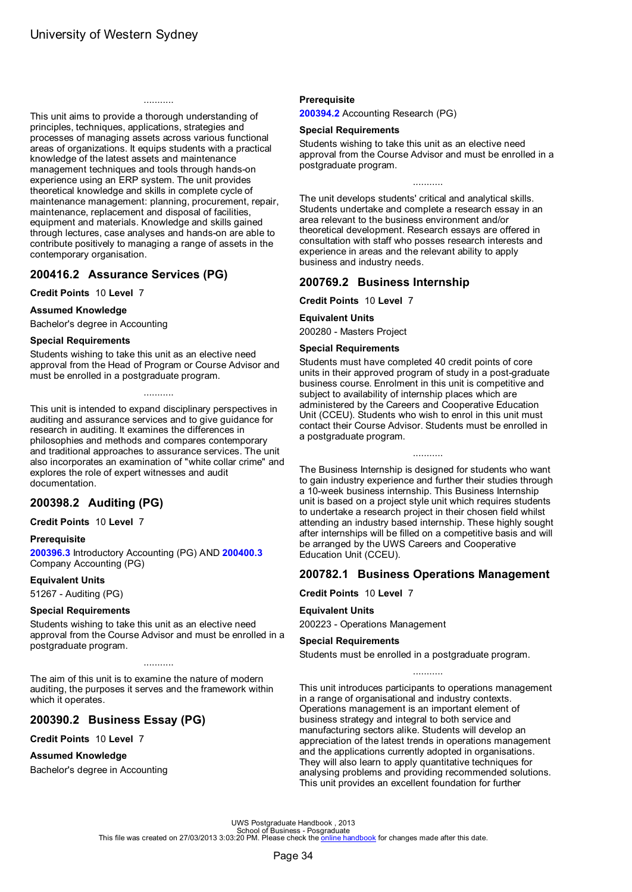<span id="page-36-0"></span>This unit aims to provide a thorough understanding of principles, techniques, applications, strategies and processes of managing assets across various functional areas of organizations. It equips students with a practical knowledge of the latest assets and maintenance management techniques and tools through hands-on experience using an ERP system. The unit provides theoretical knowledge and skills in complete cycle of maintenance management: planning, procurement, repair, maintenance, replacement and disposal of facilities, equipment and materials. Knowledge and skills gained through lectures, case analyses and hands-on are able to contribute positively to managing a range of assets in the contemporary organisation.

...........

# **200416.2 Assurance Services (PG)**

**Credit Points** 10 **Level** 7

#### **Assumed Knowledge**

Bachelor's degree in Accounting

#### **Special Requirements**

Students wishing to take this unit as an elective need approval from the Head of Program or Course Advisor and must be enrolled in a postgraduate program.

...........

This unit is intended to expand disciplinary perspectives in auditing and assurance services and to give guidance for research in auditing. It examines the differences in philosophies and methods and compares contemporary and traditional approaches to assurance services. The unit also incorporates an examination of "white collar crime" and explores the role of expert witnesses and audit documentation.

# **200398.2 Auditing (PG)**

**Credit Points** 10 **Level** 7

#### **Prerequisite**

**[200396.3](#page-49-0)** Introductory Accounting (PG) AND **[200400.3](#page-37-0)** Company Accounting (PG)

#### **Equivalent Units**

51267 - Auditing (PG)

### **Special Requirements**

Students wishing to take this unit as an elective need approval from the Course Advisor and must be enrolled in a postgraduate program.

...........

The aim of this unit is to examine the nature of modern auditing, the purposes it serves and the framework within which it operates.

## **200390.2 Business Essay (PG)**

**Credit Points** 10 **Level** 7

#### **Assumed Knowledge**

Bachelor's degree in Accounting

#### **Prerequisite**

**[200394.2](#page-33-0)** Accounting Research (PG)

#### **Special Requirements**

Students wishing to take this unit as an elective need approval from the Course Advisor and must be enrolled in a postgraduate program.

The unit develops students' critical and analytical skills. Students undertake and complete a research essay in an area relevant to the business environment and/or

theoretical development. Research essays are offered in consultation with staff who posses research interests and experience in areas and the relevant ability to apply business and industry needs.

## **200769.2 Business Internship**

**Credit Points** 10 **Level** 7

#### **Equivalent Units**

200280 - Masters Project

#### **Special Requirements**

Students must have completed 40 credit points of core units in their approved program of study in a post-graduate business course. Enrolment in this unit is competitive and subject to availability of internship places which are administered by the Careers and Cooperative Education Unit (CCEU). Students who wish to enrol in this unit must contact their Course Advisor. Students must be enrolled in a postgraduate program.

The Business Internship is designed for students who want to gain industry experience and further their studies through a 10-week business internship. This Business Internship unit is based on a project style unit which requires students to undertake a research project in their chosen field whilst attending an industry based internship. These highly sought after internships will be filled on a competitive basis and will be arranged by the UWS Careers and Cooperative Education Unit (CCEU).

...........

## **200782.1 Business Operations Management**

### **Credit Points** 10 **Level** 7

#### **Equivalent Units**

200223 - Operations Management

#### **Special Requirements**

Students must be enrolled in a postgraduate program.

This unit introduces participants to operations management in a range of organisational and industry contexts. Operations management is an important element of business strategy and integral to both service and manufacturing sectors alike. Students will develop an appreciation of the latest trends in operations management and the applications currently adopted in organisations. They will also learn to apply quantitative techniques for analysing problems and providing recommended solutions. This unit provides an excellent foundation for further

...........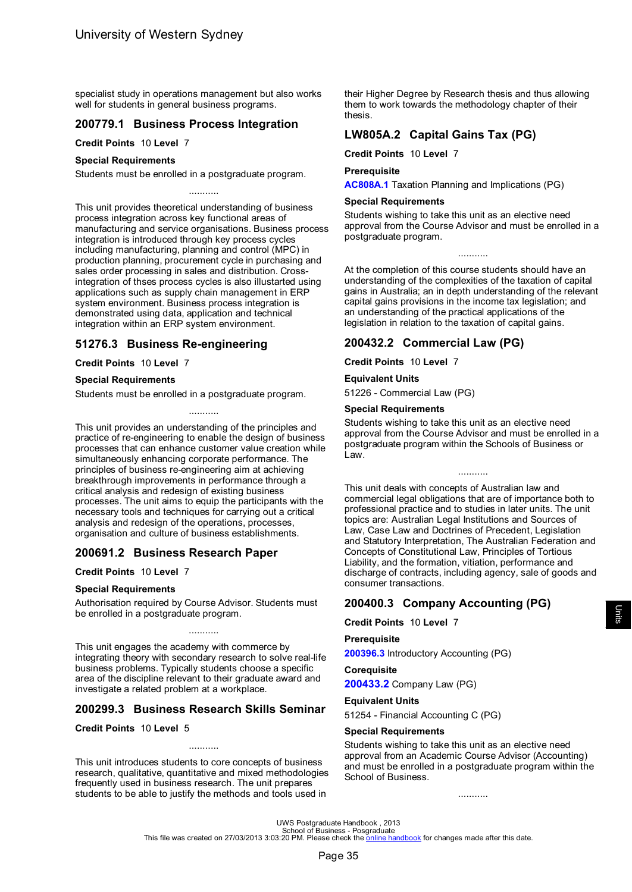<span id="page-37-0"></span>specialist study in operations management but also works well for students in general business programs.

## **200779.1 Business Process Integration**

**Credit Points** 10 **Level** 7

#### **Special Requirements**

Students must be enrolled in a postgraduate program.

This unit provides theoretical understanding of business process integration across key functional areas of manufacturing and service organisations. Business process integration is introduced through key process cycles including manufacturing, planning and control (MPC) in production planning, procurement cycle in purchasing and sales order processing in sales and distribution. Crossintegration of thses process cycles is also illustarted using applications such as supply chain management in ERP system environment. Business process integration is demonstrated using data, application and technical integration within an ERP system environment.

...........

# **51276.3 Business Re-engineering**

#### **Credit Points** 10 **Level** 7

#### **Special Requirements**

Students must be enrolled in a postgraduate program.

This unit provides an understanding of the principles and practice of re-engineering to enable the design of business processes that can enhance customer value creation while simultaneously enhancing corporate performance. The principles of business re-engineering aim at achieving breakthrough improvements in performance through a critical analysis and redesign of existing business processes. The unit aims to equip the participants with the necessary tools and techniques for carrying out a critical analysis and redesign of the operations, processes, organisation and culture of business establishments.

...........

# **200691.2 Business Research Paper**

**Credit Points** 10 **Level** 7

#### **Special Requirements**

Authorisation required by Course Advisor. Students must be enrolled in a postgraduate program.

This unit engages the academy with commerce by integrating theory with secondary research to solve real-life business problems. Typically students choose a specific area of the discipline relevant to their graduate award and investigate a related problem at a workplace.

...........

## **200299.3 Business Research Skills Seminar**

**Credit Points** 10 **Level** 5

This unit introduces students to core concepts of business research, qualitative, quantitative and mixed methodologies frequently used in business research. The unit prepares students to be able to justify the methods and tools used in

...........

their Higher Degree by Research thesis and thus allowing them to work towards the methodology chapter of their thesis.

# **LW805A.2 Capital Gains Tax (PG)**

**Credit Points** 10 **Level** 7

#### **Prerequisite**

**[AC808A.1](#page-60-0)** Taxation Planning and Implications (PG)

### **Special Requirements**

Students wishing to take this unit as an elective need approval from the Course Advisor and must be enrolled in a postgraduate program.

At the completion of this course students should have an understanding of the complexities of the taxation of capital gains in Australia; an in depth understanding of the relevant capital gains provisions in the income tax legislation; and an understanding of the practical applications of the legislation in relation to the taxation of capital gains.

## **200432.2 Commercial Law (PG)**

**Credit Points** 10 **Level** 7

#### **Equivalent Units**

51226 - Commercial Law (PG)

#### **Special Requirements**

Students wishing to take this unit as an elective need approval from the Course Advisor and must be enrolled in a postgraduate program within the Schools of Business or Law.

...........

This unit deals with concepts of Australian law and commercial legal obligations that are of importance both to professional practice and to studies in later units. The unit topics are: Australian Legal Institutions and Sources of Law, Case Law and Doctrines of Precedent, Legislation and Statutory Interpretation, The Australian Federation and Concepts of Constitutional Law, Principles of Tortious Liability, and the formation, vitiation, performance and discharge of contracts, including agency, sale of goods and consumer transactions.

# **200400.3 Company Accounting (PG)**

**Credit Points** 10 **Level** 7

#### **Prerequisite**

**[200396.3](#page-49-0)** Introductory Accounting (PG)

### **Corequisite**

**[200433.2](#page-38-0)** Company Law (PG)

# **Equivalent Units**

51254 - Financial Accounting C (PG)

#### **Special Requirements**

Students wishing to take this unit as an elective need approval from an Academic Course Advisor (Accounting) and must be enrolled in a postgraduate program within the School of Business.

...........

UWS Postgraduate Handbook , 2013<br>School of Business - Posgraduate Handbook , 2013<br>This file was created on 27/03/2013 3:03:20 PM. Please check the <u>online [handbook](http://handbook.uws.edu.au/hbook/)</u> for changes made after this date.

Units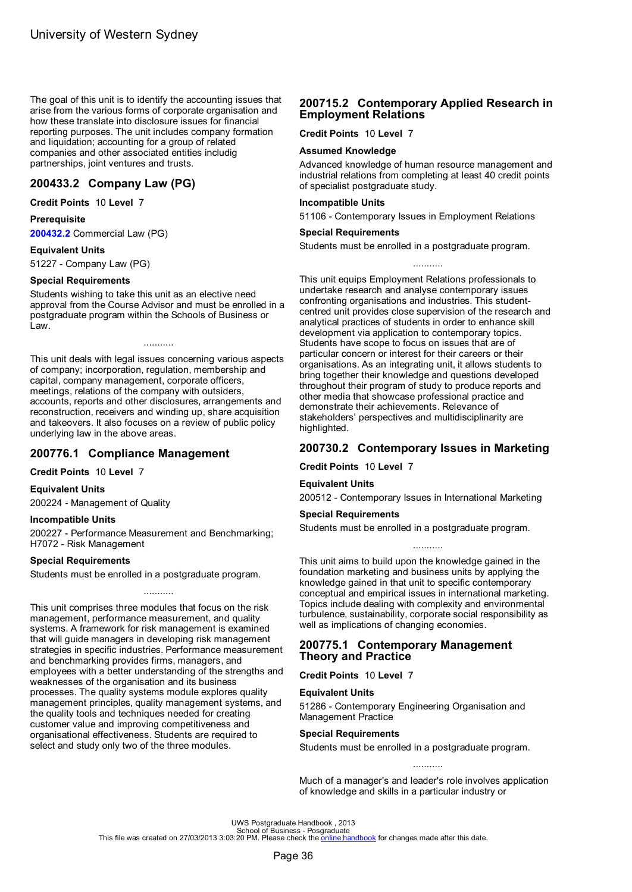<span id="page-38-0"></span>The goal of this unit is to identify the accounting issues that arise from the various forms of corporate organisation and how these translate into disclosure issues for financial reporting purposes. The unit includes company formation and liquidation; accounting for a group of related companies and other associated entities includig partnerships, joint ventures and trusts.

### **200433.2 Company Law (PG)**

#### **Credit Points** 10 **Level** 7

#### **Prerequisite**

**[200432.2](#page-37-0)** Commercial Law (PG)

#### **Equivalent Units**

51227 - Company Law (PG)

#### **Special Requirements**

Students wishing to take this unit as an elective need approval from the Course Advisor and must be enrolled in a postgraduate program within the Schools of Business or Law.

...........

This unit deals with legal issues concerning various aspects of company; incorporation, regulation, membership and capital, company management, corporate officers, meetings, relations of the company with outsiders, accounts, reports and other disclosures, arrangements and reconstruction, receivers and winding up, share acquisition and takeovers. It also focuses on a review of public policy underlying law in the above areas.

## **200776.1 Compliance Management**

**Credit Points** 10 **Level** 7

#### **Equivalent Units**

200224 - Management of Quality

#### **Incompatible Units**

200227 - Performance Measurement and Benchmarking; H7072 - Risk Management

#### **Special Requirements**

Students must be enrolled in a postgraduate program.

...........

This unit comprises three modules that focus on the risk management, performance measurement, and quality systems. A framework for risk management is examined that will guide managers in developing risk management strategies in specific industries. Performance measurement and benchmarking provides firms, managers, and employees with a better understanding of the strengths and weaknesses of the organisation and its business processes. The quality systems module explores quality management principles, quality management systems, and the quality tools and techniques needed for creating customer value and improving competitiveness and organisational effectiveness. Students are required to select and study only two of the three modules.

## **200715.2 Contemporary Applied Research in Employment Relations**

**Credit Points** 10 **Level** 7

#### **Assumed Knowledge**

Advanced knowledge of human resource management and industrial relations from completing at least 40 credit points of specialist postgraduate study.

#### **Incompatible Units**

51106 - Contemporary Issues in Employment Relations

#### **Special Requirements**

Students must be enrolled in a postgraduate program.

...........

This unit equips Employment Relations professionals to undertake research and analyse contemporary issues confronting organisations and industries. This studentcentred unit provides close supervision of the research and analytical practices of students in order to enhance skill development via application to contemporary topics. Students have scope to focus on issues that are of particular concern or interest for their careers or their organisations. As an integrating unit, it allows students to bring together their knowledge and questions developed throughout their program of study to produce reports and other media that showcase professional practice and demonstrate their achievements. Relevance of stakeholders' perspectives and multidisciplinarity are highlighted.

## **200730.2 Contemporary Issues in Marketing**

**Credit Points** 10 **Level** 7

#### **Equivalent Units**

200512 - Contemporary Issues in International Marketing

### **Special Requirements**

Students must be enrolled in a postgraduate program.

........... This unit aims to build upon the knowledge gained in the foundation marketing and business units by applying the knowledge gained in that unit to specific contemporary conceptual and empirical issues in international marketing. Topics include dealing with complexity and environmental turbulence, sustainability, corporate social responsibility as

## **200775.1 Contemporary Management Theory and Practice**

well as implications of changing economies.

**Credit Points** 10 **Level** 7

#### **Equivalent Units**

51286 - Contemporary Engineering Organisation and Management Practice

#### **Special Requirements**

Students must be enrolled in a postgraduate program.

...........

Much of a manager's and leader's role involves application of knowledge and skills in a particular industry or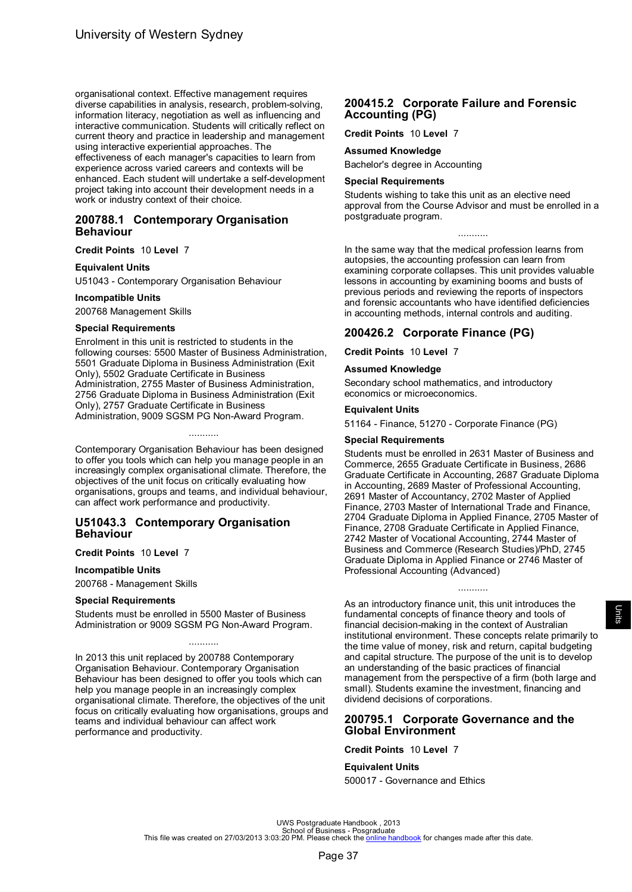<span id="page-39-0"></span>organisational context. Effective management requires diverse capabilities in analysis, research, problem-solving, information literacy, negotiation as well as influencing and interactive communication. Students will critically reflect on current theory and practice in leadership and management using interactive experiential approaches. The effectiveness of each manager's capacities to learn from experience across varied careers and contexts will be enhanced. Each student will undertake a self-development project taking into account their development needs in a work or industry context of their choice.

### **200788.1 Contemporary Organisation Behaviour**

#### **Credit Points** 10 **Level** 7

#### **Equivalent Units**

U51043 - Contemporary Organisation Behaviour

#### **Incompatible Units**

200768 Management Skills

#### **Special Requirements**

Enrolment in this unit is restricted to students in the following courses: 5500 Master of Business Administration, 5501 Graduate Diploma in Business Administration (Exit Only), 5502 Graduate Certificate in Business Administration, 2755 Master of Business Administration, 2756 Graduate Diploma in Business Administration (Exit Only), 2757 Graduate Certificate in Business Administration, 9009 SGSM PG Non-Award Program.

Contemporary Organisation Behaviour has been designed to offer you tools which can help you manage people in an increasingly complex organisational climate. Therefore, the objectives of the unit focus on critically evaluating how organisations, groups and teams, and individual behaviour, can affect work performance and productivity.

...........

### **U51043.3 Contemporary Organisation Behaviour**

#### **Credit Points** 10 **Level** 7

#### **Incompatible Units**

200768 - Management Skills

#### **Special Requirements**

Students must be enrolled in 5500 Master of Business Administration or 9009 SGSM PG Non-Award Program.

In 2013 this unit replaced by 200788 Contemporary Organisation Behaviour. Contemporary Organisation Behaviour has been designed to offer you tools which can help you manage people in an increasingly complex organisational climate. Therefore, the objectives of the unit focus on critically evaluating how organisations, groups and teams and individual behaviour can affect work performance and productivity.

...........

### **200415.2 Corporate Failure and Forensic Accounting (PG)**

**Credit Points** 10 **Level** 7

### **Assumed Knowledge**

Bachelor's degree in Accounting

#### **Special Requirements**

Students wishing to take this unit as an elective need approval from the Course Advisor and must be enrolled in a postgraduate program.

...........

In the same way that the medical profession learns from autopsies, the accounting profession can learn from examining corporate collapses. This unit provides valuable lessons in accounting by examining booms and busts of previous periods and reviewing the reports of inspectors and forensic accountants who have identified deficiencies in accounting methods, internal controls and auditing.

### **200426.2 Corporate Finance (PG)**

**Credit Points** 10 **Level** 7

#### **Assumed Knowledge**

Secondary school mathematics, and introductory economics or microeconomics.

#### **Equivalent Units**

51164 - Finance, 51270 - Corporate Finance (PG)

### **Special Requirements**

Students must be enrolled in 2631 Master of Business and Commerce, 2655 Graduate Certificate in Business, 2686 Graduate Certificate in Accounting, 2687 Graduate Diploma in Accounting, 2689 Master of Professional Accounting, 2691 Master of Accountancy, 2702 Master of Applied Finance, 2703 Master of International Trade and Finance, 2704 Graduate Diploma in Applied Finance, 2705 Master of Finance, 2708 Graduate Certificate in Applied Finance, 2742 Master of Vocational Accounting, 2744 Master of Business and Commerce (Research Studies)/PhD, 2745 Graduate Diploma in Applied Finance or 2746 Master of Professional Accounting (Advanced)

As an introductory finance unit, this unit introduces the fundamental concepts of finance theory and tools of financial decision-making in the context of Australian institutional environment. These concepts relate primarily to the time value of money, risk and return, capital budgeting and capital structure. The purpose of the unit is to develop an understanding of the basic practices of financial management from the perspective of a firm (both large and small). Students examine the investment, financing and dividend decisions of corporations.

...........

## **200795.1 Corporate Governance and the Global Environment**

**Credit Points** 10 **Level** 7

#### **Equivalent Units**

500017 - Governance and Ethics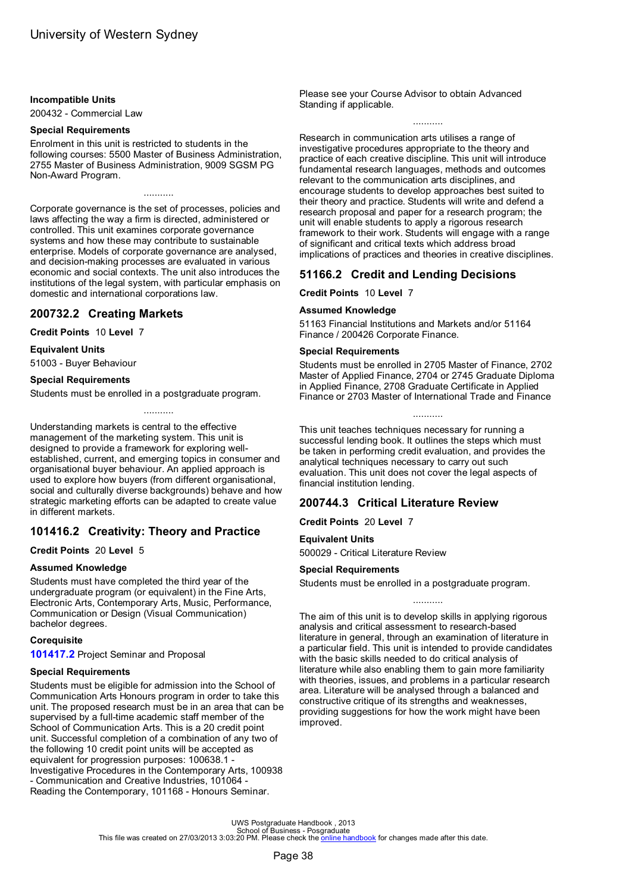#### <span id="page-40-0"></span>**Incompatible Units**

200432 - Commercial Law

#### **Special Requirements**

Enrolment in this unit is restricted to students in the following courses: 5500 Master of Business Administration, 2755 Master of Business Administration, 9009 SGSM PG Non-Award Program.

...........

Corporate governance is the set of processes, policies and laws affecting the way a firm is directed, administered or controlled. This unit examines corporate governance systems and how these may contribute to sustainable enterprise. Models of corporate governance are analysed, and decision-making processes are evaluated in various economic and social contexts. The unit also introduces the institutions of the legal system, with particular emphasis on domestic and international corporations law.

### **200732.2 Creating Markets**

### **Credit Points** 10 **Level** 7

#### **Equivalent Units**

51003 - Buyer Behaviour

#### **Special Requirements**

Students must be enrolled in a postgraduate program.

Understanding markets is central to the effective management of the marketing system. This unit is designed to provide a framework for exploring wellestablished, current, and emerging topics in consumer and organisational buyer behaviour. An applied approach is used to explore how buyers (from different organisational, social and culturally diverse backgrounds) behave and how strategic marketing efforts can be adapted to create value in different markets.

...........

# **101416.2 Creativity: Theory and Practice**

#### **Credit Points** 20 **Level** 5

#### **Assumed Knowledge**

Students must have completed the third year of the undergraduate program (or equivalent) in the Fine Arts, Electronic Arts, Contemporary Arts, Music, Performance, Communication or Design (Visual Communication) bachelor degrees.

#### **Corequisite**

**[101417.2](#page-55-0)** Project Seminar and Proposal

#### **Special Requirements**

Students must be eligible for admission into the School of Communication Arts Honours program in order to take this unit. The proposed research must be in an area that can be supervised by a full-time academic staff member of the School of Communication Arts. This is a 20 credit point unit. Successful completion of a combination of any two of the following 10 credit point units will be accepted as equivalent for progression purposes: 100638.1 - Investigative Procedures in the Contemporary Arts, 100938 - Communication and Creative Industries, 101064 - Reading the Contemporary, 101168 - Honours Seminar.

Please see your Course Advisor to obtain Advanced Standing if applicable.

#### ...........

Research in communication arts utilises a range of investigative procedures appropriate to the theory and practice of each creative discipline. This unit will introduce fundamental research languages, methods and outcomes relevant to the communication arts disciplines, and encourage students to develop approaches best suited to their theory and practice. Students will write and defend a research proposal and paper for a research program; the unit will enable students to apply a rigorous research framework to their work. Students will engage with a range of significant and critical texts which address broad implications of practices and theories in creative disciplines.

# **51166.2 Credit and Lending Decisions**

**Credit Points** 10 **Level** 7

#### **Assumed Knowledge**

51163 Financial Institutions and Markets and/or 51164 Finance / 200426 Corporate Finance.

#### **Special Requirements**

Students must be enrolled in 2705 Master of Finance, 2702 Master of Applied Finance, 2704 or 2745 Graduate Diploma in Applied Finance, 2708 Graduate Certificate in Applied Finance or 2703 Master of International Trade and Finance

...........

This unit teaches techniques necessary for running a successful lending book. It outlines the steps which must be taken in performing credit evaluation, and provides the analytical techniques necessary to carry out such evaluation. This unit does not cover the legal aspects of financial institution lending.

## **200744.3 Critical Literature Review**

**Credit Points** 20 **Level** 7

### **Equivalent Units**

500029 - Critical Literature Review

#### **Special Requirements**

Students must be enrolled in a postgraduate program.

The aim of this unit is to develop skills in applying rigorous analysis and critical assessment to research-based literature in general, through an examination of literature in a particular field. This unit is intended to provide candidates with the basic skills needed to do critical analysis of literature while also enabling them to gain more familiarity with theories, issues, and problems in a particular research area. Literature will be analysed through a balanced and constructive critique of its strengths and weaknesses, providing suggestions for how the work might have been improved.

...........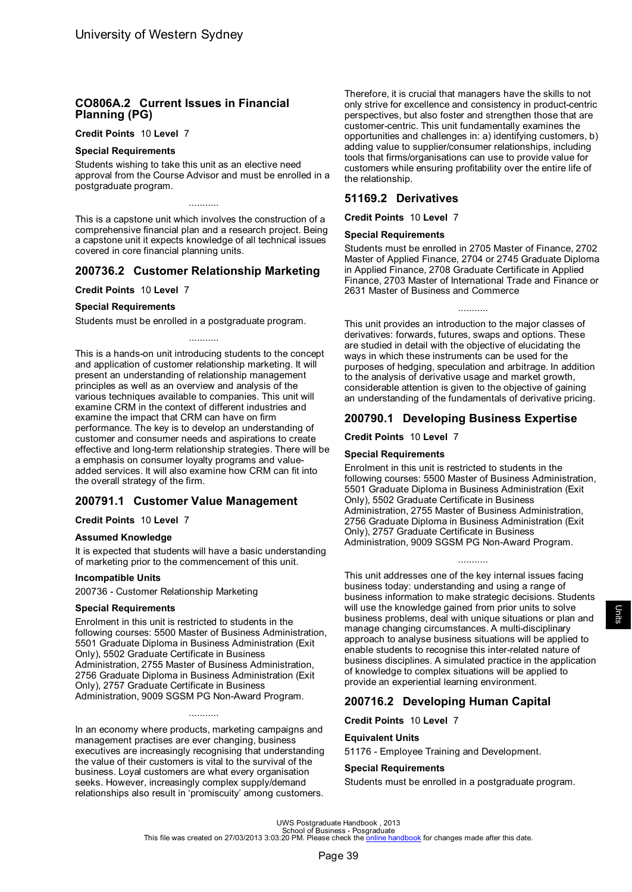# <span id="page-41-0"></span>**CO806A.2 Current Issues in Financial Planning (PG)**

#### **Credit Points** 10 **Level** 7

#### **Special Requirements**

Students wishing to take this unit as an elective need approval from the Course Advisor and must be enrolled in a postgraduate program.

This is a capstone unit which involves the construction of a comprehensive financial plan and a research project. Being a capstone unit it expects knowledge of all technical issues covered in core financial planning units.

# **200736.2 Customer Relationship Marketing**

#### **Credit Points** 10 **Level** 7

#### **Special Requirements**

Students must be enrolled in a postgraduate program.

...........

This is a hands-on unit introducing students to the concept and application of customer relationship marketing. It will present an understanding of relationship management principles as well as an overview and analysis of the various techniques available to companies. This unit will examine CRM in the context of different industries and examine the impact that CRM can have on firm performance. The key is to develop an understanding of customer and consumer needs and aspirations to create effective and long-term relationship strategies. There will be a emphasis on consumer loyalty programs and valueadded services. It will also examine how CRM can fit into the overall strategy of the firm.

## **200791.1 Customer Value Management**

#### **Credit Points** 10 **Level** 7

#### **Assumed Knowledge**

It is expected that students will have a basic understanding of marketing prior to the commencement of this unit.

#### **Incompatible Units**

200736 - Customer Relationship Marketing

#### **Special Requirements**

Enrolment in this unit is restricted to students in the following courses: 5500 Master of Business Administration, 5501 Graduate Diploma in Business Administration (Exit Only), 5502 Graduate Certificate in Business Administration, 2755 Master of Business Administration, 2756 Graduate Diploma in Business Administration (Exit Only), 2757 Graduate Certificate in Business Administration, 9009 SGSM PG Non-Award Program.

In an economy where products, marketing campaigns and management practises are ever changing, business executives are increasingly recognising that understanding the value of their customers is vital to the survival of the business. Loyal customers are what every organisation seeks. However, increasingly complex supply/demand relationships also result in 'promiscuity' among customers.

...........

Therefore, it is crucial that managers have the skills to not only strive for excellence and consistency in product-centric perspectives, but also foster and strengthen those that are customer-centric. This unit fundamentally examines the opportunities and challenges in: a) identifying customers, b) adding value to supplier/consumer relationships, including tools that firms/organisations can use to provide value for customers while ensuring profitability over the entire life of the relationship.

## **51169.2 Derivatives**

**Credit Points** 10 **Level** 7

#### **Special Requirements**

Students must be enrolled in 2705 Master of Finance, 2702 Master of Applied Finance, 2704 or 2745 Graduate Diploma in Applied Finance, 2708 Graduate Certificate in Applied Finance, 2703 Master of International Trade and Finance or 2631 Master of Business and Commerce

...........

This unit provides an introduction to the major classes of derivatives: forwards, futures, swaps and options. These are studied in detail with the objective of elucidating the ways in which these instruments can be used for the purposes of hedging, speculation and arbitrage. In addition to the analysis of derivative usage and market growth, considerable attention is given to the objective of gaining an understanding of the fundamentals of derivative pricing.

## **200790.1 Developing Business Expertise**

**Credit Points** 10 **Level** 7

#### **Special Requirements**

Enrolment in this unit is restricted to students in the following courses: 5500 Master of Business Administration, 5501 Graduate Diploma in Business Administration (Exit Only), 5502 Graduate Certificate in Business Administration, 2755 Master of Business Administration, 2756 Graduate Diploma in Business Administration (Exit Only), 2757 Graduate Certificate in Business Administration, 9009 SGSM PG Non-Award Program.

...........

This unit addresses one of the key internal issues facing business today: understanding and using a range of business information to make strategic decisions. Students will use the knowledge gained from prior units to solve business problems, deal with unique situations or plan and manage changing circumstances. A multi-disciplinary approach to analyse business situations will be applied to enable students to recognise this inter-related nature of business disciplines. A simulated practice in the application of knowledge to complex situations will be applied to provide an experiential learning environment.

# **200716.2 Developing Human Capital**

**Credit Points** 10 **Level** 7

#### **Equivalent Units**

51176 - Employee Training and Development.

### **Special Requirements**

Students must be enrolled in a postgraduate program.

Units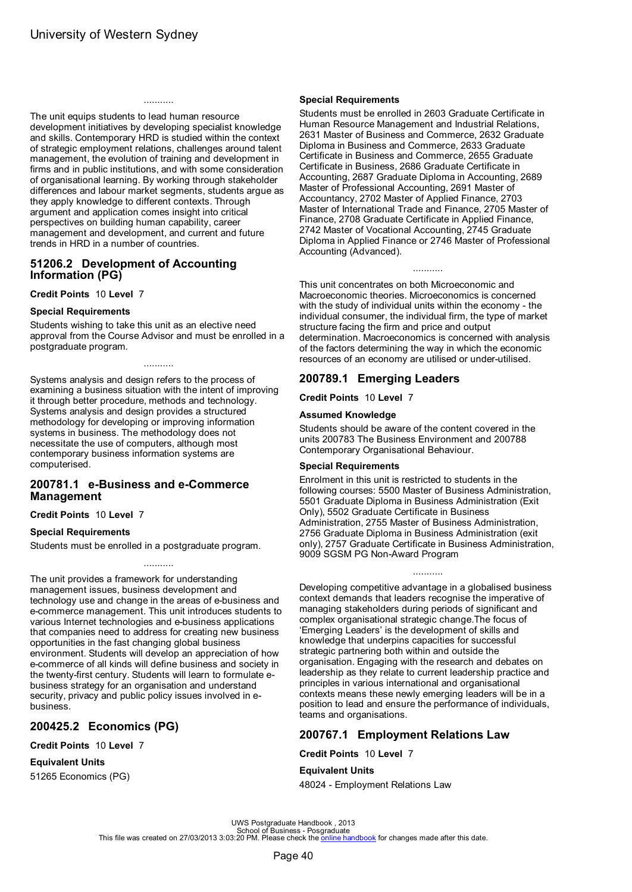<span id="page-42-0"></span>The unit equips students to lead human resource development initiatives by developing specialist knowledge and skills. Contemporary HRD is studied within the context of strategic employment relations, challenges around talent management, the evolution of training and development in firms and in public institutions, and with some consideration of organisational learning. By working through stakeholder differences and labour market segments, students argue as they apply knowledge to different contexts. Through argument and application comes insight into critical perspectives on building human capability, career management and development, and current and future trends in HRD in a number of countries.

...........

### **51206.2 Development of Accounting Information (PG)**

**Credit Points** 10 **Level** 7

#### **Special Requirements**

Students wishing to take this unit as an elective need approval from the Course Advisor and must be enrolled in a postgraduate program.

...........

Systems analysis and design refers to the process of examining a business situation with the intent of improving it through better procedure, methods and technology. Systems analysis and design provides a structured methodology for developing or improving information systems in business. The methodology does not necessitate the use of computers, although most contemporary business information systems are computerised.

### **200781.1 e-Business and e-Commerce Management**

**Credit Points** 10 **Level** 7

### **Special Requirements**

Students must be enrolled in a postgraduate program.

The unit provides a framework for understanding management issues, business development and technology use and change in the areas of e-business and e-commerce management. This unit introduces students to various Internet technologies and e-business applications that companies need to address for creating new business opportunities in the fast changing global business environment. Students will develop an appreciation of how e-commerce of all kinds will define business and society in the twenty-first century. Students will learn to formulate ebusiness strategy for an organisation and understand security, privacy and public policy issues involved in ebusiness.

## **200425.2 Economics (PG)**

**Credit Points** 10 **Level** 7

### **Equivalent Units**

51265 Economics (PG)

### **Special Requirements**

Students must be enrolled in 2603 Graduate Certificate in Human Resource Management and Industrial Relations, 2631 Master of Business and Commerce, 2632 Graduate Diploma in Business and Commerce, 2633 Graduate Certificate in Business and Commerce, 2655 Graduate Certificate in Business, 2686 Graduate Certificate in Accounting, 2687 Graduate Diploma in Accounting, 2689 Master of Professional Accounting, 2691 Master of Accountancy, 2702 Master of Applied Finance, 2703 Master of International Trade and Finance, 2705 Master of Finance, 2708 Graduate Certificate in Applied Finance, 2742 Master of Vocational Accounting, 2745 Graduate Diploma in Applied Finance or 2746 Master of Professional Accounting (Advanced).

This unit concentrates on both Microeconomic and Macroeconomic theories. Microeconomics is concerned with the study of individual units within the economy - the individual consumer, the individual firm, the type of market structure facing the firm and price and output determination. Macroeconomics is concerned with analysis of the factors determining the way in which the economic resources of an economy are utilised or under-utilised.

...........

# **200789.1 Emerging Leaders**

**Credit Points** 10 **Level** 7

#### **Assumed Knowledge**

Students should be aware of the content covered in the units 200783 The Business Environment and 200788 Contemporary Organisational Behaviour.

#### **Special Requirements**

Enrolment in this unit is restricted to students in the following courses: 5500 Master of Business Administration, 5501 Graduate Diploma in Business Administration (Exit Only), 5502 Graduate Certificate in Business Administration, 2755 Master of Business Administration, 2756 Graduate Diploma in Business Administration (exit only), 2757 Graduate Certificate in Business Administration, 9009 SGSM PG Non-Award Program

...........

Developing competitive advantage in a globalised business context demands that leaders recognise the imperative of managing stakeholders during periods of significant and complex organisational strategic change.The focus of 'Emerging Leaders' is the development of skills and knowledge that underpins capacities for successful strategic partnering both within and outside the organisation. Engaging with the research and debates on leadership as they relate to current leadership practice and principles in various international and organisational contexts means these newly emerging leaders will be in a position to lead and ensure the performance of individuals, teams and organisations.

# **200767.1 Employment Relations Law**

**Credit Points** 10 **Level** 7

### **Equivalent Units**

48024 - Employment Relations Law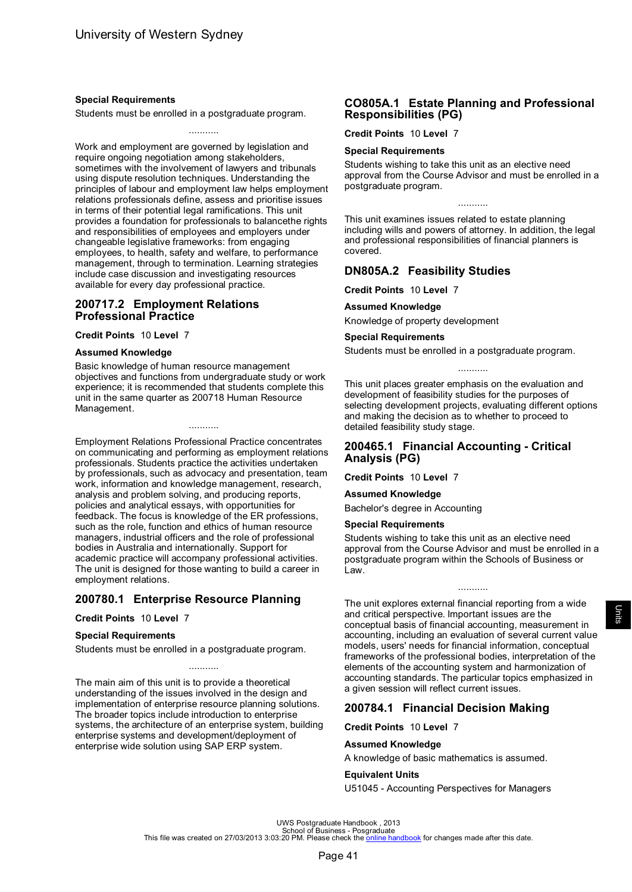### <span id="page-43-0"></span>**Special Requirements**

Students must be enrolled in a postgraduate program.

...........

Work and employment are governed by legislation and require ongoing negotiation among stakeholders, sometimes with the involvement of lawyers and tribunals using dispute resolution techniques. Understanding the principles of labour and employment law helps employment relations professionals define, assess and prioritise issues in terms of their potential legal ramifications. This unit provides a foundation for professionals to balancethe rights and responsibilities of employees and employers under changeable legislative frameworks: from engaging employees, to health, safety and welfare, to performance management, through to termination. Learning strategies include case discussion and investigating resources available for every day professional practice.

### **200717.2 Employment Relations Professional Practice**

**Credit Points** 10 **Level** 7

#### **Assumed Knowledge**

Basic knowledge of human resource management objectives and functions from undergraduate study or work experience; it is recommended that students complete this unit in the same quarter as 200718 Human Resource Management.

...........

Employment Relations Professional Practice concentrates on communicating and performing as employment relations professionals. Students practice the activities undertaken by professionals, such as advocacy and presentation, team work, information and knowledge management, research, analysis and problem solving, and producing reports, policies and analytical essays, with opportunities for feedback. The focus is knowledge of the ER professions, such as the role, function and ethics of human resource managers, industrial officers and the role of professional bodies in Australia and internationally. Support for academic practice will accompany professional activities. The unit is designed for those wanting to build a career in employment relations.

## **200780.1 Enterprise Resource Planning**

#### **Credit Points** 10 **Level** 7

#### **Special Requirements**

Students must be enrolled in a postgraduate program.

The main aim of this unit is to provide a theoretical understanding of the issues involved in the design and implementation of enterprise resource planning solutions. The broader topics include introduction to enterprise systems, the architecture of an enterprise system, building enterprise systems and development/deployment of enterprise wide solution using SAP ERP system.

...........

## **CO805A.1 Estate Planning and Professional Responsibilities (PG)**

**Credit Points** 10 **Level** 7

#### **Special Requirements**

Students wishing to take this unit as an elective need approval from the Course Advisor and must be enrolled in a postgraduate program.

This unit examines issues related to estate planning including wills and powers of attorney. In addition, the legal and professional responsibilities of financial planners is covered.

### **DN805A.2 Feasibility Studies**

**Credit Points** 10 **Level** 7

**Assumed Knowledge**

Knowledge of property development

#### **Special Requirements**

Students must be enrolled in a postgraduate program.

This unit places greater emphasis on the evaluation and development of feasibility studies for the purposes of selecting development projects, evaluating different options and making the decision as to whether to proceed to detailed feasibility study stage.

...........

### **200465.1 Financial Accounting - Critical Analysis (PG)**

**Credit Points** 10 **Level** 7

**Assumed Knowledge**

Bachelor's degree in Accounting

#### **Special Requirements**

Students wishing to take this unit as an elective need approval from the Course Advisor and must be enrolled in a postgraduate program within the Schools of Business or Law.

...........

The unit explores external financial reporting from a wide and critical perspective. Important issues are the conceptual basis of financial accounting, measurement in accounting, including an evaluation of several current value models, users' needs for financial information, conceptual frameworks of the professional bodies, interpretation of the elements of the accounting system and harmonization of accounting standards. The particular topics emphasized in a given session will reflect current issues.

## **200784.1 Financial Decision Making**

**Credit Points** 10 **Level** 7

#### **Assumed Knowledge**

A knowledge of basic mathematics is assumed.

#### **Equivalent Units**

U51045 - Accounting Perspectives for Managers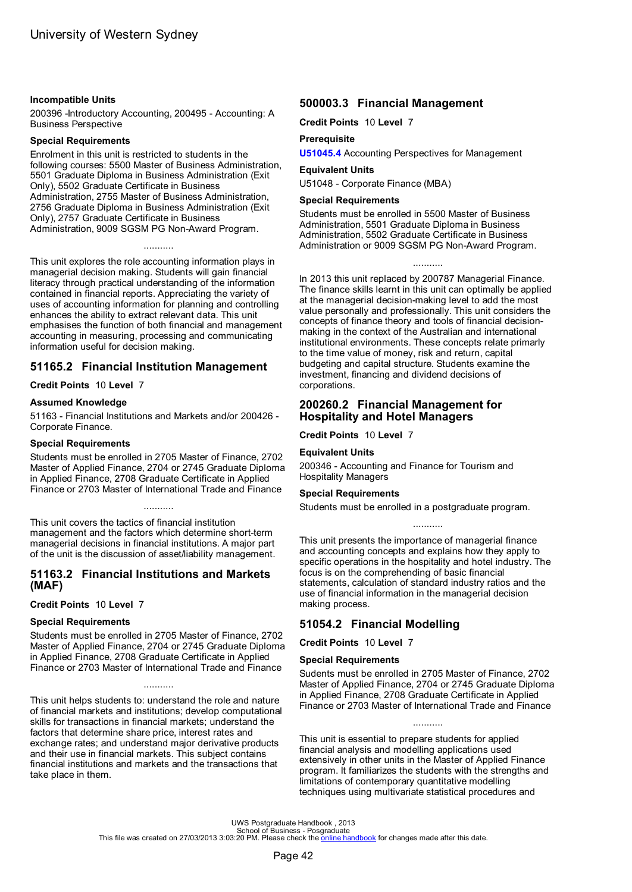#### <span id="page-44-0"></span>**Incompatible Units**

200396 -Introductory Accounting, 200495 - Accounting: A Business Perspective

#### **Special Requirements**

Enrolment in this unit is restricted to students in the following courses: 5500 Master of Business Administration, 5501 Graduate Diploma in Business Administration (Exit Only), 5502 Graduate Certificate in Business Administration, 2755 Master of Business Administration, 2756 Graduate Diploma in Business Administration (Exit Only), 2757 Graduate Certificate in Business Administration, 9009 SGSM PG Non-Award Program.

...........

This unit explores the role accounting information plays in managerial decision making. Students will gain financial literacy through practical understanding of the information contained in financial reports. Appreciating the variety of uses of accounting information for planning and controlling enhances the ability to extract relevant data. This unit emphasises the function of both financial and management accounting in measuring, processing and communicating information useful for decision making.

# **51165.2 Financial Institution Management**

**Credit Points** 10 **Level** 7

### **Assumed Knowledge**

51163 - Financial Institutions and Markets and/or 200426 - Corporate Finance.

#### **Special Requirements**

Students must be enrolled in 2705 Master of Finance, 2702 Master of Applied Finance, 2704 or 2745 Graduate Diploma in Applied Finance, 2708 Graduate Certificate in Applied Finance or 2703 Master of International Trade and Finance

...........

This unit covers the tactics of financial institution management and the factors which determine short-term managerial decisions in financial institutions. A major part of the unit is the discussion of asset/liability management.

## **51163.2 Financial Institutions and Markets (MAF)**

### **Credit Points** 10 **Level** 7

#### **Special Requirements**

Students must be enrolled in 2705 Master of Finance, 2702 Master of Applied Finance, 2704 or 2745 Graduate Diploma in Applied Finance, 2708 Graduate Certificate in Applied Finance or 2703 Master of International Trade and Finance

...........

This unit helps students to: understand the role and nature of financial markets and institutions; develop computational skills for transactions in financial markets; understand the factors that determine share price, interest rates and exchange rates; and understand major derivative products and their use in financial markets. This subject contains financial institutions and markets and the transactions that take place in them.

# **500003.3 Financial Management**

**Credit Points** 10 **Level** 7

### **Prerequisite**

**[U51045.4](#page-33-0)** Accounting Perspectives for Management

### **Equivalent Units**

U51048 - Corporate Finance (MBA)

### **Special Requirements**

Students must be enrolled in 5500 Master of Business Administration, 5501 Graduate Diploma in Business Administration, 5502 Graduate Certificate in Business Administration or 9009 SGSM PG Non-Award Program.

In 2013 this unit replaced by 200787 Managerial Finance. The finance skills learnt in this unit can optimally be applied at the managerial decision-making level to add the most value personally and professionally. This unit considers the concepts of finance theory and tools of financial decisionmaking in the context of the Australian and international institutional environments. These concepts relate primarly to the time value of money, risk and return, capital budgeting and capital structure. Students examine the investment, financing and dividend decisions of corporations.

### **200260.2 Financial Management for Hospitality and Hotel Managers**

**Credit Points** 10 **Level** 7

### **Equivalent Units**

200346 - Accounting and Finance for Tourism and Hospitality Managers

#### **Special Requirements**

Students must be enrolled in a postgraduate program.

This unit presents the importance of managerial finance and accounting concepts and explains how they apply to specific operations in the hospitality and hotel industry. The focus is on the comprehending of basic financial statements, calculation of standard industry ratios and the use of financial information in the managerial decision making process.

# **51054.2 Financial Modelling**

**Credit Points** 10 **Level** 7

### **Special Requirements**

Sudents must be enrolled in 2705 Master of Finance, 2702 Master of Applied Finance, 2704 or 2745 Graduate Diploma in Applied Finance, 2708 Graduate Certificate in Applied Finance or 2703 Master of International Trade and Finance

...........

This unit is essential to prepare students for applied financial analysis and modelling applications used extensively in other units in the Master of Applied Finance program. It familiarizes the students with the strengths and limitations of contemporary quantitative modelling techniques using multivariate statistical procedures and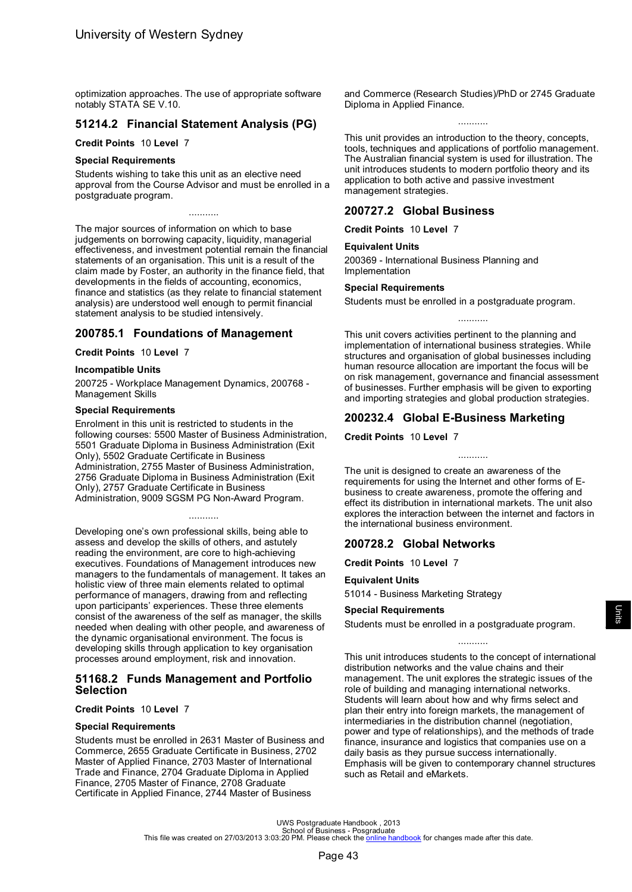<span id="page-45-0"></span>optimization approaches. The use of appropriate software notably STATA SE V.10.

# **51214.2 Financial Statement Analysis (PG)**

#### **Credit Points** 10 **Level** 7

#### **Special Requirements**

Students wishing to take this unit as an elective need approval from the Course Advisor and must be enrolled in a postgraduate program.

...........

The major sources of information on which to base judgements on borrowing capacity, liquidity, managerial effectiveness, and investment potential remain the financial statements of an organisation. This unit is a result of the claim made by Foster, an authority in the finance field, that developments in the fields of accounting, economics, finance and statistics (as they relate to financial statement analysis) are understood well enough to permit financial statement analysis to be studied intensively.

### **200785.1 Foundations of Management**

#### **Credit Points** 10 **Level** 7

#### **Incompatible Units**

200725 - Workplace Management Dynamics, 200768 - Management Skills

#### **Special Requirements**

Enrolment in this unit is restricted to students in the following courses: 5500 Master of Business Administration, 5501 Graduate Diploma in Business Administration (Exit Only), 5502 Graduate Certificate in Business Administration, 2755 Master of Business Administration, 2756 Graduate Diploma in Business Administration (Exit Only), 2757 Graduate Certificate in Business Administration, 9009 SGSM PG Non-Award Program.

### ...........

Developing one's own professional skills, being able to assess and develop the skills of others, and astutely reading the environment, are core to high-achieving executives. Foundations of Management introduces new managers to the fundamentals of management. It takes an holistic view of three main elements related to optimal performance of managers, drawing from and reflecting upon participants' experiences. These three elements consist of the awareness of the self as manager, the skills needed when dealing with other people, and awareness of the dynamic organisational environment. The focus is developing skills through application to key organisation processes around employment, risk and innovation.

### **51168.2 Funds Management and Portfolio Selection**

#### **Credit Points** 10 **Level** 7

#### **Special Requirements**

Students must be enrolled in 2631 Master of Business and Commerce, 2655 Graduate Certificate in Business, 2702 Master of Applied Finance, 2703 Master of International Trade and Finance, 2704 Graduate Diploma in Applied Finance, 2705 Master of Finance, 2708 Graduate Certificate in Applied Finance, 2744 Master of Business

and Commerce (Research Studies)/PhD or 2745 Graduate Diploma in Applied Finance.

...........

This unit provides an introduction to the theory, concepts, tools, techniques and applications of portfolio management. The Australian financial system is used for illustration. The unit introduces students to modern portfolio theory and its application to both active and passive investment management strategies.

### **200727.2 Global Business**

**Credit Points** 10 **Level** 7

#### **Equivalent Units**

200369 - International Business Planning and Implementation

#### **Special Requirements**

Students must be enrolled in a postgraduate program.

This unit covers activities pertinent to the planning and implementation of international business strategies. While structures and organisation of global businesses including human resource allocation are important the focus will be on risk management, governance and financial assessment of businesses. Further emphasis will be given to exporting and importing strategies and global production strategies.

### **200232.4 Global E-Business Marketing**

**Credit Points** 10 **Level** 7

The unit is designed to create an awareness of the requirements for using the Internet and other forms of Ebusiness to create awareness, promote the offering and effect its distribution in international markets. The unit also explores the interaction between the internet and factors in the international business environment.

## **200728.2 Global Networks**

**Credit Points** 10 **Level** 7

#### **Equivalent Units**

51014 - Business Marketing Strategy

#### **Special Requirements**

Students must be enrolled in a postgraduate program.

#### ...........

This unit introduces students to the concept of international distribution networks and the value chains and their management. The unit explores the strategic issues of the role of building and managing international networks. Students will learn about how and why firms select and plan their entry into foreign markets, the management of intermediaries in the distribution channel (negotiation, power and type of relationships), and the methods of trade finance, insurance and logistics that companies use on a daily basis as they pursue success internationally. Emphasis will be given to contemporary channel structures such as Retail and eMarkets.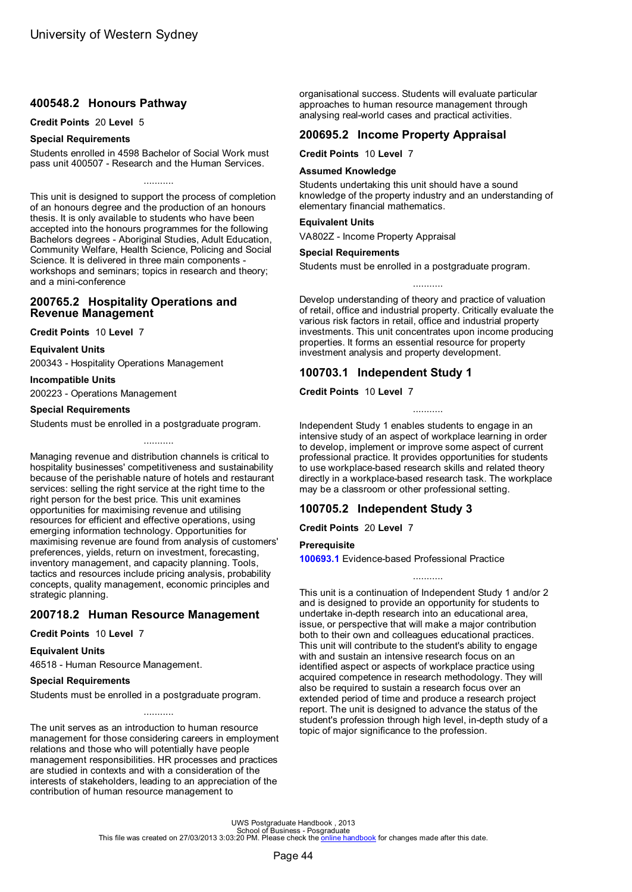## <span id="page-46-0"></span>**400548.2 Honours Pathway**

#### **Credit Points** 20 **Level** 5

#### **Special Requirements**

Students enrolled in 4598 Bachelor of Social Work must pass unit 400507 - Research and the Human Services.

...........

This unit is designed to support the process of completion of an honours degree and the production of an honours thesis. It is only available to students who have been accepted into the honours programmes for the following Bachelors degrees - Aboriginal Studies, Adult Education, Community Welfare, Health Science, Policing and Social Science. It is delivered in three main components workshops and seminars; topics in research and theory; and a mini-conference

### **200765.2 Hospitality Operations and Revenue Management**

**Credit Points** 10 **Level** 7

**Equivalent Units**

200343 - Hospitality Operations Management

#### **Incompatible Units**

200223 - Operations Management

### **Special Requirements**

Students must be enrolled in a postgraduate program.

...........

Managing revenue and distribution channels is critical to hospitality businesses' competitiveness and sustainability because of the perishable nature of hotels and restaurant services: selling the right service at the right time to the right person for the best price. This unit examines opportunities for maximising revenue and utilising resources for efficient and effective operations, using emerging information technology. Opportunities for maximising revenue are found from analysis of customers' preferences, yields, return on investment, forecasting, inventory management, and capacity planning. Tools, tactics and resources include pricing analysis, probability concepts, quality management, economic principles and strategic planning.

## **200718.2 Human Resource Management**

### **Credit Points** 10 **Level** 7

#### **Equivalent Units**

46518 - Human Resource Management.

#### **Special Requirements**

Students must be enrolled in a postgraduate program.

The unit serves as an introduction to human resource management for those considering careers in employment relations and those who will potentially have people management responsibilities. HR processes and practices are studied in contexts and with a consideration of the interests of stakeholders, leading to an appreciation of the contribution of human resource management to

...........

organisational success. Students will evaluate particular approaches to human resource management through analysing real-world cases and practical activities.

# **200695.2 Income Property Appraisal**

**Credit Points** 10 **Level** 7

#### **Assumed Knowledge**

Students undertaking this unit should have a sound knowledge of the property industry and an understanding of elementary financial mathematics.

#### **Equivalent Units**

VA802Z - Income Property Appraisal

#### **Special Requirements**

Students must be enrolled in a postgraduate program.

Develop understanding of theory and practice of valuation of retail, office and industrial property. Critically evaluate the various risk factors in retail, office and industrial property investments. This unit concentrates upon income producing properties. It forms an essential resource for property investment analysis and property development.

...........

## **100703.1 Independent Study 1**

**Credit Points** 10 **Level** 7

Independent Study 1 enables students to engage in an intensive study of an aspect of workplace learning in order to develop, implement or improve some aspect of current professional practice. It provides opportunities for students to use workplace-based research skills and related theory directly in a workplace-based research task. The workplace may be a classroom or other professional setting.

...........

# **100705.2 Independent Study 3**

**Credit Points** 20 **Level** 7

#### **Prerequisite**

**100693.1** Evidence-based Professional Practice

This unit is a continuation of Independent Study 1 and/or 2 and is designed to provide an opportunity for students to undertake in-depth research into an educational area, issue, or perspective that will make a major contribution both to their own and colleagues educational practices. This unit will contribute to the student's ability to engage with and sustain an intensive research focus on an identified aspect or aspects of workplace practice using acquired competence in research methodology. They will also be required to sustain a research focus over an extended period of time and produce a research project report. The unit is designed to advance the status of the student's profession through high level, in-depth study of a topic of major significance to the profession.

...........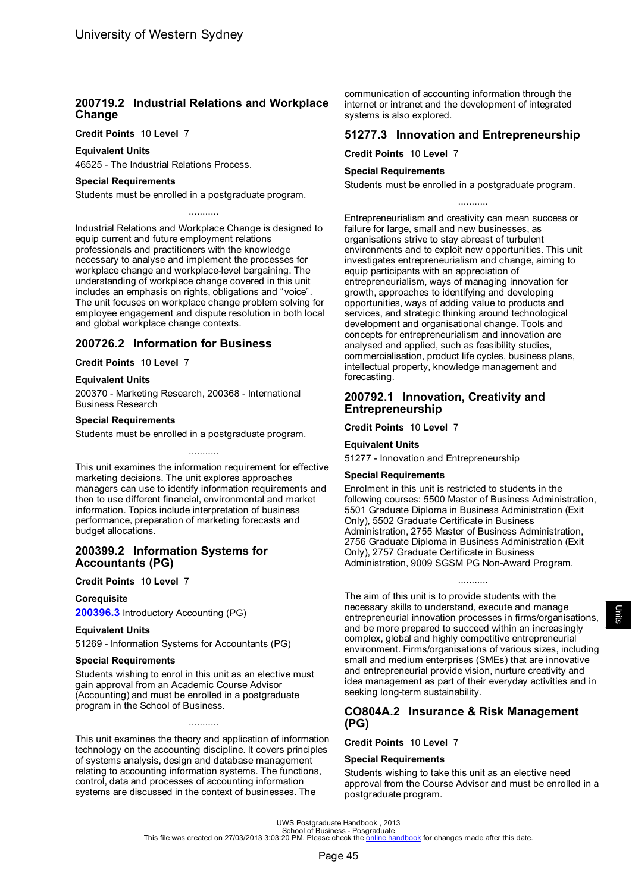## <span id="page-47-0"></span>**200719.2 Industrial Relations and Workplace Change**

#### **Credit Points** 10 **Level** 7

### **Equivalent Units**

46525 - The Industrial Relations Process.

#### **Special Requirements**

Students must be enrolled in a postgraduate program.

Industrial Relations and Workplace Change is designed to equip current and future employment relations professionals and practitioners with the knowledge necessary to analyse and implement the processes for workplace change and workplace-level bargaining. The understanding of workplace change covered in this unit includes an emphasis on rights, obligations and "voice". The unit focuses on workplace change problem solving for employee engagement and dispute resolution in both local and global workplace change contexts.

...........

### **200726.2 Information for Business**

#### **Credit Points** 10 **Level** 7

#### **Equivalent Units**

200370 - Marketing Research, 200368 - International Business Research

#### **Special Requirements**

Students must be enrolled in a postgraduate program.

This unit examines the information requirement for effective marketing decisions. The unit explores approaches managers can use to identify information requirements and then to use different financial, environmental and market information. Topics include interpretation of business performance, preparation of marketing forecasts and budget allocations.

...........

### **200399.2 Information Systems for Accountants (PG)**

#### **Credit Points** 10 **Level** 7

#### **Corequisite**

**[200396.3](#page-49-0)** Introductory Accounting (PG)

#### **Equivalent Units**

51269 - Information Systems for Accountants (PG)

#### **Special Requirements**

Students wishing to enrol in this unit as an elective must gain approval from an Academic Course Advisor (Accounting) and must be enrolled in a postgraduate program in the School of Business.

This unit examines the theory and application of information technology on the accounting discipline. It covers principles of systems analysis, design and database management relating to accounting information systems. The functions, control, data and processes of accounting information systems are discussed in the context of businesses. The

...........

communication of accounting information through the internet or intranet and the development of integrated systems is also explored.

### **51277.3 Innovation and Entrepreneurship**

**Credit Points** 10 **Level** 7

#### **Special Requirements**

Students must be enrolled in a postgraduate program.

...........

Entrepreneurialism and creativity can mean success or failure for large, small and new businesses, as organisations strive to stay abreast of turbulent environments and to exploit new opportunities. This unit investigates entrepreneurialism and change, aiming to equip participants with an appreciation of entrepreneurialism, ways of managing innovation for growth, approaches to identifying and developing opportunities, ways of adding value to products and services, and strategic thinking around technological development and organisational change. Tools and concepts for entrepreneurialism and innovation are analysed and applied, such as feasibility studies, commercialisation, product life cycles, business plans, intellectual property, knowledge management and forecasting.

### **200792.1 Innovation, Creativity and Entrepreneurship**

**Credit Points** 10 **Level** 7

#### **Equivalent Units**

51277 - Innovation and Entrepreneurship

#### **Special Requirements**

Enrolment in this unit is restricted to students in the following courses: 5500 Master of Business Administration, 5501 Graduate Diploma in Business Administration (Exit Only), 5502 Graduate Certificate in Business Administration, 2755 Master of Business Administration, 2756 Graduate Diploma in Business Administration (Exit Only), 2757 Graduate Certificate in Business Administration, 9009 SGSM PG Non-Award Program.

...........

The aim of this unit is to provide students with the necessary skills to understand, execute and manage entrepreneurial innovation processes in firms/organisations, and be more prepared to succeed within an increasingly complex, global and highly competitive entrepreneurial environment. Firms/organisations of various sizes, including small and medium enterprises (SMEs) that are innovative and entrepreneurial provide vision, nurture creativity and idea management as part of their everyday activities and in seeking long-term sustainability.

### **CO804A.2 Insurance & Risk Management (PG)**

#### **Credit Points** 10 **Level** 7

#### **Special Requirements**

Students wishing to take this unit as an elective need approval from the Course Advisor and must be enrolled in a postgraduate program.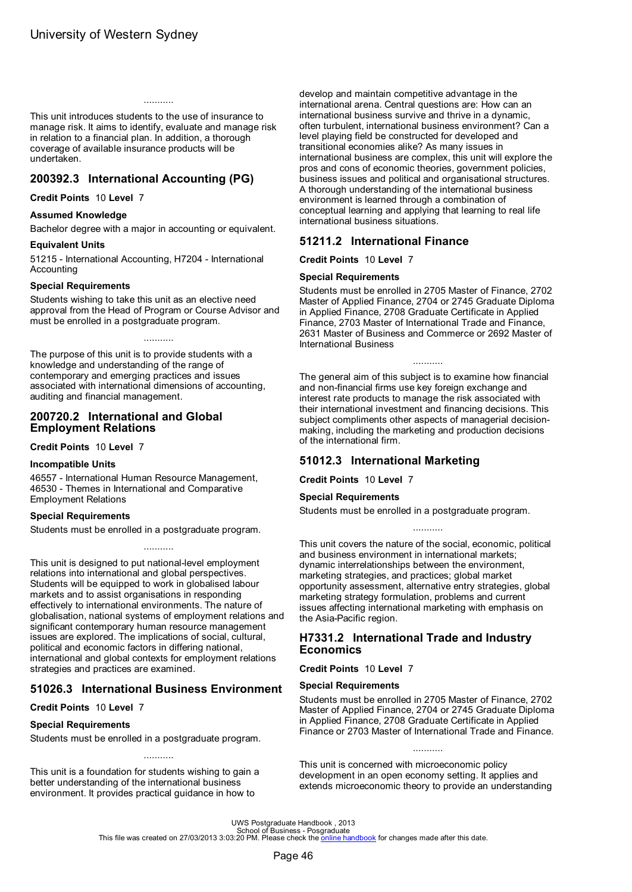<span id="page-48-0"></span>This unit introduces students to the use of insurance to manage risk. It aims to identify, evaluate and manage risk in relation to a financial plan. In addition, a thorough coverage of available insurance products will be undertaken.

...........

# **200392.3 International Accounting (PG)**

**Credit Points** 10 **Level** 7

#### **Assumed Knowledge**

Bachelor degree with a major in accounting or equivalent.

#### **Equivalent Units**

51215 - International Accounting, H7204 - International Accounting

#### **Special Requirements**

Students wishing to take this unit as an elective need approval from the Head of Program or Course Advisor and must be enrolled in a postgraduate program.

...........

The purpose of this unit is to provide students with a knowledge and understanding of the range of contemporary and emerging practices and issues associated with international dimensions of accounting, auditing and financial management.

### **200720.2 International and Global Employment Relations**

**Credit Points** 10 **Level** 7

#### **Incompatible Units**

46557 - International Human Resource Management, 46530 - Themes in International and Comparative Employment Relations

#### **Special Requirements**

Students must be enrolled in a postgraduate program.

This unit is designed to put national-level employment relations into international and global perspectives. Students will be equipped to work in globalised labour markets and to assist organisations in responding effectively to international environments. The nature of globalisation, national systems of employment relations and significant contemporary human resource management issues are explored. The implications of social, cultural, political and economic factors in differing national, international and global contexts for employment relations strategies and practices are examined.

...........

### **51026.3 International Business Environment**

**Credit Points** 10 **Level** 7

#### **Special Requirements**

Students must be enrolled in a postgraduate program.

This unit is a foundation for students wishing to gain a better understanding of the international business environment. It provides practical guidance in how to

develop and maintain competitive advantage in the international arena. Central questions are: How can an international business survive and thrive in a dynamic, often turbulent, international business environment? Can a level playing field be constructed for developed and transitional economies alike? As many issues in international business are complex, this unit will explore the pros and cons of economic theories, government policies, business issues and political and organisational structures. A thorough understanding of the international business environment is learned through a combination of conceptual learning and applying that learning to real life international business situations.

### **51211.2 International Finance**

**Credit Points** 10 **Level** 7

#### **Special Requirements**

Students must be enrolled in 2705 Master of Finance, 2702 Master of Applied Finance, 2704 or 2745 Graduate Diploma in Applied Finance, 2708 Graduate Certificate in Applied Finance, 2703 Master of International Trade and Finance, 2631 Master of Business and Commerce or 2692 Master of International Business

...........

The general aim of this subject is to examine how financial and non-financial firms use key foreign exchange and interest rate products to manage the risk associated with their international investment and financing decisions. This subject compliments other aspects of managerial decisionmaking, including the marketing and production decisions of the international firm.

### **51012.3 International Marketing**

**Credit Points** 10 **Level** 7

### **Special Requirements**

Students must be enrolled in a postgraduate program.

This unit covers the nature of the social, economic, political and business environment in international markets; dynamic interrelationships between the environment, marketing strategies, and practices; global market opportunity assessment, alternative entry strategies, global marketing strategy formulation, problems and current issues affecting international marketing with emphasis on the Asia-Pacific region.

...........

## **H7331.2 International Trade and Industry Economics**

**Credit Points** 10 **Level** 7

#### **Special Requirements**

Students must be enrolled in 2705 Master of Finance, 2702 Master of Applied Finance, 2704 or 2745 Graduate Diploma in Applied Finance, 2708 Graduate Certificate in Applied Finance or 2703 Master of International Trade and Finance.

This unit is concerned with microeconomic policy development in an open economy setting. It applies and extends microeconomic theory to provide an understanding

...........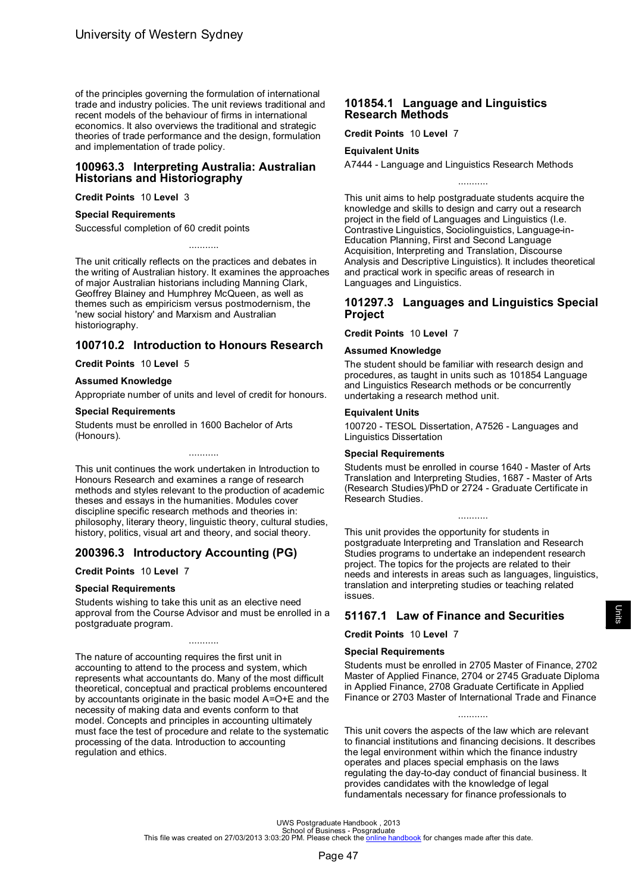<span id="page-49-0"></span>of the principles governing the formulation of international trade and industry policies. The unit reviews traditional and recent models of the behaviour of firms in international economics. It also overviews the traditional and strategic theories of trade performance and the design, formulation and implementation of trade policy.

### **100963.3 Interpreting Australia: Australian Historians and Historiography**

**Credit Points** 10 **Level** 3

#### **Special Requirements**

Successful completion of 60 credit points

The unit critically reflects on the practices and debates in the writing of Australian history. It examines the approaches of major Australian historians including Manning Clark, Geoffrey Blainey and Humphrey McQueen, as well as themes such as empiricism versus postmodernism, the 'new social history' and Marxism and Australian historiography.

...........

# **100710.2 Introduction to Honours Research**

**Credit Points** 10 **Level** 5

#### **Assumed Knowledge**

Appropriate number of units and level of credit for honours.

#### **Special Requirements**

Students must be enrolled in 1600 Bachelor of Arts (Honours).

This unit continues the work undertaken in Introduction to Honours Research and examines a range of research methods and styles relevant to the production of academic theses and essays in the humanities. Modules cover discipline specific research methods and theories in: philosophy, literary theory, linguistic theory, cultural studies, history, politics, visual art and theory, and social theory.

...........

## **200396.3 Introductory Accounting (PG)**

**Credit Points** 10 **Level** 7

#### **Special Requirements**

Students wishing to take this unit as an elective need approval from the Course Advisor and must be enrolled in a postgraduate program.

...........

The nature of accounting requires the first unit in accounting to attend to the process and system, which represents what accountants do. Many of the most difficult theoretical, conceptual and practical problems encountered by accountants originate in the basic model A=O+E and the necessity of making data and events conform to that model. Concepts and principles in accounting ultimately must face the test of procedure and relate to the systematic processing of the data. Introduction to accounting regulation and ethics.

### **101854.1 Language and Linguistics Research Methods**

**Credit Points** 10 **Level** 7

#### **Equivalent Units**

A7444 - Language and Linguistics Research Methods

This unit aims to help postgraduate students acquire the knowledge and skills to design and carry out a research project in the field of Languages and Linguistics (I.e. Contrastive Linguistics, Sociolinguistics, Language-in-Education Planning, First and Second Language Acquisition, Interpreting and Translation, Discourse Analysis and Descriptive Linguistics). It includes theoretical and practical work in specific areas of research in Languages and Linguistics.

...........

### **101297.3 Languages and Linguistics Special Project**

**Credit Points** 10 **Level** 7

#### **Assumed Knowledge**

The student should be familiar with research design and procedures, as taught in units such as 101854 Language and Linguistics Research methods or be concurrently undertaking a research method unit.

#### **Equivalent Units**

100720 - TESOL Dissertation, A7526 - Languages and Linguistics Dissertation

#### **Special Requirements**

Students must be enrolled in course 1640 - Master of Arts Translation and Interpreting Studies, 1687 - Master of Arts (Research Studies)/PhD or 2724 - Graduate Certificate in Research Studies.

...........

This unit provides the opportunity for students in postgraduate Interpreting and Translation and Research Studies programs to undertake an independent research project. The topics for the projects are related to their needs and interests in areas such as languages, linguistics, translation and interpreting studies or teaching related issues.

# **51167.1 Law of Finance and Securities**

**Credit Points** 10 **Level** 7

#### **Special Requirements**

Students must be enrolled in 2705 Master of Finance, 2702 Master of Applied Finance, 2704 or 2745 Graduate Diploma in Applied Finance, 2708 Graduate Certificate in Applied Finance or 2703 Master of International Trade and Finance

...........

This unit covers the aspects of the law which are relevant to financial institutions and financing decisions. It describes the legal environment within which the finance industry operates and places special emphasis on the laws regulating the day-to-day conduct of financial business. It provides candidates with the knowledge of legal fundamentals necessary for finance professionals to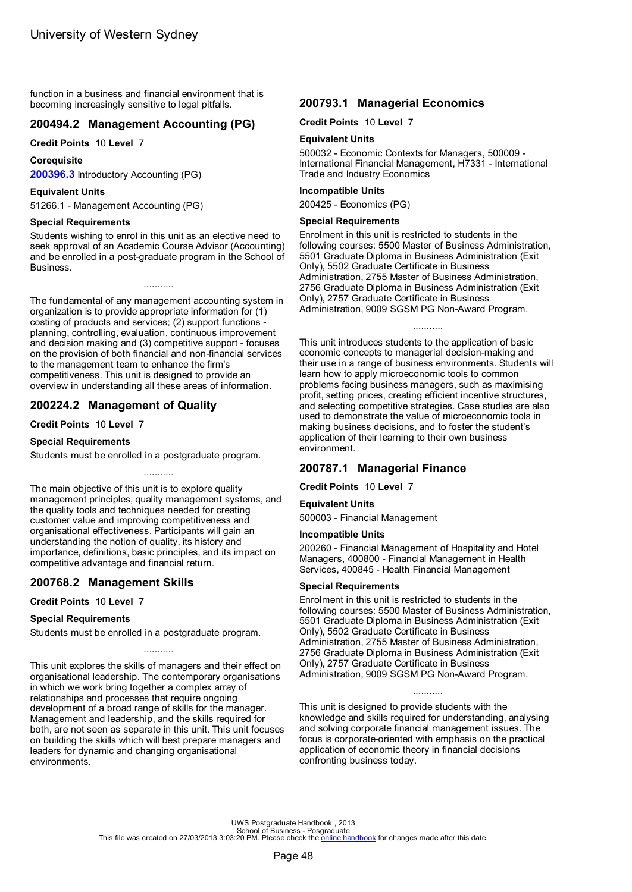<span id="page-50-0"></span>function in a business and financial environment that is becoming increasingly sensitive to legal pitfalls.

# **200494.2 Management Accounting (PG)**

**Credit Points** 10 **Level** 7

**Corequisite**

**[200396.3](#page-49-0)** Introductory Accounting (PG)

# **Equivalent Units**

51266.1 - Management Accounting (PG)

## **Special Requirements**

Students wishing to enrol in this unit as an elective need to seek approval of an Academic Course Advisor (Accounting) and be enrolled in a post-graduate program in the School of Business.

...........

The fundamental of any management accounting system in organization is to provide appropriate information for (1) costing of products and services; (2) support functions planning, controlling, evaluation, continuous improvement and decision making and (3) competitive support - focuses on the provision of both financial and non-financial services to the management team to enhance the firm's competitiveness. This unit is designed to provide an overview in understanding all these areas of information.

# **200224.2 Management of Quality**

# **Credit Points** 10 **Level** 7

## **Special Requirements**

Students must be enrolled in a postgraduate program.

...........

The main objective of this unit is to explore quality management principles, quality management systems, and the quality tools and techniques needed for creating customer value and improving competitiveness and organisational effectiveness. Participants will gain an understanding the notion of quality, its history and importance, definitions, basic principles, and its impact on competitive advantage and financial return.

# **200768.2 Management Skills**

## **Credit Points** 10 **Level** 7

# **Special Requirements**

Students must be enrolled in a postgraduate program.

This unit explores the skills of managers and their effect on organisational leadership. The contemporary organisations in which we work bring together a complex array of relationships and processes that require ongoing development of a broad range of skills for the manager. Management and leadership, and the skills required for both, are not seen as separate in this unit. This unit focuses on building the skills which will best prepare managers and leaders for dynamic and changing organisational environments.

...........

# **200793.1 Managerial Economics**

**Credit Points** 10 **Level** 7

# **Equivalent Units**

500032 - Economic Contexts for Managers, 500009 - International Financial Management, H7331 - International Trade and Industry Economics

#### **Incompatible Units**

200425 - Economics (PG)

### **Special Requirements**

Enrolment in this unit is restricted to students in the following courses: 5500 Master of Business Administration, 5501 Graduate Diploma in Business Administration (Exit Only), 5502 Graduate Certificate in Business Administration, 2755 Master of Business Administration, 2756 Graduate Diploma in Business Administration (Exit Only), 2757 Graduate Certificate in Business Administration, 9009 SGSM PG Non-Award Program.

#### ...........

This unit introduces students to the application of basic economic concepts to managerial decision-making and their use in a range of business environments. Students will learn how to apply microeconomic tools to common problems facing business managers, such as maximising profit, setting prices, creating efficient incentive structures, and selecting competitive strategies. Case studies are also used to demonstrate the value of microeconomic tools in making business decisions, and to foster the student's application of their learning to their own business environment.

# **200787.1 Managerial Finance**

**Credit Points** 10 **Level** 7

### **Equivalent Units**

500003 - Financial Management

### **Incompatible Units**

200260 - Financial Management of Hospitality and Hotel Managers, 400800 - Financial Management in Health Services, 400845 - Health Financial Management

#### **Special Requirements**

Enrolment in this unit is restricted to students in the following courses: 5500 Master of Business Administration, 5501 Graduate Diploma in Business Administration (Exit Only), 5502 Graduate Certificate in Business Administration, 2755 Master of Business Administration, 2756 Graduate Diploma in Business Administration (Exit Only), 2757 Graduate Certificate in Business Administration, 9009 SGSM PG Non-Award Program.

This unit is designed to provide students with the knowledge and skills required for understanding, analysing and solving corporate financial management issues. The focus is corporate-oriented with emphasis on the practical application of economic theory in financial decisions confronting business today.

...........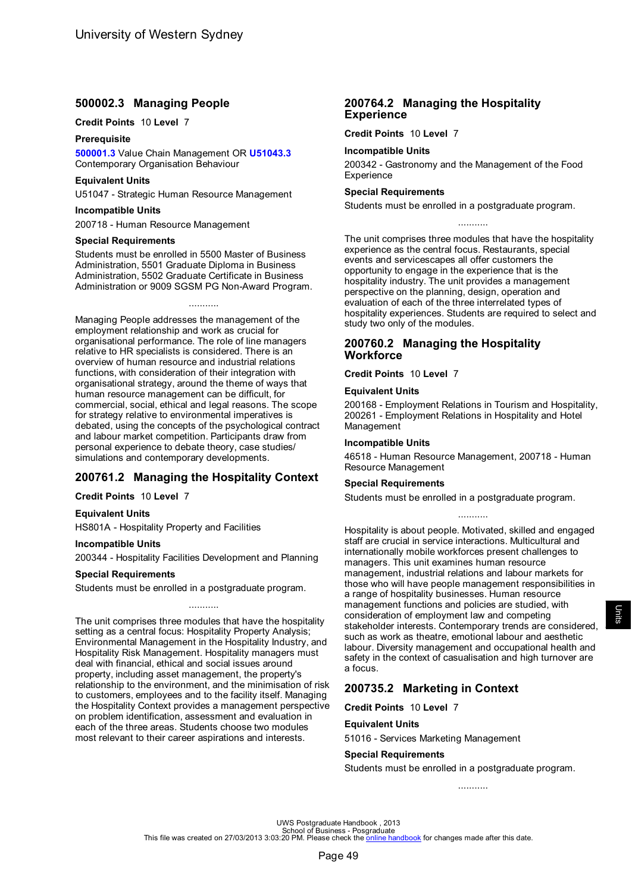# <span id="page-51-0"></span>**500002.3 Managing People**

### **Credit Points** 10 **Level** 7

#### **Prerequisite**

**[500001.3](#page-61-0)** Value Chain Management OR **[U51043.3](#page-39-0)** Contemporary Organisation Behaviour

#### **Equivalent Units**

U51047 - Strategic Human Resource Management

#### **Incompatible Units**

200718 - Human Resource Management

#### **Special Requirements**

Students must be enrolled in 5500 Master of Business Administration, 5501 Graduate Diploma in Business Administration, 5502 Graduate Certificate in Business Administration or 9009 SGSM PG Non-Award Program.

...........

Managing People addresses the management of the employment relationship and work as crucial for organisational performance. The role of line managers relative to HR specialists is considered. There is an overview of human resource and industrial relations functions, with consideration of their integration with organisational strategy, around the theme of ways that human resource management can be difficult, for commercial, social, ethical and legal reasons. The scope for strategy relative to environmental imperatives is debated, using the concepts of the psychological contract and labour market competition. Participants draw from personal experience to debate theory, case studies/ simulations and contemporary developments.

## **200761.2 Managing the Hospitality Context**

**Credit Points** 10 **Level** 7

#### **Equivalent Units**

HS801A - Hospitality Property and Facilities

#### **Incompatible Units**

200344 - Hospitality Facilities Development and Planning

#### **Special Requirements**

Students must be enrolled in a postgraduate program.

The unit comprises three modules that have the hospitality setting as a central focus: Hospitality Property Analysis; Environmental Management in the Hospitality Industry, and Hospitality Risk Management. Hospitality managers must deal with financial, ethical and social issues around property, including asset management, the property's relationship to the environment, and the minimisation of risk to customers, employees and to the facility itself. Managing the Hospitality Context provides a management perspective on problem identification, assessment and evaluation in each of the three areas. Students choose two modules most relevant to their career aspirations and interests.

...........

### **200764.2 Managing the Hospitality Experience**

**Credit Points** 10 **Level** 7

### **Incompatible Units**

200342 - Gastronomy and the Management of the Food **Experience** 

#### **Special Requirements**

Students must be enrolled in a postgraduate program.

The unit comprises three modules that have the hospitality experience as the central focus. Restaurants, special events and servicescapes all offer customers the opportunity to engage in the experience that is the hospitality industry. The unit provides a management perspective on the planning, design, operation and evaluation of each of the three interrelated types of hospitality experiences. Students are required to select and study two only of the modules.

...........

### **200760.2 Managing the Hospitality Workforce**

**Credit Points** 10 **Level** 7

#### **Equivalent Units**

200168 - Employment Relations in Tourism and Hospitality, 200261 - Employment Relations in Hospitality and Hotel Management

#### **Incompatible Units**

46518 - Human Resource Management, 200718 - Human Resource Management

#### **Special Requirements**

Students must be enrolled in a postgraduate program.

## ...........

Hospitality is about people. Motivated, skilled and engaged staff are crucial in service interactions. Multicultural and internationally mobile workforces present challenges to managers. This unit examines human resource management, industrial relations and labour markets for those who will have people management responsibilities in a range of hospitality businesses. Human resource management functions and policies are studied, with consideration of employment law and competing stakeholder interests. Contemporary trends are considered, such as work as theatre, emotional labour and aesthetic labour. Diversity management and occupational health and safety in the context of casualisation and high turnover are a focus.

## **200735.2 Marketing in Context**

**Credit Points** 10 **Level** 7

#### **Equivalent Units**

51016 - Services Marketing Management

#### **Special Requirements**

Students must be enrolled in a postgraduate program.

...........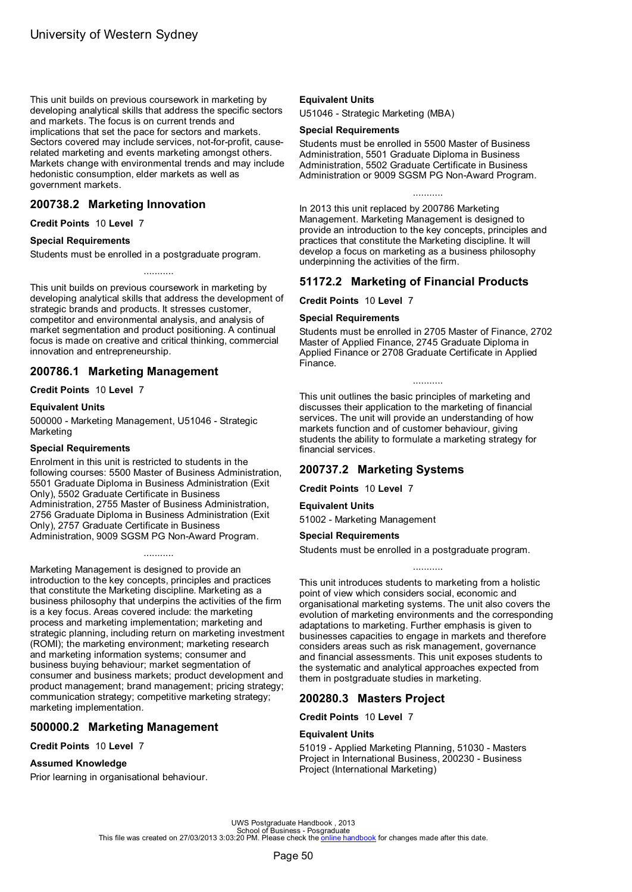<span id="page-52-0"></span>This unit builds on previous coursework in marketing by developing analytical skills that address the specific sectors and markets. The focus is on current trends and implications that set the pace for sectors and markets. Sectors covered may include services, not-for-profit, causerelated marketing and events marketing amongst others. Markets change with environmental trends and may include hedonistic consumption, elder markets as well as government markets.

## **200738.2 Marketing Innovation**

**Credit Points** 10 **Level** 7

### **Special Requirements**

Students must be enrolled in a postgraduate program.

This unit builds on previous coursework in marketing by developing analytical skills that address the development of strategic brands and products. It stresses customer, competitor and environmental analysis, and analysis of market segmentation and product positioning. A continual focus is made on creative and critical thinking, commercial innovation and entrepreneurship.

...........

### **200786.1 Marketing Management**

#### **Credit Points** 10 **Level** 7

#### **Equivalent Units**

500000 - Marketing Management, U51046 - Strategic Marketing

#### **Special Requirements**

Enrolment in this unit is restricted to students in the following courses: 5500 Master of Business Administration, 5501 Graduate Diploma in Business Administration (Exit Only), 5502 Graduate Certificate in Business Administration, 2755 Master of Business Administration, 2756 Graduate Diploma in Business Administration (Exit Only), 2757 Graduate Certificate in Business Administration, 9009 SGSM PG Non-Award Program.

...........

Marketing Management is designed to provide an introduction to the key concepts, principles and practices that constitute the Marketing discipline. Marketing as a business philosophy that underpins the activities of the firm is a key focus. Areas covered include: the marketing process and marketing implementation; marketing and strategic planning, including return on marketing investment (ROMI); the marketing environment; marketing research and marketing information systems; consumer and business buying behaviour; market segmentation of consumer and business markets; product development and product management; brand management; pricing strategy; communication strategy; competitive marketing strategy; marketing implementation.

## **500000.2 Marketing Management**

**Credit Points** 10 **Level** 7

### **Assumed Knowledge**

Prior learning in organisational behaviour.

### **Equivalent Units**

U51046 - Strategic Marketing (MBA)

#### **Special Requirements**

Students must be enrolled in 5500 Master of Business Administration, 5501 Graduate Diploma in Business Administration, 5502 Graduate Certificate in Business Administration or 9009 SGSM PG Non-Award Program.

...........

In 2013 this unit replaced by 200786 Marketing Management. Marketing Management is designed to provide an introduction to the key concepts, principles and practices that constitute the Marketing discipline. It will develop a focus on marketing as a business philosophy underpinning the activities of the firm.

## **51172.2 Marketing of Financial Products**

**Credit Points** 10 **Level** 7

#### **Special Requirements**

Students must be enrolled in 2705 Master of Finance, 2702 Master of Applied Finance, 2745 Graduate Diploma in Applied Finance or 2708 Graduate Certificate in Applied Finance.

...........

This unit outlines the basic principles of marketing and discusses their application to the marketing of financial services. The unit will provide an understanding of how markets function and of customer behaviour, giving students the ability to formulate a marketing strategy for financial services.

# **200737.2 Marketing Systems**

**Credit Points** 10 **Level** 7

#### **Equivalent Units**

51002 - Marketing Management

#### **Special Requirements**

Students must be enrolled in a postgraduate program.

This unit introduces students to marketing from a holistic point of view which considers social, economic and organisational marketing systems. The unit also covers the evolution of marketing environments and the corresponding adaptations to marketing. Further emphasis is given to businesses capacities to engage in markets and therefore considers areas such as risk management, governance and financial assessments. This unit exposes students to the systematic and analytical approaches expected from them in postgraduate studies in marketing.

...........

## **200280.3 Masters Project**

**Credit Points** 10 **Level** 7

#### **Equivalent Units**

51019 - Applied Marketing Planning, 51030 - Masters Project in International Business, 200230 - Business Project (International Marketing)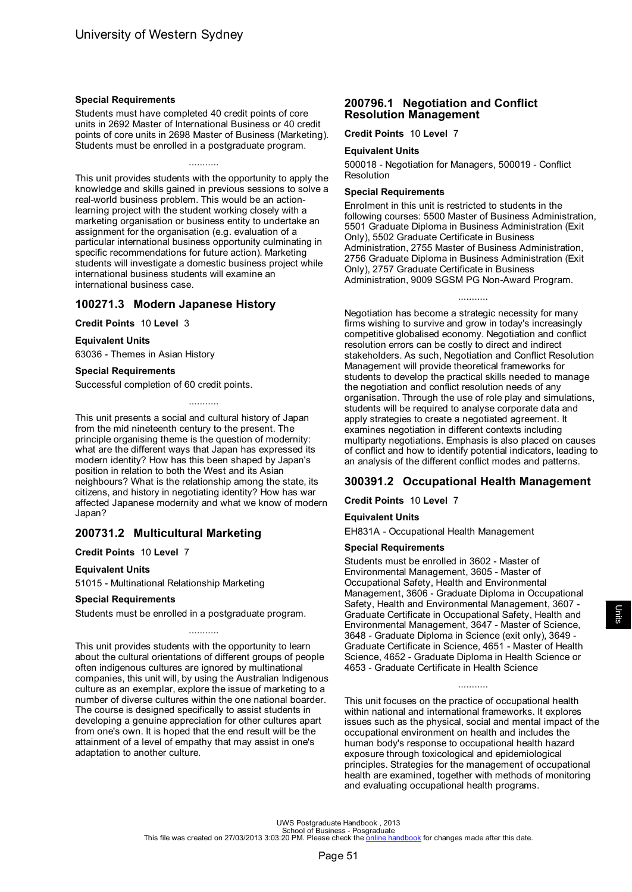#### <span id="page-53-0"></span>**Special Requirements**

Students must have completed 40 credit points of core units in 2692 Master of International Business or 40 credit points of core units in 2698 Master of Business (Marketing). Students must be enrolled in a postgraduate program.

## ...........

This unit provides students with the opportunity to apply the knowledge and skills gained in previous sessions to solve a real-world business problem. This would be an actionlearning project with the student working closely with a marketing organisation or business entity to undertake an assignment for the organisation (e.g. evaluation of a particular international business opportunity culminating in specific recommendations for future action). Marketing students will investigate a domestic business project while international business students will examine an international business case.

## **100271.3 Modern Japanese History**

#### **Credit Points** 10 **Level** 3

#### **Equivalent Units**

63036 - Themes in Asian History

#### **Special Requirements**

Successful completion of 60 credit points.

This unit presents a social and cultural history of Japan from the mid nineteenth century to the present. The principle organising theme is the question of modernity: what are the different ways that Japan has expressed its modern identity? How has this been shaped by Japan's position in relation to both the West and its Asian neighbours? What is the relationship among the state, its citizens, and history in negotiating identity? How has war affected Japanese modernity and what we know of modern Japan?

...........

# **200731.2 Multicultural Marketing**

#### **Credit Points** 10 **Level** 7

#### **Equivalent Units**

51015 - Multinational Relationship Marketing

#### **Special Requirements**

Students must be enrolled in a postgraduate program.

This unit provides students with the opportunity to learn about the cultural orientations of different groups of people often indigenous cultures are ignored by multinational companies, this unit will, by using the Australian Indigenous culture as an exemplar, explore the issue of marketing to a number of diverse cultures within the one national boarder. The course is designed specifically to assist students in developing a genuine appreciation for other cultures apart from one's own. It is hoped that the end result will be the attainment of a level of empathy that may assist in one's adaptation to another culture.

...........

## **200796.1 Negotiation and Conflict Resolution Management**

**Credit Points** 10 **Level** 7

### **Equivalent Units**

500018 - Negotiation for Managers, 500019 - Conflict Resolution

#### **Special Requirements**

Enrolment in this unit is restricted to students in the following courses: 5500 Master of Business Administration, 5501 Graduate Diploma in Business Administration (Exit Only), 5502 Graduate Certificate in Business Administration, 2755 Master of Business Administration, 2756 Graduate Diploma in Business Administration (Exit Only), 2757 Graduate Certificate in Business Administration, 9009 SGSM PG Non-Award Program.

...........

Negotiation has become a strategic necessity for many firms wishing to survive and grow in today's increasingly competitive globalised economy. Negotiation and conflict resolution errors can be costly to direct and indirect stakeholders. As such, Negotiation and Conflict Resolution Management will provide theoretical frameworks for students to develop the practical skills needed to manage the negotiation and conflict resolution needs of any organisation. Through the use of role play and simulations, students will be required to analyse corporate data and apply strategies to create a negotiated agreement. It examines negotiation in different contexts including multiparty negotiations. Emphasis is also placed on causes of conflict and how to identify potential indicators, leading to an analysis of the different conflict modes and patterns.

## **300391.2 Occupational Health Management**

### **Credit Points** 10 **Level** 7

### **Equivalent Units**

EH831A - Occupational Health Management

#### **Special Requirements**

Students must be enrolled in 3602 - Master of Environmental Management, 3605 - Master of Occupational Safety, Health and Environmental Management, 3606 - Graduate Diploma in Occupational Safety, Health and Environmental Management, 3607 - Graduate Certificate in Occupational Safety, Health and Environmental Management, 3647 - Master of Science, 3648 - Graduate Diploma in Science (exit only), 3649 - Graduate Certificate in Science, 4651 - Master of Health Science, 4652 - Graduate Diploma in Health Science or 4653 - Graduate Certificate in Health Science

This unit focuses on the practice of occupational health within national and international frameworks. It explores issues such as the physical, social and mental impact of the occupational environment on health and includes the human body's response to occupational health hazard exposure through toxicological and epidemiological principles. Strategies for the management of occupational health are examined, together with methods of monitoring and evaluating occupational health programs.

...........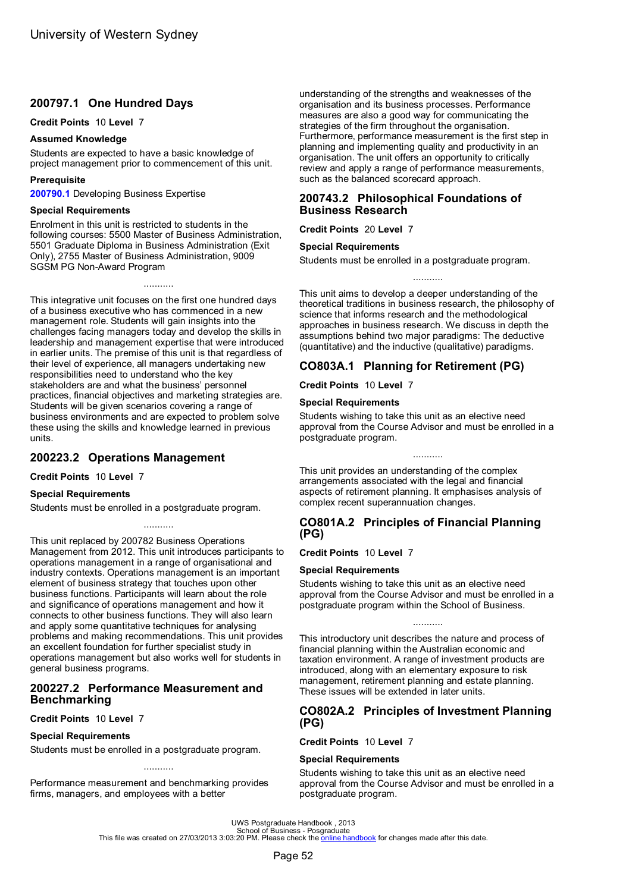# <span id="page-54-0"></span>**200797.1 One Hundred Days**

**Credit Points** 10 **Level** 7

#### **Assumed Knowledge**

Students are expected to have a basic knowledge of project management prior to commencement of this unit.

### **Prerequisite**

**[200790.1](#page-41-0)** Developing Business Expertise

#### **Special Requirements**

Enrolment in this unit is restricted to students in the following courses: 5500 Master of Business Administration, 5501 Graduate Diploma in Business Administration (Exit Only), 2755 Master of Business Administration, 9009 SGSM PG Non-Award Program

...........

This integrative unit focuses on the first one hundred days of a business executive who has commenced in a new management role. Students will gain insights into the challenges facing managers today and develop the skills in leadership and management expertise that were introduced in earlier units. The premise of this unit is that regardless of their level of experience, all managers undertaking new responsibilities need to understand who the key stakeholders are and what the business' personnel practices, financial objectives and marketing strategies are. Students will be given scenarios covering a range of business environments and are expected to problem solve these using the skills and knowledge learned in previous units.

# **200223.2 Operations Management**

**Credit Points** 10 **Level** 7

### **Special Requirements**

Students must be enrolled in a postgraduate program.

This unit replaced by 200782 Business Operations Management from 2012. This unit introduces participants to operations management in a range of organisational and industry contexts. Operations management is an important element of business strategy that touches upon other business functions. Participants will learn about the role and significance of operations management and how it connects to other business functions. They will also learn and apply some quantitative techniques for analysing problems and making recommendations. This unit provides an excellent foundation for further specialist study in operations management but also works well for students in general business programs.

...........

### **200227.2 Performance Measurement and Benchmarking**

**Credit Points** 10 **Level** 7

#### **Special Requirements**

Students must be enrolled in a postgraduate program.

Performance measurement and benchmarking provides firms, managers, and employees with a better

...........

understanding of the strengths and weaknesses of the organisation and its business processes. Performance measures are also a good way for communicating the strategies of the firm throughout the organisation. Furthermore, performance measurement is the first step in planning and implementing quality and productivity in an organisation. The unit offers an opportunity to critically review and apply a range of performance measurements, such as the balanced scorecard approach.

# **200743.2 Philosophical Foundations of Business Research**

**Credit Points** 20 **Level** 7

#### **Special Requirements**

Students must be enrolled in a postgraduate program.

This unit aims to develop a deeper understanding of the theoretical traditions in business research, the philosophy of science that informs research and the methodological approaches in business research. We discuss in depth the assumptions behind two major paradigms: The deductive (quantitative) and the inductive (qualitative) paradigms.

...........

# **CO803A.1 Planning for Retirement (PG)**

**Credit Points** 10 **Level** 7

#### **Special Requirements**

Students wishing to take this unit as an elective need approval from the Course Advisor and must be enrolled in a postgraduate program.

This unit provides an understanding of the complex arrangements associated with the legal and financial aspects of retirement planning. It emphasises analysis of complex recent superannuation changes.

### **CO801A.2 Principles of Financial Planning (PG)**

**Credit Points** 10 **Level** 7

#### **Special Requirements**

Students wishing to take this unit as an elective need approval from the Course Advisor and must be enrolled in a postgraduate program within the School of Business.

...........

This introductory unit describes the nature and process of financial planning within the Australian economic and taxation environment. A range of investment products are introduced, along with an elementary exposure to risk management, retirement planning and estate planning. These issues will be extended in later units.

### **CO802A.2 Principles of Investment Planning (PG)**

**Credit Points** 10 **Level** 7

#### **Special Requirements**

Students wishing to take this unit as an elective need approval from the Course Advisor and must be enrolled in a postgraduate program.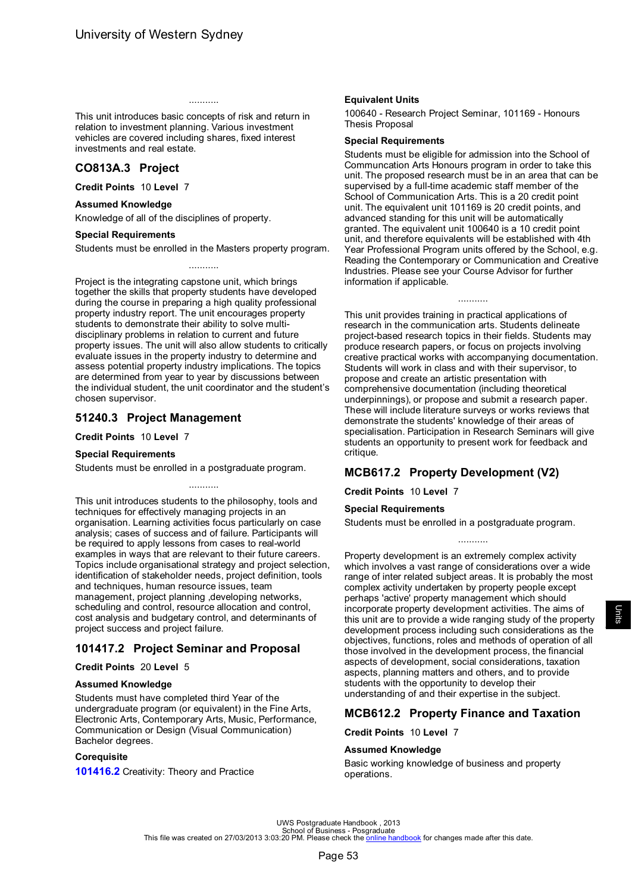<span id="page-55-0"></span>This unit introduces basic concepts of risk and return in relation to investment planning. Various investment vehicles are covered including shares, fixed interest investments and real estate.

...........

# **CO813A.3 Project**

**Credit Points** 10 **Level** 7

#### **Assumed Knowledge**

Knowledge of all of the disciplines of property.

#### **Special Requirements**

Students must be enrolled in the Masters property program. ...........

Project is the integrating capstone unit, which brings together the skills that property students have developed during the course in preparing a high quality professional property industry report. The unit encourages property students to demonstrate their ability to solve multidisciplinary problems in relation to current and future property issues. The unit will also allow students to critically evaluate issues in the property industry to determine and assess potential property industry implications. The topics are determined from year to year by discussions between the individual student, the unit coordinator and the student's chosen supervisor.

# **51240.3 Project Management**

**Credit Points** 10 **Level** 7

#### **Special Requirements**

Students must be enrolled in a postgraduate program.

This unit introduces students to the philosophy, tools and techniques for effectively managing projects in an organisation. Learning activities focus particularly on case analysis; cases of success and of failure. Participants will be required to apply lessons from cases to real-world examples in ways that are relevant to their future careers. Topics include organisational strategy and project selection, identification of stakeholder needs, project definition, tools and techniques, human resource issues, team management, project planning ,developing networks, scheduling and control, resource allocation and control, cost analysis and budgetary control, and determinants of project success and project failure.

...........

# **101417.2 Project Seminar and Proposal**

### **Credit Points** 20 **Level** 5

#### **Assumed Knowledge**

Students must have completed third Year of the undergraduate program (or equivalent) in the Fine Arts, Electronic Arts, Contemporary Arts, Music, Performance, Communication or Design (Visual Communication) Bachelor degrees.

### **Corequisite**

**[101416.2](#page-40-0)** Creativity: Theory and Practice

### **Equivalent Units**

100640 - Research Project Seminar, 101169 - Honours Thesis Proposal

#### **Special Requirements**

Students must be eligible for admission into the School of Communcation Arts Honours program in order to take this unit. The proposed research must be in an area that can be supervised by a full-time academic staff member of the School of Communication Arts. This is a 20 credit point unit. The equivalent unit 101169 is 20 credit points, and advanced standing for this unit will be automatically granted. The equivalent unit 100640 is a 10 credit point unit, and therefore equivalents will be established with 4th Year Professional Program units offered by the School, e.g. Reading the Contemporary or Communication and Creative Industries. Please see your Course Advisor for further information if applicable.

...........

This unit provides training in practical applications of research in the communication arts. Students delineate project-based research topics in their fields. Students may produce research papers, or focus on projects involving creative practical works with accompanying documentation. Students will work in class and with their supervisor, to propose and create an artistic presentation with comprehensive documentation (including theoretical underpinnings), or propose and submit a research paper. These will include literature surveys or works reviews that demonstrate the students' knowledge of their areas of specialisation. Participation in Research Seminars will give students an opportunity to present work for feedback and critique.

# **MCB617.2 Property Development (V2)**

**Credit Points** 10 **Level** 7

### **Special Requirements**

Students must be enrolled in a postgraduate program.

...........

Property development is an extremely complex activity which involves a vast range of considerations over a wide range of inter related subject areas. It is probably the most complex activity undertaken by property people except perhaps 'active' property management which should incorporate property development activities. The aims of this unit are to provide a wide ranging study of the property development process including such considerations as the objectives, functions, roles and methods of operation of all those involved in the development process, the financial aspects of development, social considerations, taxation aspects, planning matters and others, and to provide students with the opportunity to develop their understanding of and their expertise in the subject.

## **MCB612.2 Property Finance and Taxation**

**Credit Points** 10 **Level** 7

### **Assumed Knowledge**

Basic working knowledge of business and property operations.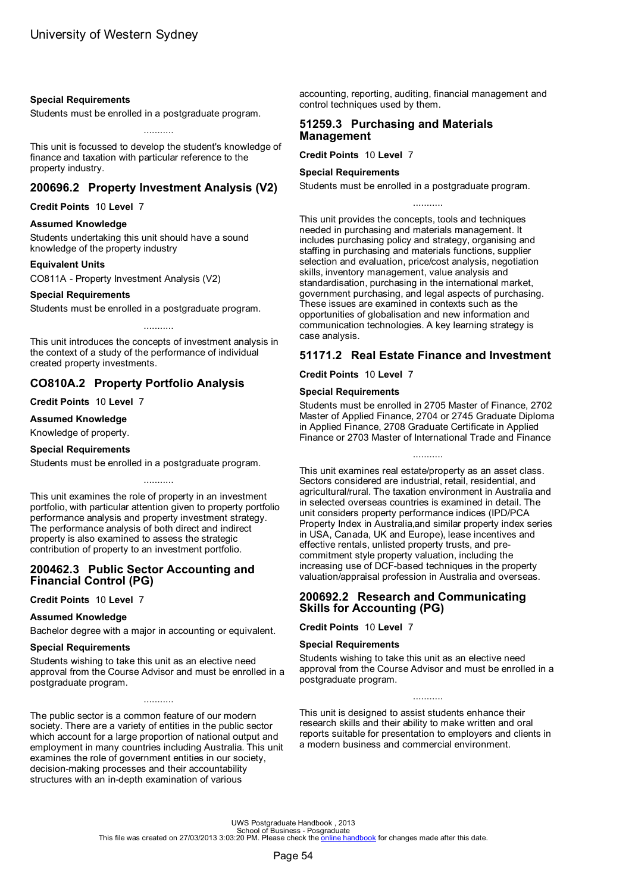#### <span id="page-56-0"></span>**Special Requirements**

Students must be enrolled in a postgraduate program.

This unit is focussed to develop the student's knowledge of finance and taxation with particular reference to the property industry.

...........

## **200696.2 Property Investment Analysis (V2)**

**Credit Points** 10 **Level** 7

#### **Assumed Knowledge**

Students undertaking this unit should have a sound knowledge of the property industry

#### **Equivalent Units**

CO811A - Property Investment Analysis (V2)

#### **Special Requirements**

Students must be enrolled in a postgraduate program.

This unit introduces the concepts of investment analysis in the context of a study of the performance of individual created property investments.

...........

# **CO810A.2 Property Portfolio Analysis**

**Credit Points** 10 **Level** 7

#### **Assumed Knowledge**

Knowledge of property.

### **Special Requirements**

Students must be enrolled in a postgraduate program.

This unit examines the role of property in an investment portfolio, with particular attention given to property portfolio performance analysis and property investment strategy. The performance analysis of both direct and indirect property is also examined to assess the strategic contribution of property to an investment portfolio.

...........

## **200462.3 Public Sector Accounting and Financial Control (PG)**

**Credit Points** 10 **Level** 7

### **Assumed Knowledge**

Bachelor degree with a major in accounting or equivalent.

#### **Special Requirements**

Students wishing to take this unit as an elective need approval from the Course Advisor and must be enrolled in a postgraduate program.

...........

The public sector is a common feature of our modern society. There are a variety of entities in the public sector which account for a large proportion of national output and employment in many countries including Australia. This unit examines the role of government entities in our society, decision-making processes and their accountability structures with an in-depth examination of various

accounting, reporting, auditing, financial management and control techniques used by them.

### **51259.3 Purchasing and Materials Management**

**Credit Points** 10 **Level** 7

#### **Special Requirements**

Students must be enrolled in a postgraduate program.

...........

This unit provides the concepts, tools and techniques needed in purchasing and materials management. It includes purchasing policy and strategy, organising and staffing in purchasing and materials functions, supplier selection and evaluation, price/cost analysis, negotiation skills, inventory management, value analysis and standardisation, purchasing in the international market, government purchasing, and legal aspects of purchasing. These issues are examined in contexts such as the opportunities of globalisation and new information and communication technologies. A key learning strategy is case analysis.

## **51171.2 Real Estate Finance and Investment**

**Credit Points** 10 **Level** 7

#### **Special Requirements**

Students must be enrolled in 2705 Master of Finance, 2702 Master of Applied Finance, 2704 or 2745 Graduate Diploma in Applied Finance, 2708 Graduate Certificate in Applied Finance or 2703 Master of International Trade and Finance

...........

This unit examines real estate/property as an asset class. Sectors considered are industrial, retail, residential, and agricultural/rural. The taxation environment in Australia and in selected overseas countries is examined in detail. The unit considers property performance indices (IPD/PCA Property Index in Australia,and similar property index series in USA, Canada, UK and Europe), lease incentives and effective rentals, unlisted property trusts, and precommitment style property valuation, including the increasing use of DCF-based techniques in the property valuation/appraisal profession in Australia and overseas.

### **200692.2 Research and Communicating Skills for Accounting (PG)**

**Credit Points** 10 **Level** 7

### **Special Requirements**

Students wishing to take this unit as an elective need approval from the Course Advisor and must be enrolled in a postgraduate program.

This unit is designed to assist students enhance their research skills and their ability to make written and oral reports suitable for presentation to employers and clients in a modern business and commercial environment.

...........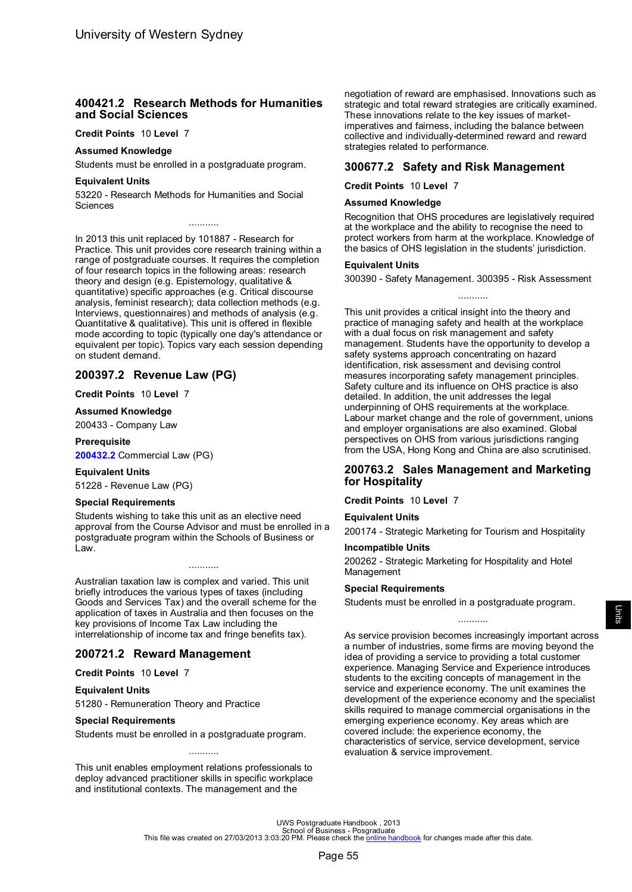### <span id="page-57-0"></span>**400421.2 Research Methods for Humanities and Social Sciences**

#### **Credit Points** 10 **Level** 7

#### **Assumed Knowledge**

Students must be enrolled in a postgraduate program.

### **Equivalent Units**

53220 - Research Methods for Humanities and Social Sciences

...........

In 2013 this unit replaced by 101887 - Research for Practice. This unit provides core research training within a range of postgraduate courses. It requires the completion of four research topics in the following areas: research theory and design (e.g. Epistemology, qualitative & quantitative) specific approaches (e.g. Critical discourse analysis, feminist research); data collection methods (e.g. Interviews, questionnaires) and methods of analysis (e.g. Quantitative & qualitative). This unit is offered in flexible mode according to topic (typically one day's attendance or equivalent per topic). Topics vary each session depending on student demand.

# **200397.2 Revenue Law (PG)**

#### **Credit Points** 10 **Level** 7

#### **Assumed Knowledge**

200433 - Company Law

#### **Prerequisite**

**[200432.2](#page-37-0)** Commercial Law (PG)

#### **Equivalent Units**

51228 - Revenue Law (PG)

#### **Special Requirements**

Students wishing to take this unit as an elective need approval from the Course Advisor and must be enrolled in a postgraduate program within the Schools of Business or Law.

...........

Australian taxation law is complex and varied. This unit briefly introduces the various types of taxes (including Goods and Services Tax) and the overall scheme for the application of taxes in Australia and then focuses on the key provisions of Income Tax Law including the interrelationship of income tax and fringe benefits tax).

## **200721.2 Reward Management**

#### **Credit Points** 10 **Level** 7

#### **Equivalent Units**

51280 - Remuneration Theory and Practice

#### **Special Requirements**

Students must be enrolled in a postgraduate program.

This unit enables employment relations professionals to deploy advanced practitioner skills in specific workplace and institutional contexts. The management and the

...........

negotiation of reward are emphasised. Innovations such as strategic and total reward strategies are critically examined. These innovations relate to the key issues of marketimperatives and fairness, including the balance between collective and individually-determined reward and reward strategies related to performance.

### **300677.2 Safety and Risk Management**

**Credit Points** 10 **Level** 7

#### **Assumed Knowledge**

Recognition that OHS procedures are legislatively required at the workplace and the ability to recognise the need to protect workers from harm at the workplace. Knowledge of the basics of OHS legislation in the students' jurisdiction.

#### **Equivalent Units**

300390 - Safety Management. 300395 - Risk Assessment ...........

This unit provides a critical insight into the theory and practice of managing safety and health at the workplace with a dual focus on risk management and safety management. Students have the opportunity to develop a safety systems approach concentrating on hazard identification, risk assessment and devising control measures incorporating safety management principles. Safety culture and its influence on OHS practice is also detailed. In addition, the unit addresses the legal underpinning of OHS requirements at the workplace. Labour market change and the role of government, unions and employer organisations are also examined. Global perspectives on OHS from various jurisdictions ranging from the USA, Hong Kong and China are also scrutinised.

### **200763.2 Sales Management and Marketing for Hospitality**

#### **Credit Points** 10 **Level** 7

#### **Equivalent Units**

200174 - Strategic Marketing for Tourism and Hospitality

### **Incompatible Units**

200262 - Strategic Marketing for Hospitality and Hotel Management

#### **Special Requirements**

Students must be enrolled in a postgraduate program.

...........

As service provision becomes increasingly important across a number of industries, some firms are moving beyond the idea of providing a service to providing a total customer experience. Managing Service and Experience introduces students to the exciting concepts of management in the service and experience economy. The unit examines the development of the experience economy and the specialist skills required to manage commercial organisations in the emerging experience economy. Key areas which are covered include: the experience economy, the characteristics of service, service development, service evaluation & service improvement.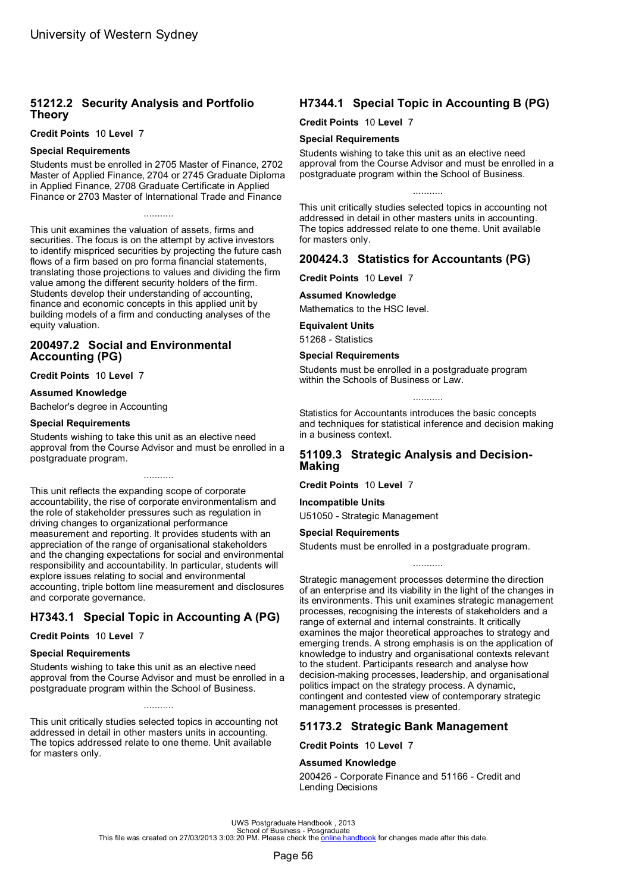# <span id="page-58-0"></span>**51212.2 Security Analysis and Portfolio Theory**

**Credit Points** 10 **Level** 7

### **Special Requirements**

Students must be enrolled in 2705 Master of Finance, 2702 Master of Applied Finance, 2704 or 2745 Graduate Diploma in Applied Finance, 2708 Graduate Certificate in Applied Finance or 2703 Master of International Trade and Finance

...........

This unit examines the valuation of assets, firms and securities. The focus is on the attempt by active investors to identify mispriced securities by projecting the future cash flows of a firm based on pro forma financial statements, translating those projections to values and dividing the firm value among the different security holders of the firm. Students develop their understanding of accounting, finance and economic concepts in this applied unit by building models of a firm and conducting analyses of the equity valuation.

## **200497.2 Social and Environmental Accounting (PG)**

**Credit Points** 10 **Level** 7

#### **Assumed Knowledge**

Bachelor's degree in Accounting

#### **Special Requirements**

Students wishing to take this unit as an elective need approval from the Course Advisor and must be enrolled in a postgraduate program.

...........

This unit reflects the expanding scope of corporate accountability, the rise of corporate environmentalism and the role of stakeholder pressures such as regulation in driving changes to organizational performance measurement and reporting. It provides students with an appreciation of the range of organisational stakeholders and the changing expectations for social and environmental responsibility and accountability. In particular, students will explore issues relating to social and environmental accounting, triple bottom line measurement and disclosures and corporate governance.

# **H7343.1 Special Topic in Accounting A (PG)**

**Credit Points** 10 **Level** 7

### **Special Requirements**

Students wishing to take this unit as an elective need approval from the Course Advisor and must be enrolled in a postgraduate program within the School of Business.

...........

This unit critically studies selected topics in accounting not addressed in detail in other masters units in accounting. The topics addressed relate to one theme. Unit available for masters only.

# **H7344.1 Special Topic in Accounting B (PG)**

**Credit Points** 10 **Level** 7

#### **Special Requirements**

Students wishing to take this unit as an elective need approval from the Course Advisor and must be enrolled in a postgraduate program within the School of Business.

...........

This unit critically studies selected topics in accounting not addressed in detail in other masters units in accounting. The topics addressed relate to one theme. Unit available for masters only.

## **200424.3 Statistics for Accountants (PG)**

**Credit Points** 10 **Level** 7

#### **Assumed Knowledge**

Mathematics to the HSC level.

#### **Equivalent Units**

51268 - Statistics

#### **Special Requirements**

Students must be enrolled in a postgraduate program within the Schools of Business or Law.

...........

Statistics for Accountants introduces the basic concepts and techniques for statistical inference and decision making in a business context.

## **51109.3 Strategic Analysis and Decision-Making**

**Credit Points** 10 **Level** 7

#### **Incompatible Units**

U51050 - Strategic Management

#### **Special Requirements**

Students must be enrolled in a postgraduate program.

Strategic management processes determine the direction of an enterprise and its viability in the light of the changes in its environments. This unit examines strategic management processes, recognising the interests of stakeholders and a range of external and internal constraints. It critically examines the major theoretical approaches to strategy and emerging trends. A strong emphasis is on the application of knowledge to industry and organisational contexts relevant to the student. Participants research and analyse how decision-making processes, leadership, and organisational politics impact on the strategy process. A dynamic, contingent and contested view of contemporary strategic management processes is presented.

...........

## **51173.2 Strategic Bank Management**

**Credit Points** 10 **Level** 7

### **Assumed Knowledge**

200426 - Corporate Finance and 51166 - Credit and Lending Decisions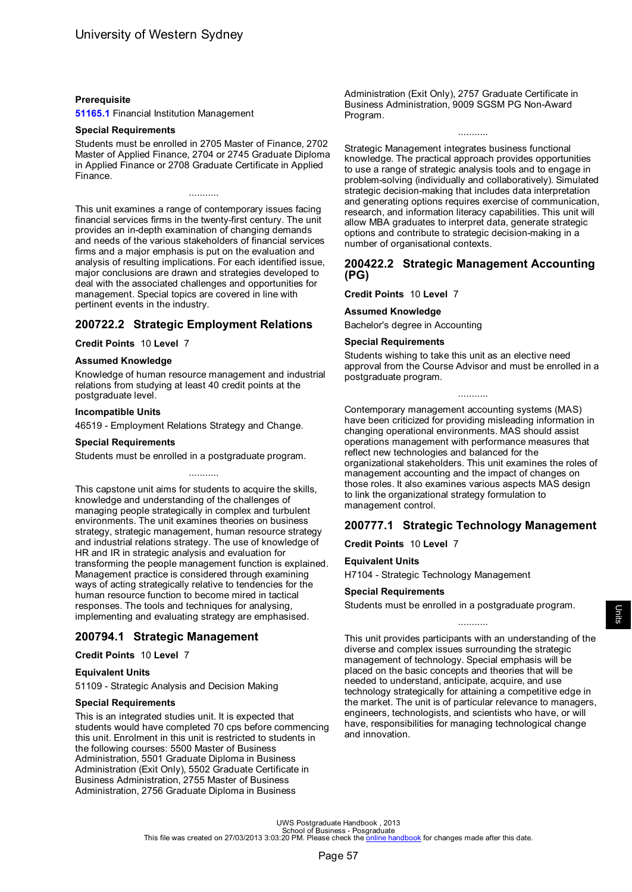#### <span id="page-59-0"></span>**Prerequisite**

**51165.1** Financial Institution Management

### **Special Requirements**

Students must be enrolled in 2705 Master of Finance, 2702 Master of Applied Finance, 2704 or 2745 Graduate Diploma in Applied Finance or 2708 Graduate Certificate in Applied Finance.

This unit examines a range of contemporary issues facing financial services firms in the twenty-first century. The unit provides an in-depth examination of changing demands and needs of the various stakeholders of financial services firms and a major emphasis is put on the evaluation and analysis of resulting implications. For each identified issue, major conclusions are drawn and strategies developed to deal with the associated challenges and opportunities for management. Special topics are covered in line with pertinent events in the industry.

# **200722.2 Strategic Employment Relations**

#### **Credit Points** 10 **Level** 7

#### **Assumed Knowledge**

Knowledge of human resource management and industrial relations from studying at least 40 credit points at the postgraduate level.

#### **Incompatible Units**

46519 - Employment Relations Strategy and Change.

#### **Special Requirements**

Students must be enrolled in a postgraduate program.

...........

This capstone unit aims for students to acquire the skills, knowledge and understanding of the challenges of managing people strategically in complex and turbulent environments. The unit examines theories on business strategy, strategic management, human resource strategy and industrial relations strategy. The use of knowledge of HR and IR in strategic analysis and evaluation for transforming the people management function is explained. Management practice is considered through examining ways of acting strategically relative to tendencies for the human resource function to become mired in tactical responses. The tools and techniques for analysing, implementing and evaluating strategy are emphasised.

## **200794.1 Strategic Management**

**Credit Points** 10 **Level** 7

#### **Equivalent Units**

51109 - Strategic Analysis and Decision Making

#### **Special Requirements**

This is an integrated studies unit. It is expected that students would have completed 70 cps before commencing this unit. Enrolment in this unit is restricted to students in the following courses: 5500 Master of Business Administration, 5501 Graduate Diploma in Business Administration (Exit Only), 5502 Graduate Certificate in Business Administration, 2755 Master of Business Administration, 2756 Graduate Diploma in Business

Administration (Exit Only), 2757 Graduate Certificate in Business Administration, 9009 SGSM PG Non-Award Program.

Strategic Management integrates business functional knowledge. The practical approach provides opportunities to use a range of strategic analysis tools and to engage in problem-solving (individually and collaboratively). Simulated strategic decision-making that includes data interpretation and generating options requires exercise of communication, research, and information literacy capabilities. This unit will allow MBA graduates to interpret data, generate strategic options and contribute to strategic decision-making in a number of organisational contexts.

...........

### **200422.2 Strategic Management Accounting (PG)**

**Credit Points** 10 **Level** 7

#### **Assumed Knowledge**

Bachelor's degree in Accounting

#### **Special Requirements**

Students wishing to take this unit as an elective need approval from the Course Advisor and must be enrolled in a postgraduate program.

...........

Contemporary management accounting systems (MAS) have been criticized for providing misleading information in changing operational environments. MAS should assist operations management with performance measures that reflect new technologies and balanced for the organizational stakeholders. This unit examines the roles of management accounting and the impact of changes on those roles. It also examines various aspects MAS design to link the organizational strategy formulation to management control.

# **200777.1 Strategic Technology Management**

**Credit Points** 10 **Level** 7

#### **Equivalent Units**

H7104 - Strategic Technology Management

#### **Special Requirements**

Students must be enrolled in a postgraduate program.

...........

This unit provides participants with an understanding of the diverse and complex issues surrounding the strategic management of technology. Special emphasis will be placed on the basic concepts and theories that will be needed to understand, anticipate, acquire, and use technology strategically for attaining a competitive edge in the market. The unit is of particular relevance to managers, engineers, technologists, and scientists who have, or will have, responsibilities for managing technological change and innovation.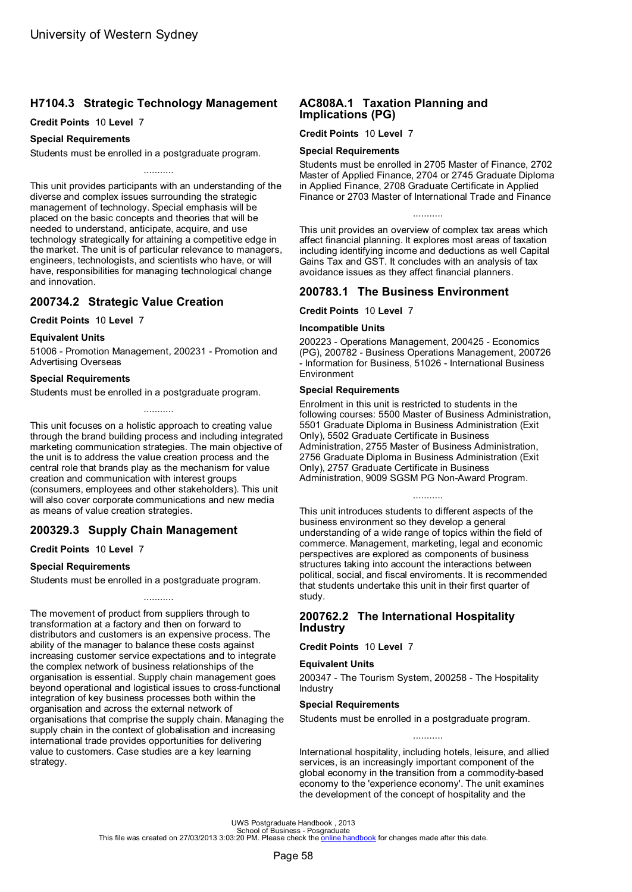# <span id="page-60-0"></span>**H7104.3 Strategic Technology Management**

#### **Credit Points** 10 **Level** 7

#### **Special Requirements**

Students must be enrolled in a postgraduate program.

This unit provides participants with an understanding of the diverse and complex issues surrounding the strategic management of technology. Special emphasis will be placed on the basic concepts and theories that will be needed to understand, anticipate, acquire, and use technology strategically for attaining a competitive edge in the market. The unit is of particular relevance to managers, engineers, technologists, and scientists who have, or will have, responsibilities for managing technological change and innovation.

# **200734.2 Strategic Value Creation**

#### **Credit Points** 10 **Level** 7

### **Equivalent Units**

51006 - Promotion Management, 200231 - Promotion and Advertising Overseas

#### **Special Requirements**

Students must be enrolled in a postgraduate program.

This unit focuses on a holistic approach to creating value through the brand building process and including integrated marketing communication strategies. The main objective of the unit is to address the value creation process and the central role that brands play as the mechanism for value creation and communication with interest groups (consumers, employees and other stakeholders). This unit will also cover corporate communications and new media as means of value creation strategies.

...........

# **200329.3 Supply Chain Management**

#### **Credit Points** 10 **Level** 7

#### **Special Requirements**

Students must be enrolled in a postgraduate program.

...........

The movement of product from suppliers through to transformation at a factory and then on forward to distributors and customers is an expensive process. The ability of the manager to balance these costs against increasing customer service expectations and to integrate the complex network of business relationships of the organisation is essential. Supply chain management goes beyond operational and logistical issues to cross-functional integration of key business processes both within the organisation and across the external network of organisations that comprise the supply chain. Managing the supply chain in the context of globalisation and increasing international trade provides opportunities for delivering value to customers. Case studies are a key learning strategy.

## **AC808A.1 Taxation Planning and Implications (PG)**

#### **Credit Points** 10 **Level** 7

#### **Special Requirements**

Students must be enrolled in 2705 Master of Finance, 2702 Master of Applied Finance, 2704 or 2745 Graduate Diploma in Applied Finance, 2708 Graduate Certificate in Applied Finance or 2703 Master of International Trade and Finance

...........

This unit provides an overview of complex tax areas which affect financial planning. It explores most areas of taxation including identifying income and deductions as well Capital Gains Tax and GST. It concludes with an analysis of tax avoidance issues as they affect financial planners.

# **200783.1 The Business Environment**

**Credit Points** 10 **Level** 7

#### **Incompatible Units**

200223 - Operations Management, 200425 - Economics (PG), 200782 - Business Operations Management, 200726 - Information for Business, 51026 - International Business Environment

#### **Special Requirements**

Enrolment in this unit is restricted to students in the following courses: 5500 Master of Business Administration, 5501 Graduate Diploma in Business Administration (Exit Only), 5502 Graduate Certificate in Business Administration, 2755 Master of Business Administration, 2756 Graduate Diploma in Business Administration (Exit Only), 2757 Graduate Certificate in Business Administration, 9009 SGSM PG Non-Award Program.

...........

This unit introduces students to different aspects of the business environment so they develop a general understanding of a wide range of topics within the field of commerce. Management, marketing, legal and economic perspectives are explored as components of business structures taking into account the interactions between political, social, and fiscal enviroments. It is recommended that students undertake this unit in their first quarter of study.

### **200762.2 The International Hospitality Industry**

**Credit Points** 10 **Level** 7

### **Equivalent Units**

200347 - The Tourism System, 200258 - The Hospitality Industry

### **Special Requirements**

Students must be enrolled in a postgraduate program.

International hospitality, including hotels, leisure, and allied services, is an increasingly important component of the global economy in the transition from a commodity-based economy to the 'experience economy'. The unit examines the development of the concept of hospitality and the

...........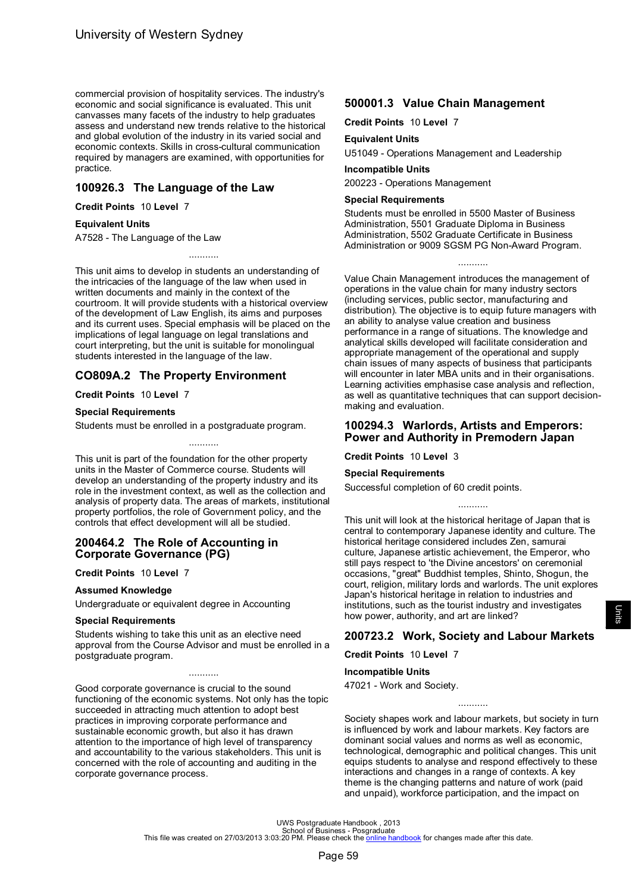<span id="page-61-0"></span>commercial provision of hospitality services. The industry's economic and social significance is evaluated. This unit canvasses many facets of the industry to help graduates assess and understand new trends relative to the historical and global evolution of the industry in its varied social and economic contexts. Skills in cross-cultural communication required by managers are examined, with opportunities for practice.

# **100926.3 The Language of the Law**

**Credit Points** 10 **Level** 7

### **Equivalent Units**

A7528 - The Language of the Law

This unit aims to develop in students an understanding of the intricacies of the language of the law when used in written documents and mainly in the context of the courtroom. It will provide students with a historical overview of the development of Law English, its aims and purposes and its current uses. Special emphasis will be placed on the implications of legal language on legal translations and court interpreting, but the unit is suitable for monolingual students interested in the language of the law.

...........

# **CO809A.2 The Property Environment**

### **Credit Points** 10 **Level** 7

### **Special Requirements**

Students must be enrolled in a postgraduate program.

This unit is part of the foundation for the other property units in the Master of Commerce course. Students will develop an understanding of the property industry and its role in the investment context, as well as the collection and analysis of property data. The areas of markets, institutional property portfolios, the role of Government policy, and the controls that effect development will all be studied.

...........

#### **200464.2 The Role of Accounting in Corporate Governance (PG)**

**Credit Points** 10 **Level** 7

## **Assumed Knowledge**

Undergraduate or equivalent degree in Accounting

#### **Special Requirements**

Students wishing to take this unit as an elective need approval from the Course Advisor and must be enrolled in a postgraduate program.

...........

Good corporate governance is crucial to the sound functioning of the economic systems. Not only has the topic succeeded in attracting much attention to adopt best practices in improving corporate performance and sustainable economic growth, but also it has drawn attention to the importance of high level of transparency and accountability to the various stakeholders. This unit is concerned with the role of accounting and auditing in the corporate governance process.

# **500001.3 Value Chain Management**

**Credit Points** 10 **Level** 7

#### **Equivalent Units**

U51049 - Operations Management and Leadership

### **Incompatible Units**

200223 - Operations Management

### **Special Requirements**

Students must be enrolled in 5500 Master of Business Administration, 5501 Graduate Diploma in Business Administration, 5502 Graduate Certificate in Business Administration or 9009 SGSM PG Non-Award Program.

...........

Value Chain Management introduces the management of operations in the value chain for many industry sectors (including services, public sector, manufacturing and distribution). The objective is to equip future managers with an ability to analyse value creation and business performance in a range of situations. The knowledge and analytical skills developed will facilitate consideration and appropriate management of the operational and supply chain issues of many aspects of business that participants will encounter in later MBA units and in their organisations. Learning activities emphasise case analysis and reflection, as well as quantitative techniques that can support decisionmaking and evaluation.

### **100294.3 Warlords, Artists and Emperors: Power and Authority in Premodern Japan**

**Credit Points** 10 **Level** 3

#### **Special Requirements**

Successful completion of 60 credit points.

This unit will look at the historical heritage of Japan that is central to contemporary Japanese identity and culture. The historical heritage considered includes Zen, samurai culture, Japanese artistic achievement, the Emperor, who still pays respect to 'the Divine ancestors' on ceremonial occasions, "great" Buddhist temples, Shinto, Shogun, the court, religion, military lords and warlords. The unit explores Japan's historical heritage in relation to industries and institutions, such as the tourist industry and investigates how power, authority, and art are linked?

...........

# **200723.2 Work, Society and Labour Markets**

**Credit Points** 10 **Level** 7

### **Incompatible Units**

47021 - Work and Society.

Society shapes work and labour markets, but society in turn is influenced by work and labour markets. Key factors are dominant social values and norms as well as economic, technological, demographic and political changes. This unit equips students to analyse and respond effectively to these interactions and changes in a range of contexts. A key theme is the changing patterns and nature of work (paid and unpaid), workforce participation, and the impact on

...........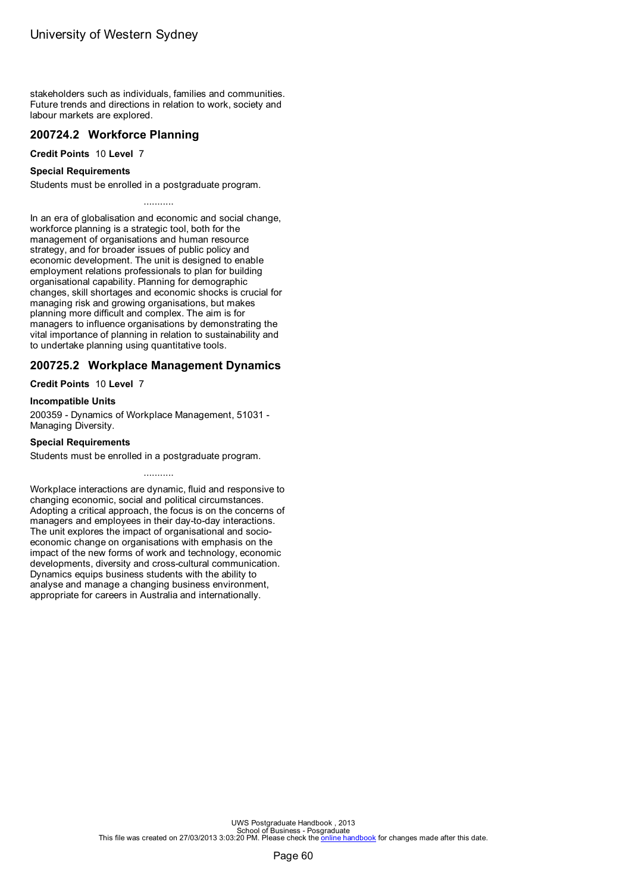<span id="page-62-0"></span>stakeholders such as individuals, families and communities. Future trends and directions in relation to work, society and labour markets are explored.

## **200724.2 Workforce Planning**

**Credit Points** 10 **Level** 7

### **Special Requirements**

Students must be enrolled in a postgraduate program.

...........

In an era of globalisation and economic and social change, workforce planning is a strategic tool, both for the management of organisations and human resource strategy, and for broader issues of public policy and economic development. The unit is designed to enable employment relations professionals to plan for building organisational capability. Planning for demographic changes, skill shortages and economic shocks is crucial for managing risk and growing organisations, but makes planning more difficult and complex. The aim is for managers to influence organisations by demonstrating the vital importance of planning in relation to sustainability and to undertake planning using quantitative tools.

# **200725.2 Workplace Management Dynamics**

**Credit Points** 10 **Level** 7

#### **Incompatible Units**

200359 - Dynamics of Workplace Management, 51031 - Managing Diversity.

### **Special Requirements**

Students must be enrolled in a postgraduate program.

Workplace interactions are dynamic, fluid and responsive to changing economic, social and political circumstances. Adopting a critical approach, the focus is on the concerns of managers and employees in their day-to-day interactions. The unit explores the impact of organisational and socioeconomic change on organisations with emphasis on the impact of the new forms of work and technology, economic developments, diversity and cross-cultural communication. Dynamics equips business students with the ability to analyse and manage a changing business environment, appropriate for careers in Australia and internationally.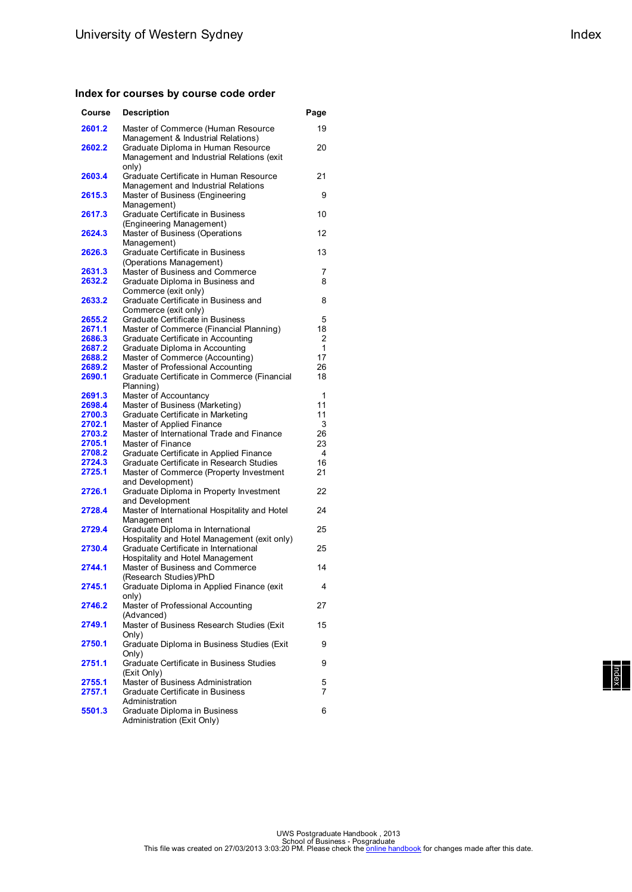### **Index for courses by course code order**

| Course | <b>Description</b>                                                                       | Page |
|--------|------------------------------------------------------------------------------------------|------|
| 2601.2 | Master of Commerce (Human Resource<br>Management & Industrial Relations)                 | 19   |
| 2602.2 | Graduate Diploma in Human Resource<br>Management and Industrial Relations (exit<br>only) | 20   |
| 2603.4 | Graduate Certificate in Human Resource<br>Management and Industrial Relations            | 21   |
| 2615.3 | Master of Business (Engineering<br>Management)                                           | 9    |
| 2617.3 | Graduate Certificate in Business<br>(Engineering Management)                             | 10   |
| 2624.3 | Master of Business (Operations<br>Management)                                            | 12   |
| 2626.3 | Graduate Certificate in Business<br>(Operations Management)                              | 13   |
| 2631.3 | Master of Business and Commerce                                                          | 7    |
| 2632.2 | Graduate Diploma in Business and                                                         | 8    |
|        | Commerce (exit only)                                                                     |      |
| 2633.2 | Graduate Certificate in Business and                                                     | 8    |
|        | Commerce (exit only)                                                                     |      |
| 2655.2 | Graduate Certificate in Business                                                         | 5    |
| 2671.1 | Master of Commerce (Financial Planning)                                                  | 18   |
| 2686.3 | Graduate Certificate in Accounting                                                       | 2    |
| 2687.2 | Graduate Diploma in Accounting                                                           | 1    |
| 2688.2 | Master of Commerce (Accounting)                                                          | 17   |
| 2689.2 | Master of Professional Accounting                                                        | 26   |
| 2690.1 | Graduate Certificate in Commerce (Financial                                              | 18   |
|        | Planning)                                                                                |      |
| 2691.3 | Master of Accountancy                                                                    | 1    |
| 2698.4 | Master of Business (Marketing)                                                           | 11   |
| 2700.3 | Graduate Certificate in Marketing                                                        | 11   |
| 2702.1 | Master of Applied Finance                                                                | 3    |
| 2703.2 | Master of International Trade and Finance                                                | 26   |
| 2705.1 | Master of Finance                                                                        | 23   |
| 2708.2 | Graduate Certificate in Applied Finance                                                  | 4    |
| 2724.3 | Graduate Certificate in Research Studies                                                 | 16   |
| 2725.1 | Master of Commerce (Property Investment                                                  | 21   |
|        | and Development)                                                                         |      |
| 2726.1 | Graduate Diploma in Property Investment                                                  | 22   |
|        | and Development                                                                          |      |
| 2728.4 | Master of International Hospitality and Hotel<br>Management                              | 24   |
| 2729.4 | Graduate Diploma in International<br>Hospitality and Hotel Management (exit only)        | 25   |
| 2730.4 | Graduate Certificate in International                                                    | 25   |
| 2744.1 | Hospitality and Hotel Management<br>Master of Business and Commerce                      | 14   |
|        | (Research Studies)/PhD                                                                   |      |
| 2745.1 | Graduate Diploma in Applied Finance (exit<br>only)                                       | 4    |
| 2746.2 | Master of Professional Accounting<br>(Advanced)                                          | 27   |
| 2749.1 | Master of Business Research Studies (Exit<br>Only)                                       | 15   |
| 2750.1 | Graduate Diploma in Business Studies (Exit<br>Only)                                      | 9    |
| 2751.1 | Graduate Certificate in Business Studies<br>(Exit Only)                                  | 9    |
| 2755.1 | Master of Business Administration                                                        | 5    |
| 2757.1 | Graduate Certificate in Business<br>Administration                                       | 7    |
| 5501.3 | Graduate Diploma in Business<br>Administration (Exit Only)                               | 6    |

| Index |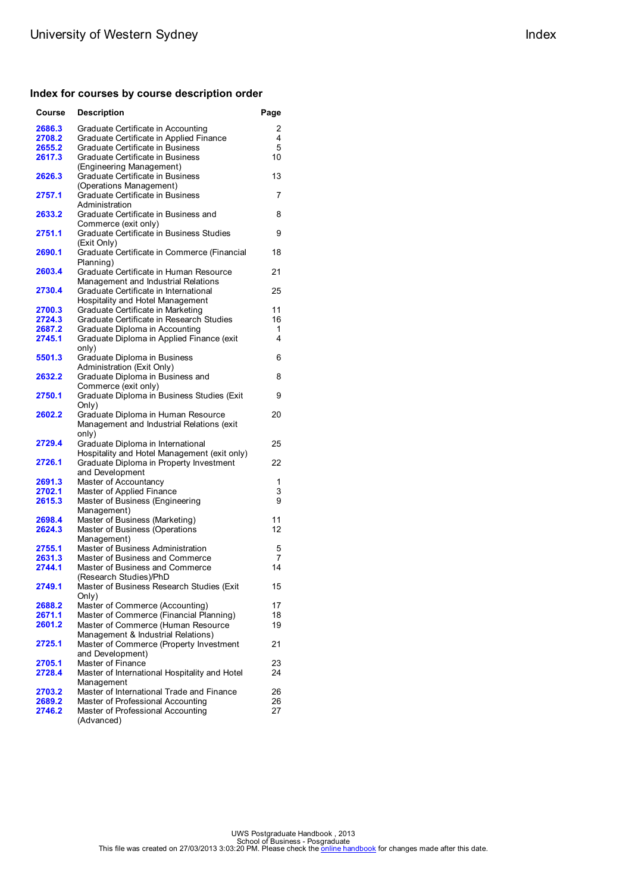### **Index for courses by course description order**

| Course           | <b>Description</b>                                                     | Page     |
|------------------|------------------------------------------------------------------------|----------|
| 2686.3           | Graduate Certificate in Accounting                                     | 2        |
| 2708.2           | Graduate Certificate in Applied Finance                                | 4        |
| 2655.2           | Graduate Certificate in Business                                       | 5        |
| 2617.3           | Graduate Certificate in Business                                       | 10       |
|                  | (Engineering Management)                                               |          |
| 2626.3           | Graduate Certificate in Business                                       | 13       |
|                  | (Operations Management)                                                |          |
| 2757.1           | Graduate Certificate in Business                                       | 7        |
|                  | Administration                                                         |          |
| 2633.2           | Graduate Certificate in Business and                                   | 8        |
| 2751.1           | Commerce (exit only)<br>Graduate Certificate in Business Studies       | 9        |
|                  | (Exit Only)                                                            |          |
| 2690.1           | Graduate Certificate in Commerce (Financial                            | 18       |
|                  | Planning)                                                              |          |
| 2603.4           | Graduate Certificate in Human Resource                                 | 21       |
|                  | Management and Industrial Relations                                    |          |
| 2730.4           | Graduate Certificate in International                                  | 25       |
|                  | Hospitality and Hotel Management                                       |          |
| 2700.3           | Graduate Certificate in Marketing                                      | 11       |
| 2724.3           | Graduate Certificate in Research Studies                               | 16       |
| 2687.2           | Graduate Diploma in Accounting                                         | 1        |
| 2745.1           | Graduate Diploma in Applied Finance (exit                              | 4        |
|                  | only)                                                                  |          |
| 5501.3           | Graduate Diploma in Business                                           | 6        |
|                  | Administration (Exit Only)                                             |          |
| 2632.2           | Graduate Diploma in Business and                                       | 8        |
|                  | Commerce (exit only)                                                   |          |
| 2750.1           | Graduate Diploma in Business Studies (Exit<br>Only)                    | 9        |
| 2602.2           | Graduate Diploma in Human Resource                                     | 20       |
|                  | Management and Industrial Relations (exit                              |          |
|                  | only)                                                                  |          |
| 2729.4           | Graduate Diploma in International                                      | 25       |
|                  | Hospitality and Hotel Management (exit only)                           |          |
| 2726.1           | Graduate Diploma in Property Investment                                | 22       |
|                  | and Development                                                        |          |
| 2691.3           | Master of Accountancy                                                  | 1        |
| 2702.1           | Master of Applied Finance                                              | 3        |
| 2615.3           | Master of Business (Engineering                                        | 9        |
|                  | Management)                                                            |          |
| 2698.4           | Master of Business (Marketing)                                         | 11       |
| 2624.3           | Master of Business (Operations                                         | 12       |
| 2755.1           | Management)<br>Master of Business Administration                       | 5        |
| 2631.3           | Master of Business and Commerce                                        | 7        |
| 2744.1           | Master of Business and Commerce                                        | 14       |
|                  | (Research Studies)/PhD                                                 |          |
| 2749.1           | Master of Business Research Studies (Exit                              | 15       |
|                  | Only)                                                                  |          |
| 2688.2           | Master of Commerce (Accounting)                                        | 17       |
| 2671.1           | Master of Commerce (Financial Planning)                                | 18       |
| 2601.2           | Master of Commerce (Human Resource                                     | 19       |
|                  | Management & Industrial Relations)                                     |          |
| 2725.1           | Master of Commerce (Property Investment                                | 21       |
|                  | and Development)                                                       |          |
| 2705.1           | Master of Finance                                                      | 23       |
| 2728.4           | Master of International Hospitality and Hotel                          | 24       |
|                  | Management                                                             |          |
| 2703.2           | Master of International Trade and Finance                              | 26       |
| 2689.2<br>2746.2 | Master of Professional Accounting<br>Master of Professional Accounting | 26<br>27 |
|                  | (Advanced)                                                             |          |
|                  |                                                                        |          |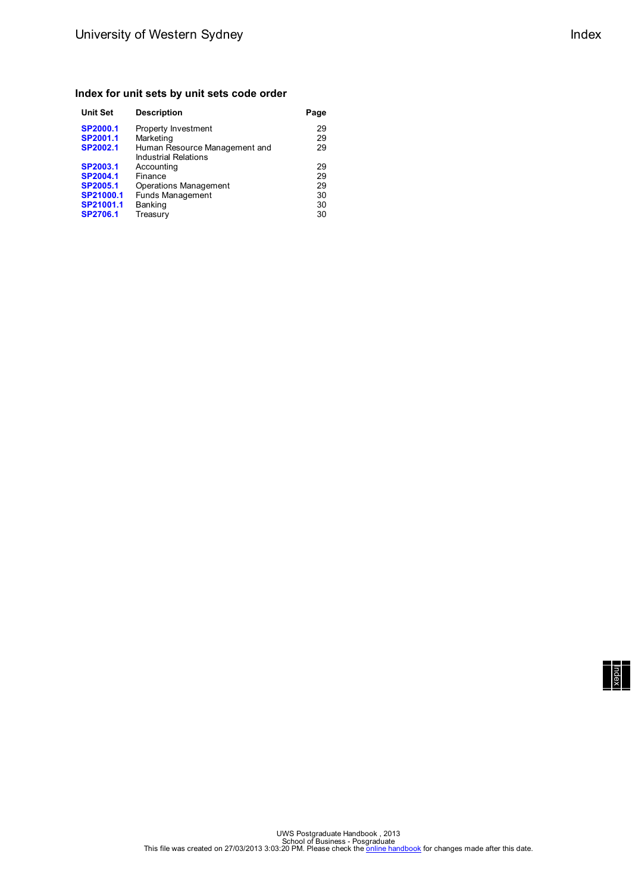### **Index for unit sets by unit sets code order**

| <b>Unit Set</b> | <b>Description</b>                                           | Page |
|-----------------|--------------------------------------------------------------|------|
| <b>SP2000.1</b> | Property Investment                                          | 29   |
| SP2001.1        | Marketing                                                    | 29   |
| SP2002.1        | Human Resource Management and<br><b>Industrial Relations</b> | 29   |
| SP2003.1        | Accounting                                                   | 29   |
| SP2004.1        | Finance                                                      | 29   |
| SP2005.1        | Operations Management                                        | 29   |
| SP21000.1       | <b>Funds Management</b>                                      | 30   |
| SP21001.1       | Banking                                                      | 30   |
| SP2706.1        | Treasury                                                     | 30   |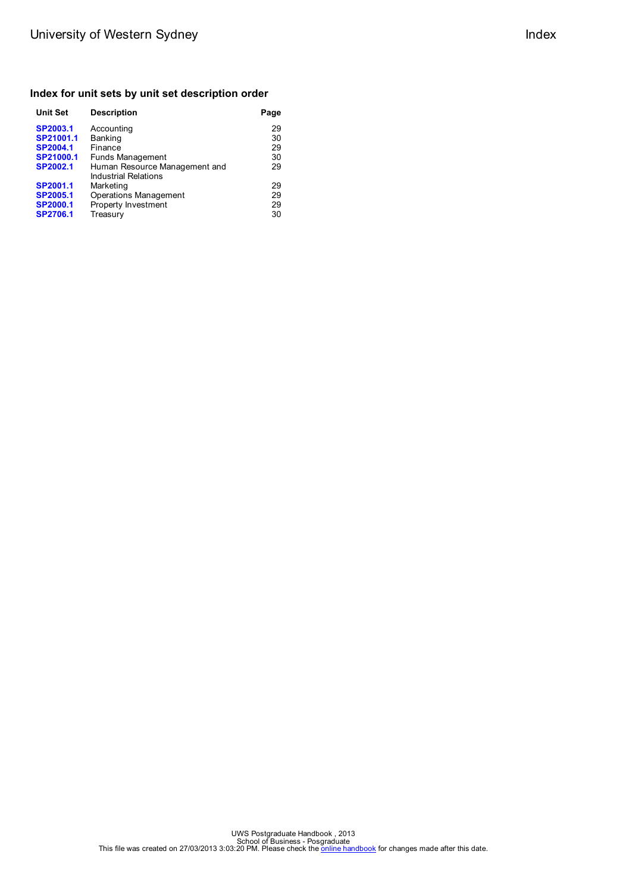### **Index for unit sets by unit set description order**

| <b>Unit Set</b> | <b>Description</b>                                    | Page |
|-----------------|-------------------------------------------------------|------|
| SP2003.1        | Accounting                                            | 29   |
| SP21001.1       | Banking                                               | 30   |
| <b>SP2004.1</b> | Finance                                               | 29   |
| SP21000.1       | <b>Funds Management</b>                               | 30   |
| SP2002.1        | Human Resource Management and<br>Industrial Relations | 29   |
| SP2001.1        | Marketing                                             | 29   |
| SP2005.1        | <b>Operations Management</b>                          | 29   |
| <b>SP2000.1</b> | Property Investment                                   | 29   |
| <b>SP2706.1</b> | Treasury                                              | 30   |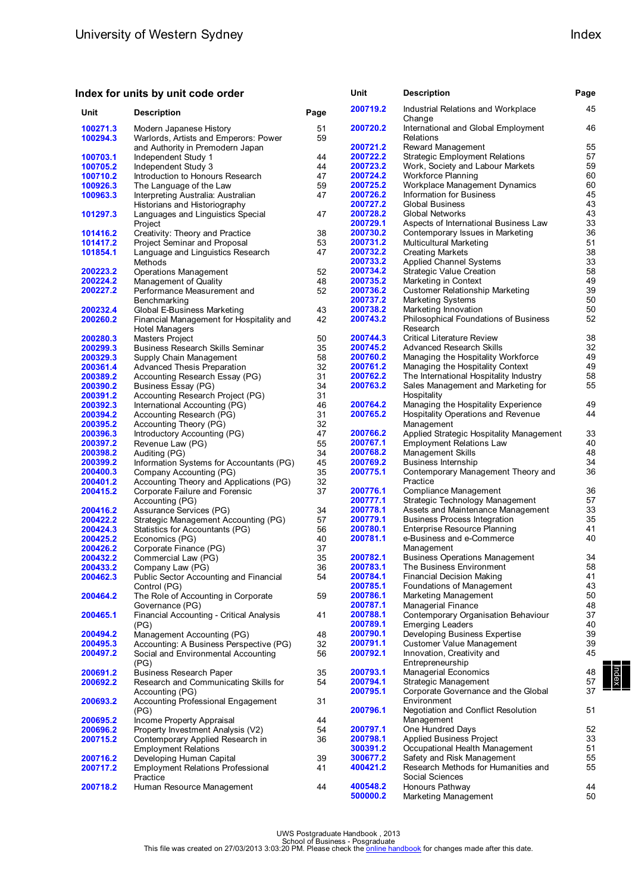# **Index for units by unit code order**

|                      | ndex for units by unit code order                                |          | Unit     | <b>Description</b>                               | Page |
|----------------------|------------------------------------------------------------------|----------|----------|--------------------------------------------------|------|
| Unit                 | <b>Description</b>                                               | Page     | 200719.2 | Industrial Relations and Workplace<br>Change     | 45   |
| 100271.3<br>100294.3 | Modern Japanese History<br>Warlords, Artists and Emperors: Power | 51<br>59 | 200720.2 | International and Global Employment<br>Relations | 46   |
|                      | and Authority in Premodern Japan                                 |          | 200721.2 | Reward Management                                | 55   |
| 100703.1             | Independent Study 1                                              | 44       | 200722.2 | <b>Strategic Employment Relations</b>            | 57   |
| 100705.2             | Independent Study 3                                              | 44       | 200723.2 | Work, Society and Labour Markets                 | 59   |
| 100710.2             | Introduction to Honours Research                                 | 47       | 200724.2 | <b>Workforce Planning</b>                        | 60   |
| 100926.3             | The Language of the Law                                          | 59       | 200725.2 | Workplace Management Dynamics                    | 60   |
| 100963.3             | Interpreting Australia: Australian                               | 47       | 200726.2 | Information for Business                         | 45   |
|                      | Historians and Historiography                                    |          | 200727.2 | <b>Global Business</b>                           | 43   |
| 101297.3             | Languages and Linguistics Special                                | 47       | 200728.2 | <b>Global Networks</b>                           | 43   |
|                      | Project                                                          |          | 200729.1 | Aspects of International Business Law            | 33   |
| 101416.2             | Creativity: Theory and Practice                                  | 38       | 200730.2 | Contemporary Issues in Marketing                 | 36   |
| 101417.2             | Project Seminar and Proposal                                     | 53       | 200731.2 | Multicultural Marketing                          | 51   |
| 101854.1             | Language and Linguistics Research                                | 47       | 200732.2 | <b>Creating Markets</b>                          | 38   |
|                      | Methods                                                          |          | 200733.2 | Applied Channel Systems                          | 33   |
| 200223.2             | <b>Operations Management</b>                                     | 52       | 200734.2 | <b>Strategic Value Creation</b>                  | 58   |
| 200224.2             | Management of Quality                                            | 48       | 200735.2 | Marketing in Context                             | 49   |
| 200227.2             | Performance Measurement and                                      | 52       | 200736.2 | <b>Customer Relationship Marketing</b>           | 39   |
|                      | Benchmarking                                                     |          | 200737.2 | <b>Marketing Systems</b>                         | 50   |
| 200232.4             | Global E-Business Marketing                                      | 43       | 200738.2 | Marketing Innovation                             | 50   |
| 200260.2             | Financial Management for Hospitality and                         | 42       | 200743.2 | Philosophical Foundations of Business            | 52   |
|                      | <b>Hotel Managers</b>                                            |          |          | Research                                         |      |
| 200280.3             | Masters Project                                                  | 50       | 200744.3 | <b>Critical Literature Review</b>                | 38   |
| 200299.3             | <b>Business Research Skills Seminar</b>                          | 35       | 200745.2 | <b>Advanced Research Skills</b>                  | 32   |
| 200329.3             | Supply Chain Management                                          | 58       | 200760.2 | Managing the Hospitality Workforce               | 49   |
| 200361.4             | Advanced Thesis Preparation                                      | 32       | 200761.2 | Managing the Hospitality Context                 | 49   |
| 200389.2             | Accounting Research Essay (PG)                                   | 31       | 200762.2 | The International Hospitality Industry           | 58   |
| 200390.2             | Business Essay (PG)                                              | 34       | 200763.2 | Sales Management and Marketing for               | 55   |
| 200391.2             | Accounting Research Project (PG)                                 | 31       |          | Hospitality                                      |      |
| 200392.3             | International Accounting (PG)                                    | 46       | 200764.2 | Managing the Hospitality Experience              | 49   |
| 200394.2             | Accounting Research (PG)                                         | 31       | 200765.2 | Hospitality Operations and Revenue               | 44   |
| 200395.2             | Accounting Theory (PG)                                           | 32       |          | Management                                       |      |
| 200396.3             | Introductory Accounting (PG)                                     | 47       | 200766.2 | Applied Strategic Hospitality Management         | 33   |
| 200397.2             | Revenue Law (PG)                                                 | 55       | 200767.1 | <b>Employment Relations Law</b>                  | 40   |
| 200398.2             | Auditing (PG)                                                    | 34       | 200768.2 | Management Skills                                | 48   |
| 200399.2             | Information Systems for Accountants (PG)                         | 45       | 200769.2 | <b>Business Internship</b>                       | 34   |
| 200400.3             | Company Accounting (PG)                                          | 35       | 200775.1 | Contemporary Management Theory and               | 36   |
| 200401.2             | Accounting Theory and Applications (PG)                          | 32       |          | Practice                                         |      |
| 200415.2             | Corporate Failure and Forensic                                   | 37       | 200776.1 | Compliance Management                            | 36   |
|                      | Accounting (PG)                                                  |          | 200777.1 | Strategic Technology Management                  | 57   |
| 200416.2             | Assurance Services (PG)                                          | 34       | 200778.1 | Assets and Maintenance Management                | 33   |
| 200422.2             | Strategic Management Accounting (PG)                             | 57       | 200779.1 | <b>Business Process Integration</b>              | 35   |
| 200424.3             | Statistics for Accountants (PG)                                  | 56       | 200780.1 | <b>Enterprise Resource Planning</b>              | 41   |
| 200425.2             | Economics (PG)                                                   | 40       | 200781.1 | e-Business and e-Commerce                        | 40   |
| 200426.2             | Corporate Finance (PG)                                           | 37       |          | Management                                       |      |
| 200432.2             | Commercial Law (PG)                                              | 35       | 200782.1 | <b>Business Operations Management</b>            | 34   |
| 200433.2             | Company Law (PG)                                                 | 36       | 200783.1 | The Business Environment                         | 58   |
| 200462.3             | Public Sector Accounting and Financial                           | 54       | 200784.1 | Financial Decision Making                        | 41   |
|                      | Control (PG)                                                     |          | 200785.1 | Foundations of Management                        | 43   |
| 200464.2             | The Role of Accounting in Corporate                              | 59       | 200786.1 | Marketing Management                             | 50   |
|                      | Governance (PG)                                                  |          | 200787.1 | Managerial Finance                               | 48   |
| 200465.1             | Financial Accounting - Critical Analysis                         | 41       | 200788.1 | Contemporary Organisation Behaviour              | 37   |
|                      | (PG)                                                             |          | 200789.1 | <b>Emerging Leaders</b>                          | 40   |
| 200494.2             | Management Accounting (PG)                                       | 48       | 200790.1 | Developing Business Expertise                    | 39   |
| 200495.3             | Accounting: A Business Perspective (PG)                          | 32       | 200791.1 | Customer Value Management                        | 39   |
| 200497.2             | Social and Environmental Accounting                              | 56       | 200792.1 | Innovation, Creativity and                       | 45   |
|                      | (PG)                                                             |          |          | Entrepreneurship                                 |      |
| 200691.2             | <b>Business Research Paper</b>                                   | 35       | 200793.1 | <b>Managerial Economics</b>                      | 48   |
| 200692.2             | Research and Communicating Skills for                            | 54       | 200794.1 | Strategic Management                             | 57   |
|                      | Accounting (PG)                                                  |          | 200795.1 | Corporate Governance and the Global              | 37   |
| 200693.2             | Accounting Professional Engagement                               | 31       |          | Environment                                      |      |
|                      | (PG)                                                             |          | 200796.1 | Negotiation and Conflict Resolution              | 51   |
| 200695.2             | Income Property Appraisal                                        | 44       |          | Management                                       |      |
| 200696.2             | Property Investment Analysis (V2)                                | 54       | 200797.1 | One Hundred Days                                 | 52   |
| 200715.2             | Contemporary Applied Research in                                 | 36       | 200798.1 | <b>Applied Business Project</b>                  | 33   |
|                      | <b>Employment Relations</b>                                      |          | 300391.2 | Occupational Health Management                   | 51   |
| 200716.2             | Developing Human Capital                                         | 39       | 300677.2 | Safety and Risk Management                       | 55   |
| 200717.2             | <b>Employment Relations Professional</b>                         | 41       | 400421.2 | Research Methods for Humanities and              | 55   |
|                      | Practice                                                         |          |          | Social Sciences                                  |      |
| 200718.2             | Human Resource Management                                        | 44       | 400548.2 | Honours Pathway                                  | 44   |
|                      |                                                                  |          | 500000.2 | Marketing Management                             | 50   |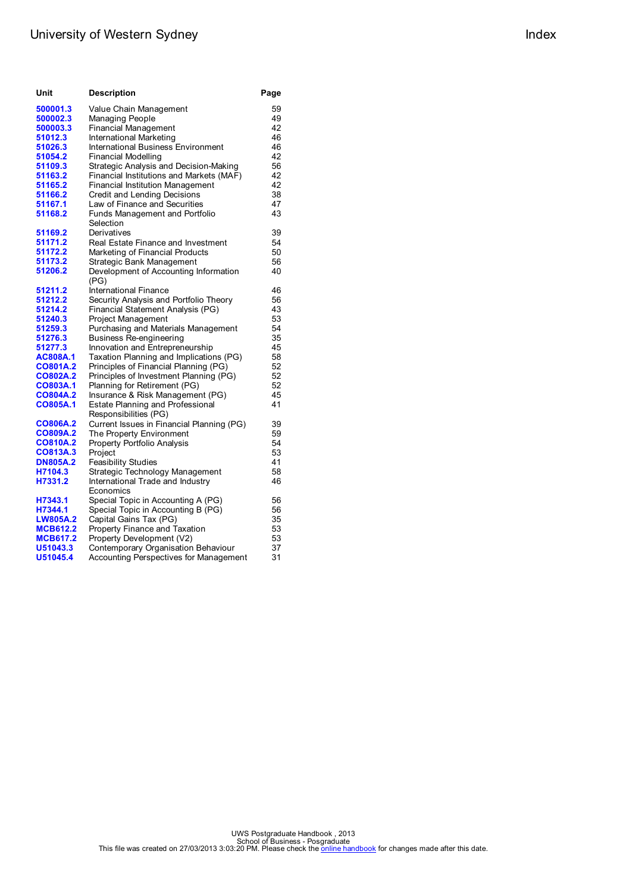# University of Western Sydney **Index** Index

| Unit            | <b>Description</b>                            | Page |
|-----------------|-----------------------------------------------|------|
| 500001.3        | Value Chain Management                        | 59   |
| 500002.3        | Managing People                               | 49   |
| 500003.3        | Financial Management                          | 42   |
| 51012.3         | International Marketing                       | 46   |
| 51026.3         | <b>International Business Environment</b>     | 46   |
| 51054.2         | Financial Modelling                           | 42   |
| 51109.3         | Strategic Analysis and Decision-Making        | 56   |
| 51163.2         | Financial Institutions and Markets (MAF)      | 42   |
| 51165.2         | Financial Institution Management              | 42   |
| 51166.2         | Credit and Lending Decisions                  | 38   |
| 51167.1         | Law of Finance and Securities                 | 47   |
| 51168.2         | Funds Management and Portfolio<br>Selection   | 43   |
| 51169.2         | Derivatives                                   | 39   |
| 51171.2         | Real Estate Finance and Investment            | 54   |
| 51172.2         | Marketing of Financial Products               | 50   |
| 51173.2         | Strategic Bank Management                     | 56   |
| 51206.2         | Development of Accounting Information<br>(PG) | 40   |
| 51211.2         | International Finance                         | 46   |
| 51212.2         | Security Analysis and Portfolio Theory        | 56   |
| 51214.2         | Financial Statement Analysis (PG)             | 43   |
| 51240.3         | Project Management                            | 53   |
| 51259.3         | Purchasing and Materials Management           | 54   |
| 51276.3         | Business Re-engineering                       | 35   |
| 51277.3         | Innovation and Entrepreneurship               | 45   |
| AC808A.1        | Taxation Planning and Implications (PG)       | 58   |
| CO801A.2        | Principles of Financial Planning (PG)         | 52   |
| CO802A.2        | Principles of Investment Planning (PG)        | 52   |
| CO803A.1        | Planning for Retirement (PG)                  | 52   |
| CO804A.2        | Insurance & Risk Management (PG)              | 45   |
| CO805A.1        | Estate Planning and Professional              | 41   |
|                 | Responsibilities (PG)                         |      |
| CO806A.2        | Current Issues in Financial Planning (PG)     | 39   |
| CO809A.2        | The Property Environment                      | 59   |
| CO810A.2        | Property Portfolio Analysis                   | 54   |
| CO813A.3        | Project                                       | 53   |
| <b>DN805A.2</b> | <b>Feasibility Studies</b>                    | 41   |
| H7104.3         | Strategic Technology Management               | 58   |
| H7331.2         | International Trade and Industry              | 46   |
|                 | Economics                                     |      |
| H7343.1         | Special Topic in Accounting A (PG)            | 56   |
| H7344.1         | Special Topic in Accounting B (PG)            | 56   |
| <b>LW805A.2</b> | Capital Gains Tax (PG)                        | 35   |
| <b>MCB612.2</b> | Property Finance and Taxation                 | 53   |
| <b>MCB617.2</b> | Property Development (V2)                     | 53   |
| U51043.3        | Contemporary Organisation Behaviour           | 37   |
| U51045.4        | Accounting Perspectives for Management        | 31   |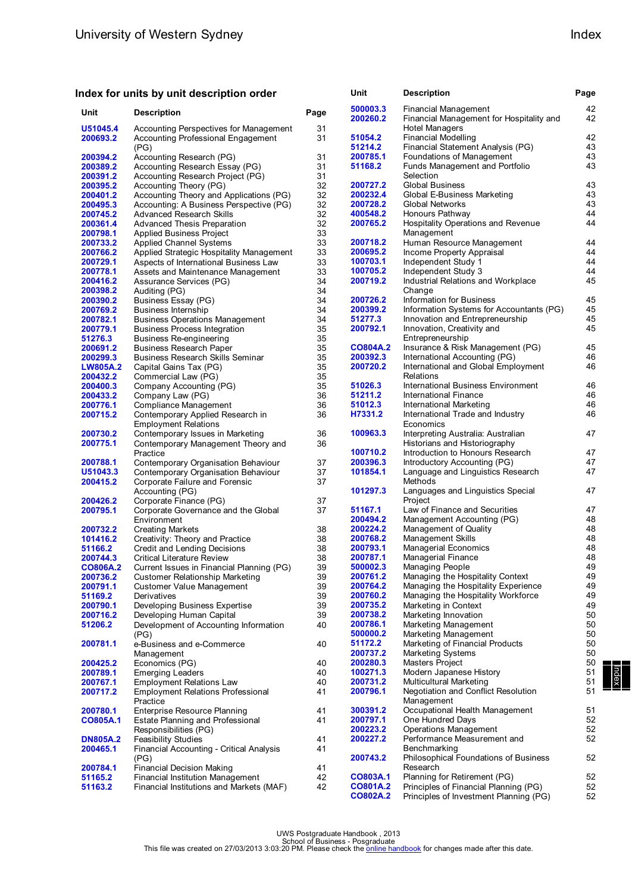### **Index for units by unit description order**

| Unit                 | <b>Description</b>                                                                 | Page     | 500003.3<br>200260.2 | Financial Management<br>Financial Management for Hospitality and                | 42<br>42 |
|----------------------|------------------------------------------------------------------------------------|----------|----------------------|---------------------------------------------------------------------------------|----------|
| U51045.4             | Accounting Perspectives for Management                                             | 31       |                      | Hotel Managers                                                                  |          |
| 200693.2             | Accounting Professional Engagement                                                 | 31       | 51054.2              | <b>Financial Modelling</b>                                                      | 42       |
|                      | (PG)                                                                               |          | 51214.2              | Financial Statement Analysis (PG)                                               | 43       |
| 200394.2             | Accounting Research (PG)                                                           | 31       | 200785.1<br>51168.2  | Foundations of Management<br>Funds Management and Portfolio                     | 43<br>43 |
| 200389.2<br>200391.2 | Accounting Research Essay (PG)<br>Accounting Research Project (PG)                 | 31       |                      | Selection                                                                       |          |
|                      |                                                                                    | 31       | 200727.2             |                                                                                 | 43       |
| 200395.2<br>200401.2 | Accounting Theory (PG)                                                             | 32<br>32 | 200232.4             | Global Business<br>Global E-Business Marketing                                  | 43       |
| 200495.3             | Accounting Theory and Applications (PG)<br>Accounting: A Business Perspective (PG) | 32       | 200728.2             | <b>Global Networks</b>                                                          | 43       |
| 200745.2             | <b>Advanced Research Skills</b>                                                    | 32       | 400548.2             | Honours Pathway                                                                 | 44       |
| 200361.4             | Advanced Thesis Preparation                                                        | 32       | 200765.2             | Hospitality Operations and Revenue                                              | 44       |
| 200798.1             | <b>Applied Business Project</b>                                                    | 33       |                      | Management                                                                      |          |
| 200733.2             | <b>Applied Channel Systems</b>                                                     | 33       | 200718.2             | Human Resource Management                                                       | 44       |
| 200766.2             | Applied Strategic Hospitality Management                                           | 33       | 200695.2             | Income Property Appraisal                                                       | 44       |
| 200729.1             | Aspects of International Business Law                                              | 33       | 100703.1             | Independent Study 1                                                             | 44       |
| 200778.1             | Assets and Maintenance Management                                                  | 33       | 100705.2             | Independent Study 3                                                             | 44       |
| 200416.2             | Assurance Services (PG)                                                            | 34       | 200719.2             | Industrial Relations and Workplace                                              | 45       |
| 200398.2             | Auditing (PG)                                                                      | 34       |                      | Change                                                                          |          |
| 200390.2             | Business Essay (PG)                                                                | 34       | 200726.2             | Information for Business                                                        | 45       |
| 200769.2             | <b>Business Internship</b>                                                         | 34       | 200399.2             | Information Systems for Accountants (PG)                                        | 45       |
| 200782.1             | <b>Business Operations Management</b>                                              | 34       | 51277.3              | Innovation and Entrepreneurship                                                 | 45       |
| 200779.1             | <b>Business Process Integration</b>                                                | 35       | 200792.1             | Innovation, Creativity and                                                      | 45       |
| 51276.3              | Business Re-engineering                                                            | 35       |                      | Entrepreneurship                                                                |          |
| 200691.2             | <b>Business Research Paper</b>                                                     | 35       | CO804A.2             | Insurance & Risk Management (PG)                                                | 45       |
| 200299.3             | <b>Business Research Skills Seminar</b>                                            | 35       | 200392.3             | International Accounting (PG)                                                   | 46       |
| <b>LW805A.2</b>      | Capital Gains Tax (PG)                                                             | 35       | 200720.2             | International and Global Employment                                             | 46       |
| 200432.2             | Commercial Law (PG)                                                                | 35       |                      | Relations                                                                       |          |
| 200400.3             | Company Accounting (PG)                                                            | 35       | 51026.3              | International Business Environment                                              | 46       |
| 200433.2             | Company Law (PG)                                                                   | 36       | 51211.2              | International Finance                                                           | 46       |
| 200776.1             | Compliance Management                                                              | 36       | 51012.3              | <b>International Marketing</b>                                                  | 46       |
| 200715.2             | Contemporary Applied Research in                                                   | 36       | H7331.2              | International Trade and Industry                                                | 46       |
|                      | <b>Employment Relations</b>                                                        |          |                      | Economics                                                                       |          |
| 200730.2             | Contemporary Issues in Marketing                                                   | 36       | 100963.3             | Interpreting Australia: Australian                                              | 47       |
| 200775.1             | Contemporary Management Theory and                                                 | 36       |                      | Historians and Historiography                                                   |          |
|                      | Practice                                                                           |          | 100710.2             | Introduction to Honours Research                                                | 47       |
| 200788.1             | Contemporary Organisation Behaviour                                                | 37       | 200396.3<br>101854.1 | Introductory Accounting (PG)                                                    | 47<br>47 |
| U51043.3<br>200415.2 | Contemporary Organisation Behaviour                                                | 37<br>37 |                      | Language and Linguistics Research<br>Methods                                    |          |
|                      | Corporate Failure and Forensic<br>Accounting (PG)                                  |          | 101297.3             | Languages and Linguistics Special                                               | 47       |
| 200426.2             | Corporate Finance (PG)                                                             | 37       |                      | Project                                                                         |          |
| 200795.1             | Corporate Governance and the Global                                                | 37       | 51167.1              | Law of Finance and Securities                                                   | 47       |
|                      | Environment                                                                        |          | 200494.2             | Management Accounting (PG)                                                      | 48       |
| 200732.2             | <b>Creating Markets</b>                                                            | 38       | 200224.2             | Management of Quality                                                           | 48       |
| 101416.2             | Creativity: Theory and Practice                                                    | 38       | 200768.2             | Management Skills                                                               | 48       |
| 51166.2              | Credit and Lending Decisions                                                       | 38       | 200793.1             | <b>Managerial Economics</b>                                                     | 48       |
| 200744.3             | Critical Literature Review                                                         | 38       | 200787.1             | Managerial Finance                                                              | 48       |
| CO806A.2             | Current Issues in Financial Planning (PG)                                          | 39       | 500002.3             | Managing People                                                                 | 49       |
| 200736.2             | <b>Customer Relationship Marketing</b>                                             | 39       | 200761.2             | Managing the Hospitality Context                                                | 49       |
| 200791.1             | <b>Customer Value Management</b>                                                   | 39       | 200764.2             | Managing the Hospitality Experience                                             | 49       |
| 51169.2              | Derivatives                                                                        | 39       | 200760.2             | Managing the Hospitality Workforce                                              | 49       |
| 200790.1             | Developing Business Expertise                                                      | 39       | 200735.2             | Marketing in Context                                                            | 49       |
| 200716.2             | Developing Human Capital                                                           | 39       | 200738.2             | Marketing Innovation                                                            | 50       |
| 51206.2              | Development of Accounting Information                                              | 40       | 200786.1             | Marketing Management                                                            | 50       |
|                      | (PG)                                                                               |          | 500000.2             | Marketing Management                                                            | 50       |
| 200781.1             | e-Business and e-Commerce                                                          | 40       | 51172.2              | Marketing of Financial Products                                                 | 50       |
|                      | Management                                                                         |          | 200737.2             | Marketing Systems                                                               | 50       |
| 200425.2             | Economics (PG)                                                                     | 40       | 200280.3             | Masters Project                                                                 | 50       |
| 200789.1             | <b>Emerging Leaders</b>                                                            | 40       | 100271.3             | Modern Japanese History                                                         | 51       |
| 200767.1             | <b>Employment Relations Law</b>                                                    | 40       | 200731.2             | Multicultural Marketing                                                         | 51       |
| 200717.2             | <b>Employment Relations Professional</b><br>Practice                               | 41       | 200796.1             | Negotiation and Conflict Resolution<br>Management                               | 51       |
| 200780.1             | <b>Enterprise Resource Planning</b>                                                | 41       | 300391.2             | Occupational Health Management                                                  | 51       |
| CO805A.1             | Estate Planning and Professional                                                   | 41       | 200797.1             | One Hundred Days                                                                | 52       |
|                      | Responsibilities (PG)                                                              |          | 200223.2             | Operations Management                                                           | 52       |
| <b>DN805A.2</b>      | <b>Feasibility Studies</b>                                                         | 41       | 200227.2             | Performance Measurement and                                                     | 52       |
| 200465.1             | Financial Accounting - Critical Analysis                                           | 41       |                      | Benchmarking                                                                    |          |
|                      | (PG)                                                                               |          | 200743.2             | Philosophical Foundations of Business                                           | 52       |
| 200784.1             | Financial Decision Making                                                          | 41       |                      | Research                                                                        |          |
| 51165.2              | Financial Institution Management                                                   | 42       | CO803A.1<br>CO801A.2 | Planning for Retirement (PG)                                                    | 52<br>52 |
| 51163.2              | Financial Institutions and Markets (MAF)                                           | 42       | CO802A.2             | Principles of Financial Planning (PG)<br>Principles of Investment Planning (PG) | 52       |

| Index | Index | Index

**Unit Description Page**